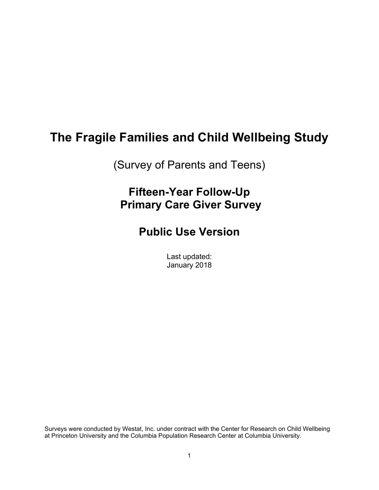# **The Fragile Families and Child Wellbeing Study**

(Survey of Parents and Teens)

# **Fifteen-Year Follow-Up Primary Care Giver Survey**

# **Public Use Version**

Last updated: January 2018

Surveys were conducted by Westat, Inc. under contract with the Center for Research on Child Wellbeing at Princeton University and the Columbia Population Research Center at Columbia University.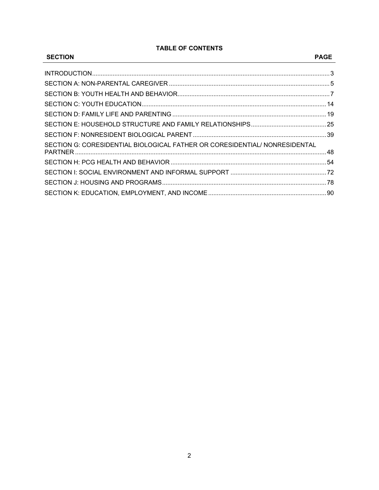## **TABLE OF CONTENTS**

| <b>SECTION</b>                                                             | <b>PAGE</b> |
|----------------------------------------------------------------------------|-------------|
|                                                                            |             |
|                                                                            |             |
|                                                                            |             |
|                                                                            |             |
|                                                                            |             |
|                                                                            |             |
|                                                                            |             |
| SECTION G: CORESIDENTIAL BIOLOGICAL FATHER OR CORESIDENTIAL/ NONRESIDENTAL |             |
|                                                                            |             |
|                                                                            |             |
|                                                                            |             |
|                                                                            |             |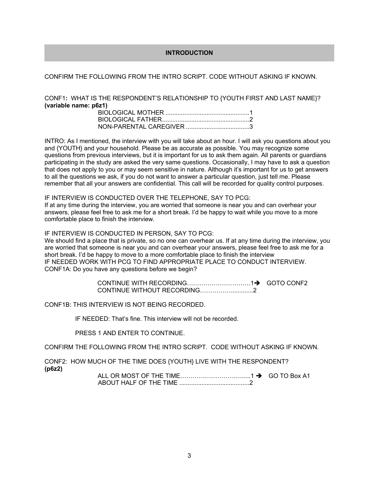## **INTRODUCTION**

## CONFIRM THE FOLLOWING FROM THE INTRO SCRIPT. CODE WITHOUT ASKING IF KNOWN.

CONF1**:** WHAT IS THE RESPONDENT'S RELATIONSHIP TO {YOUTH FIRST AND LAST NAME}? **(variable name: p6z1)** 

INTRO: As I mentioned, the interview with you will take about an hour. I will ask you questions about you and {YOUTH} and your household. Please be as accurate as possible. You may recognize some questions from previous interviews, but it is important for us to ask them again. All parents or guardians participating in the study are asked the very same questions. Occasionally, I may have to ask a question that does not apply to you or may seem sensitive in nature. Although it's important for us to get answers to all the questions we ask, if you do not want to answer a particular question, just tell me. Please remember that all your answers are confidential. This call will be recorded for quality control purposes.

#### IF INTERVIEW IS CONDUCTED OVER THE TELEPHONE, SAY TO PCG:

If at any time during the interview, you are worried that someone is near you and can overhear your answers, please feel free to ask me for a short break. I'd be happy to wait while you move to a more comfortable place to finish the interview.

#### IF INTERVIEW IS CONDUCTED IN PERSON, SAY TO PCG:

We should find a place that is private, so no one can overhear us. If at any time during the interview, you are worried that someone is near you and can overhear your answers, please feel free to ask me for a short break. I'd be happy to move to a more comfortable place to finish the interview IF NEEDED WORK WITH PCG TO FIND APPROPRIATE PLACE TO CONDUCT INTERVIEW. CONF1A: Do you have any questions before we begin?

> CONTINUE WITH RECORDING………………………………1→ GOTO CONF2 CONTINUE WITHOUT RECORDING…………….............2

CONF1B: THIS INTERVIEW IS NOT BEING RECORDED.

IF NEEDED: That's fine. This interview will not be recorded.

PRESS 1 AND ENTER TO CONTINUE.

CONFIRM THE FOLLOWING FROM THE INTRO SCRIPT. CODE WITHOUT ASKING IF KNOWN.

CONF2: HOW MUCH OF THE TIME DOES {YOUTH} LIVE WITH THE RESPONDENT? **(p6z2)** 

 ALL OR MOST OF THE TIME………………………….....1 GO TO Box A1 ABOUT HALF OF THE TIME ......................................... 2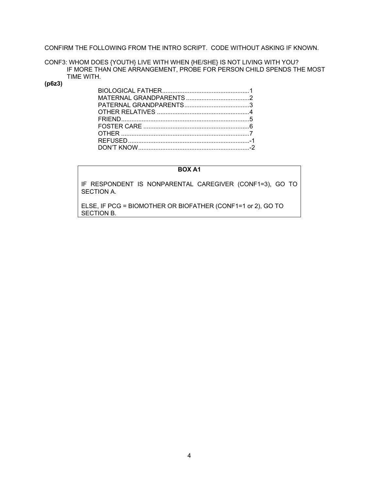CONFIRM THE FOLLOWING FROM THE INTRO SCRIPT. CODE WITHOUT ASKING IF KNOWN.

CONF3: WHOM DOES {YOUTH} LIVE WITH WHEN {HE/SHE} IS NOT LIVING WITH YOU? IF MORE THAN ONE ARRANGEMENT, PROBE FOR PERSON CHILD SPENDS THE MOST TIME WITH.

## **(p6z3)**

## **BOX A1**

IF RESPONDENT IS NONPARENTAL CAREGIVER (CONF1=3), GO TO SECTION A.

ELSE, IF PCG = BIOMOTHER OR BIOFATHER (CONF1=1 or 2), GO TO SECTION B.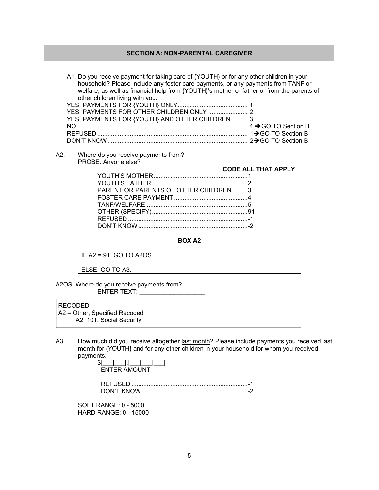## **SECTION A: NON-PARENTAL CAREGIVER**

A1. Do you receive payment for taking care of {YOUTH} or for any other children in your household? Please include any foster care payments, or any payments from TANF or welfare, as well as financial help from {YOUTH}'s mother or father or from the parents of other children living with you.

| YES, PAYMENTS FOR {YOUTH} AND OTHER CHILDREN 3 |  |
|------------------------------------------------|--|
|                                                |  |
|                                                |  |
|                                                |  |

A2. Where do you receive payments from? PROBE: Anyone else?

|                                       | <b>CODE ALL THAT APPLY</b> |
|---------------------------------------|----------------------------|
|                                       |                            |
|                                       |                            |
| PARENT OR PARENTS OF OTHER CHILDREN 3 |                            |
|                                       |                            |
|                                       |                            |
|                                       |                            |
|                                       |                            |
|                                       |                            |
|                                       |                            |

#### **BOX A2**

IF A2 = 91, GO TO A2OS.

ELSE, GO TO A3.

A2OS. Where do you receive payments from? ENTER TEXT:

#### RECODED

 A2 – Other, Specified Recoded A2 101. Social Security

A3. How much did you receive altogether last month? Please include payments you received last month for {YOUTH} and for any other children in your household for whom you received payments.

| <b>FNTER AMOUNT</b> |  |
|---------------------|--|

 REFUSED .................................................................... -1 DON'T KNOW .............................................................. -2

SOFT RANGE: 0 - 5000 HARD RANGE: 0 - 15000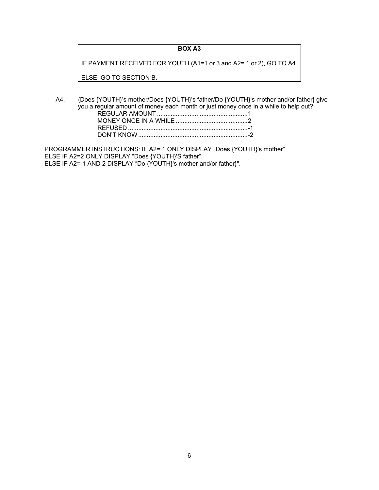## **BOX A3**

IF PAYMENT RECEIVED FOR YOUTH (A1=1 or 3 and A2= 1 or 2), GO TO A4.

ELSE, GO TO SECTION B.

A4. {Does {YOUTH}'s mother/Does {YOUTH}'s father/Do {YOUTH}'s mother and/or father} give you a regular amount of money each month or just money once in a while to help out? REGULAR AMOUNT ..................................................... 1 MONEY ONCE IN A WHILE .......................................... 2 REFUSED ...................................................................... -1 DON'T KNOW ................................................................ -2

PROGRAMMER INSTRUCTIONS: IF A2= 1 ONLY DISPLAY "Does {YOUTH}'s mother" ELSE IF A2=2 ONLY DISPLAY "Does {YOUTH}'S father". ELSE IF A2= 1 AND 2 DISPLAY "Do {YOUTH}'s mother and/or father}".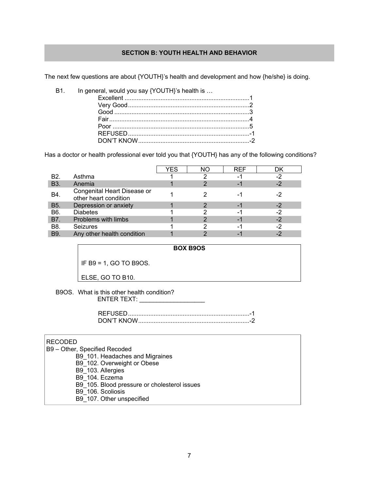## **SECTION B: YOUTH HEALTH AND BEHAVIOR**

The next few questions are about {YOUTH}'s health and development and how {he/she} is doing.

B1. In general, would you say {YOUTH}'s health is ...

Has a doctor or health professional ever told you that {YOUTH} has any of the following conditions?

|                  |                                                      | YES | NΟ | REF | DK   |
|------------------|------------------------------------------------------|-----|----|-----|------|
| B <sub>2</sub> . | Asthma                                               |     |    |     | -2   |
| <b>B3.</b>       | Anemia                                               |     |    |     | $-2$ |
| B4.              | Congenital Heart Disease or<br>other heart condition |     |    | ۰.  | $-2$ |
| <b>B5.</b>       | Depression or anxiety                                |     |    |     | $-2$ |
| B6.              | <b>Diabetes</b>                                      |     |    | -1  | $-2$ |
| B7.              | Problems with limbs                                  |     |    |     | $-2$ |
| B8.              | <b>Seizures</b>                                      |     |    |     | -2   |
| <b>B</b> 9.      | Any other health condition                           |     |    |     |      |

**BOX B9OS** 

IF B9 = 1, GO TO B9OS.

ELSE, GO TO B10.

B9OS. What is this other health condition? ENTER TEXT: \_\_\_\_\_\_\_\_\_\_\_\_\_\_\_\_\_\_\_

| REEUSED    |  |
|------------|--|
| DON'T KNOW |  |

## RECODED

 B9 – Other, Specified Recoded B9\_101. Headaches and Migraines B9\_102. Overweight or Obese B9\_103. Allergies B9\_104. Eczema B9\_105. Blood pressure or cholesterol issues B9\_106. Scoliosis B9\_107. Other unspecified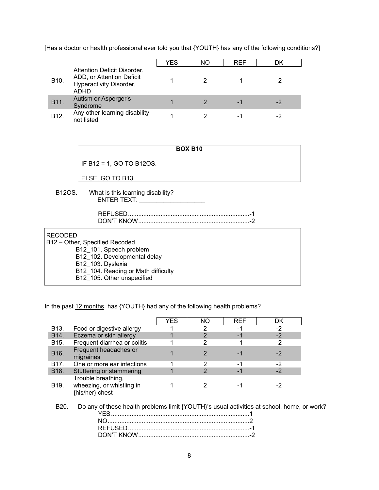[Has a doctor or health professional ever told you that {YOUTH} has any of the following conditions?]

|                   |                                                                                                    | YES | NO. | <b>REF</b> | DK |
|-------------------|----------------------------------------------------------------------------------------------------|-----|-----|------------|----|
| B <sub>10</sub> . | Attention Deficit Disorder,<br>ADD, or Attention Deficit<br>Hyperactivity Disorder,<br><b>ADHD</b> |     |     |            |    |
| B11.              | Autism or Asperger's<br>Syndrome                                                                   |     |     | -          |    |
| B <sub>12</sub>   | Any other learning disability<br>not listed                                                        |     |     | -          |    |

| <b>BOX B10</b>           |
|--------------------------|
| IF B12 = 1, GO TO B12OS. |
| ELSE, GO TO B13.         |

B12OS. What is this learning disability? ENTER TEXT: \_\_\_\_\_\_\_\_\_\_\_\_\_\_\_\_\_\_\_

| DON'T KNOW |  |
|------------|--|

## RECODED

B12 – Other, Specified Recoded

B12\_101. Speech problem

B12\_102. Developmental delay

B12<sup>-</sup>103. Dyslexia

B12\_104. Reading or Math difficulty

B12\_105. Other unspecified

In the past 12 months, has {YOUTH} had any of the following health problems?

|                   |                                                                                                    | YES | ΝO | <b>REF</b> | DK.  |  |
|-------------------|----------------------------------------------------------------------------------------------------|-----|----|------------|------|--|
| B <sub>13</sub> . | Food or digestive allergy                                                                          |     |    | -1         | -2   |  |
| B <sub>14</sub> . | Eczema or skin allergy                                                                             |     | 2  | $-1$       | $-2$ |  |
| B <sub>15</sub> . | Frequent diarrhea or colitis                                                                       |     | 2  | -1         | -2   |  |
| B <sub>16</sub> . | Frequent headaches or<br>migraines                                                                 |     | 2  | $-1$       | $-2$ |  |
| B <sub>17</sub> . | One or more ear infections                                                                         |     | 2  | -1         | -2   |  |
| B <sub>18</sub> . | Stuttering or stammering                                                                           |     | 2  | -1         | -2   |  |
| B <sub>19</sub> . | Trouble breathing,<br>wheezing, or whistling in<br>{his/her} chest                                 |     | 2  | -1         | -2   |  |
| B <sub>20</sub> . | Do any of these health problems limit {YOUTH}'s usual activities at school, home, or work?<br>YES. |     |    |            |      |  |
|                   | NΟ                                                                                                 |     |    |            |      |  |
|                   |                                                                                                    |     |    |            |      |  |

DON'T KNOW ................................................................. -2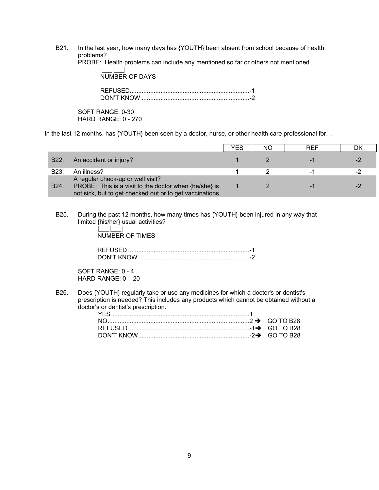B21. In the last year, how many days has {YOUTH} been absent from school because of health problems?

PROBE: Health problems can include any mentioned so far or others not mentioned.

 $| \cdot |$   $|$ NUMBER OF DAYS REFUSED...................................................................... -1

DON'T KNOW ............................................................... -2

SOFT RANGE: 0-30 HARD RANGE: 0 - 270

In the last 12 months, has {YOUTH} been seen by a doctor, nurse, or other health care professional for...

|                   |                                                                                                                                                       | YFS | NΟ | <b>RFF</b> | DK |
|-------------------|-------------------------------------------------------------------------------------------------------------------------------------------------------|-----|----|------------|----|
| B <sub>22</sub> . | An accident or injury?                                                                                                                                |     |    |            |    |
| B <sub>23</sub>   | An illness?                                                                                                                                           |     |    |            |    |
| B <sub>24</sub> . | A regular check-up or well visit?<br>PROBE: This is a visit to the doctor when {he/she} is<br>not sick, but to get checked out or to get vaccinations |     |    |            |    |

B25. During the past 12 months, how many times has {YOUTH} been injured in any way that limited {his/her} usual activities?

> |\_\_\_|\_\_\_| NUMBER OF TIMES

SOFT RANGE: 0 - 4 HARD RANGE: 0 – 20

B26. Does {YOUTH} regularly take or use any medicines for which a doctor's or dentist's prescription is needed? This includes any products which cannot be obtained without a doctor's or dentist's prescription.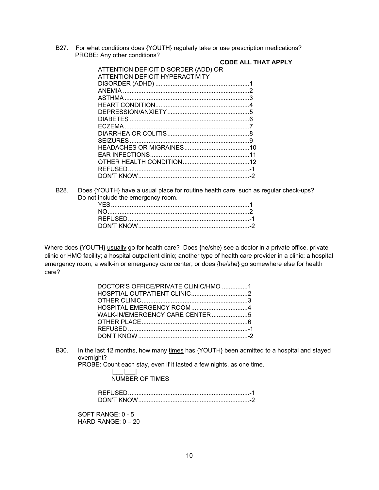B27. For what conditions does {YOUTH} regularly take or use prescription medications? PROBE: Any other conditions?

| ATTENTION DEFICIT DISORDER (ADD) OR |  |
|-------------------------------------|--|
|                                     |  |
| ATTENTION DEFICIT HYPERACTIVITY     |  |
|                                     |  |
|                                     |  |
|                                     |  |
|                                     |  |
|                                     |  |
|                                     |  |
|                                     |  |
|                                     |  |
|                                     |  |
|                                     |  |
|                                     |  |
|                                     |  |
|                                     |  |
|                                     |  |
|                                     |  |

## **CODE ALL THAT APPLY**

B28. Does {YOUTH} have a usual place for routine health care, such as regular check-ups? Do not include the emergency room.

Where does {YOUTH} usually go for health care? Does {he/she} see a doctor in a private office, private clinic or HMO facility; a hospital outpatient clinic; another type of health care provider in a clinic; a hospital emergency room, a walk-in or emergency care center; or does {he/she} go somewhere else for health care?

| DOCTOR'S OFFICE/PRIVATE CLINIC/HMO 1 |  |
|--------------------------------------|--|
|                                      |  |
|                                      |  |
|                                      |  |
|                                      |  |
|                                      |  |
|                                      |  |
|                                      |  |

B30. In the last 12 months, how many times has {YOUTH} been admitted to a hospital and stayed overnight?

PROBE: Count each stay, even if it lasted a few nights, as one time.

|\_\_\_|\_\_\_| **NUMBER OF TIMES** 

| N'T KNOW) |  |
|-----------|--|

SOFT RANGE: 0 - 5 HARD RANGE: 0 – 20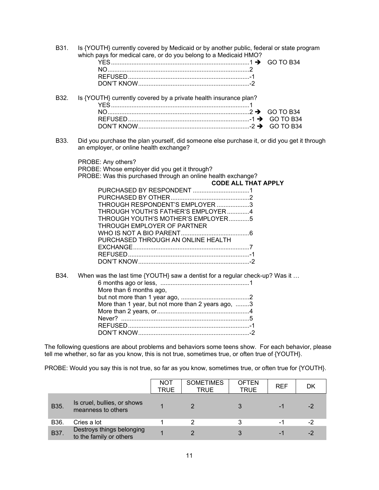B31. Is {YOUTH} currently covered by Medicaid or by another public, federal or state program which pays for medical care, or do you belong to a Medicaid HMO?

| $( -1)$ 10 |
|------------|
|            |
|            |
|            |

| B32. Is {YOUTH} currently covered by a private health insurance plan? |  |
|-----------------------------------------------------------------------|--|
|                                                                       |  |
|                                                                       |  |
|                                                                       |  |
|                                                                       |  |

B33. Did you purchase the plan yourself, did someone else purchase it, or did you get it through an employer, or online health exchange?

PROBE: Any others?

PROBE: Whose employer did you get it through? PROBE: Was this purchased through an online health exchange?

| <b>CODE ALL THAT APPLY</b> |  |
|----------------------------|--|

| THROUGH RESPONDENT'S EMPLOYER 3     |  |
|-------------------------------------|--|
| THROUGH YOUTH'S FATHER'S EMPLOYER 4 |  |
| THROUGH YOUTH'S MOTHER'S EMPLOYER5  |  |
| THROUGH EMPLOYER OF PARTNER         |  |
|                                     |  |
| PURCHASED THROUGH AN ONLINE HEALTH  |  |
|                                     |  |
|                                     |  |
|                                     |  |
|                                     |  |

B34. When was the last time {YOUTH} saw a dentist for a regular check-up? Was it ... 6 months ago or less, .................................................... 1 More than 6 months ago, but not more than 1 year ago, ........................................ 2 More than 1 year, but not more than 2 years ago, ........3 More than 2 years, or ...................................................... 4 Never? ........................................................................... 5 REFUSED ....................................................................... -1 DON'T KNOW ................................................................. -2

The following questions are about problems and behaviors some teens show. For each behavior, please tell me whether, so far as you know, this is not true, sometimes true, or often true of {YOUTH}.

PROBE: Would you say this is not true, so far as you know, sometimes true, or often true for {YOUTH}.

|             |                                                      | NOT<br><b>TRUE</b> | <b>SOMETIMES</b><br><b>TRUE</b> | <b>OFTEN</b><br><b>TRUE</b> | <b>REF</b> | DK   |
|-------------|------------------------------------------------------|--------------------|---------------------------------|-----------------------------|------------|------|
| <b>B35.</b> | Is cruel, bullies, or shows<br>meanness to others    |                    |                                 |                             | $-1$       | $-2$ |
| B36.        | Cries a lot                                          |                    |                                 | 3                           | -1         | -2   |
| <b>B37.</b> | Destroys things belonging<br>to the family or others |                    |                                 | 3                           | $-1$       | $-2$ |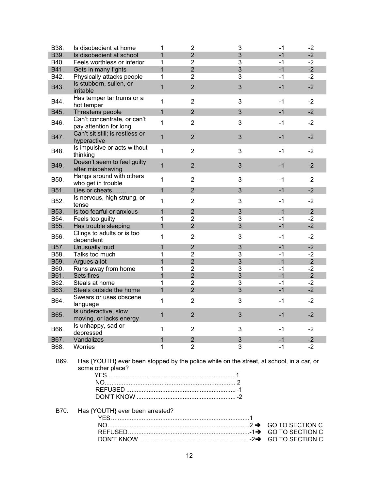| B38. | Is disobedient at home                                                                                        | 1              | $\overline{2}$ | 3              | $-1$ | $-2$ |
|------|---------------------------------------------------------------------------------------------------------------|----------------|----------------|----------------|------|------|
| B39. | Is disobedient at school                                                                                      | $\overline{1}$ | $\overline{2}$ | 3              | $-1$ | $-2$ |
| B40. | Feels worthless or inferior                                                                                   | 1              | $\overline{2}$ | 3              | $-1$ | $-2$ |
| B41. | Gets in many fights                                                                                           | $\mathbf{1}$   | $\overline{2}$ | 3              | $-1$ | $-2$ |
| B42. | Physically attacks people                                                                                     | 1              | $\overline{2}$ | 3              | $-1$ | $-2$ |
| B43. | Is stubborn, sullen, or<br>irritable                                                                          | 1              | $\overline{2}$ | 3              | $-1$ | $-2$ |
| B44. | Has temper tantrums or a<br>hot temper                                                                        | 1              | $\overline{2}$ | 3              | $-1$ | $-2$ |
| B45. | Threatens people                                                                                              | 1              | $\overline{2}$ | 3              | $-1$ | $-2$ |
| B46. | Can't concentrate, or can't<br>pay attention for long                                                         | 1              | $\overline{2}$ | 3              | $-1$ | $-2$ |
| B47. | Can't sit still; is restless or<br>hyperactive                                                                | $\mathbf{1}$   | $\overline{2}$ | 3              | $-1$ | $-2$ |
| B48. | Is impulsive or acts without<br>thinking                                                                      | 1              | $\overline{2}$ | 3              | $-1$ | $-2$ |
| B49. | Doesn't seem to feel guilty<br>after misbehaving                                                              | $\mathbf{1}$   | $\overline{2}$ | 3              | $-1$ | $-2$ |
| B50. | Hangs around with others<br>who get in trouble                                                                | 1              | $\overline{2}$ | 3              | -1   | $-2$ |
| B51. | Lies or cheats                                                                                                | $\mathbf{1}$   | 2              | 3              | $-1$ | $-2$ |
| B52. | Is nervous, high strung, or<br>tense                                                                          | 1              | $\overline{2}$ | 3              | -1   | $-2$ |
| B53. | Is too fearful or anxious                                                                                     | $\mathbf{1}$   | $\overline{2}$ | 3              | $-1$ | $-2$ |
| B54. | Feels too guilty                                                                                              | 1              | $\overline{2}$ | 3              | $-1$ | $-2$ |
| B55. | Has trouble sleeping                                                                                          | $\mathbf{1}$   | $\overline{2}$ | $\overline{3}$ | $-1$ | $-2$ |
| B56. | Clings to adults or is too<br>dependent                                                                       | 1              | $\overline{2}$ | 3              | $-1$ | $-2$ |
| B57. | Unusually loud                                                                                                | $\mathbf{1}$   | $\overline{2}$ | 3              | $-1$ | $-2$ |
| B58. | Talks too much                                                                                                | 1              | $\overline{2}$ | 3              | $-1$ | $-2$ |
| B59. | Argues a lot                                                                                                  | $\mathbf{1}$   | $\overline{2}$ | 3              | $-1$ | $-2$ |
| B60. | Runs away from home                                                                                           | 1              | $\overline{2}$ | 3              | $-1$ | $-2$ |
| B61. | Sets fires                                                                                                    | $\mathbf{1}$   | $\overline{2}$ | 3              | $-1$ | $-2$ |
| B62. | Steals at home                                                                                                | 1              | $\overline{2}$ | 3              | $-1$ | $-2$ |
| B63. | Steals outside the home                                                                                       | $\mathbf{1}$   | $\overline{2}$ | $\overline{3}$ | $-1$ | $-2$ |
| B64. | Swears or uses obscene<br>language                                                                            | 1              | $\overline{2}$ | 3              | $-1$ | $-2$ |
| B65. | Is underactive, slow<br>moving, or lacks energy                                                               | $\mathbf{1}$   | $\overline{2}$ | 3              | $-1$ | $-2$ |
| B66. | Is unhappy, sad or<br>depressed                                                                               | 1              | $\overline{2}$ | 3              | -1   | $-2$ |
| B67. | Vandalizes                                                                                                    | 1              | $\overline{2}$ | 3              | $-1$ | $-2$ |
| B68. | Worries                                                                                                       | 1              | $\overline{2}$ | 3              | $-1$ | $-2$ |
| B69. | Has {YOUTH} ever been stopped by the police while on the street, at school, in a car, or<br>some other place? |                |                |                |      |      |

B70. Has {YOUTH} ever been arrested?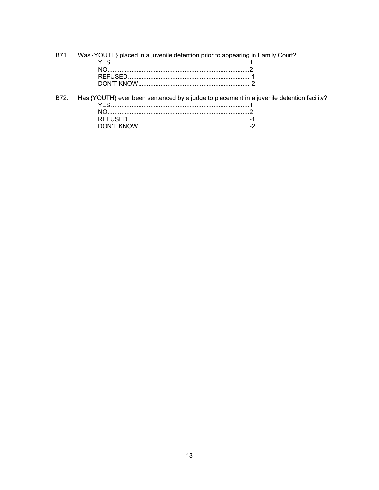| B71. Was {YOUTH} placed in a juvenile detention prior to appearing in Family Court?            |
|------------------------------------------------------------------------------------------------|
|                                                                                                |
| NO 2                                                                                           |
|                                                                                                |
|                                                                                                |
| B72. Has {YOUTH} ever been sentenced by a judge to placement in a juvenile detention facility? |
|                                                                                                |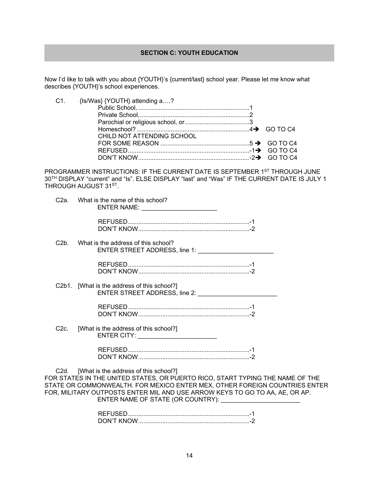## **SECTION C: YOUTH EDUCATION**

Now I'd like to talk with you about {YOUTH}'s {current/last} school year. Please let me know what describes {YOUTH}'s school experiences.

| C1. {Is/Was} {YOUTH} attending a?                                                                                           |  |
|-----------------------------------------------------------------------------------------------------------------------------|--|
|                                                                                                                             |  |
|                                                                                                                             |  |
|                                                                                                                             |  |
|                                                                                                                             |  |
| CHILD NOT ATTENDING SCHOOL                                                                                                  |  |
| FOR SOME REASON $\ldots$ $\ldots$ $\ldots$ $\ldots$ $\ldots$ $\ldots$ $\ldots$ $\ldots$ $\ldots$ $\ldots$ $\ldots$ GO TO C4 |  |
|                                                                                                                             |  |
|                                                                                                                             |  |

PROGRAMMER INSTRUCTIONS: IF THE CURRENT DATE IS SEPTEMBER 1ST THROUGH JUNE 30TH DISPLAY "current" and "Is". ELSE DISPLAY "last" and "Was" IF THE CURRENT DATE IS JULY 1 THROUGH AUGUST 31<sup>ST</sup>.

| C2a. | What is the name of this school?                                                                                                                                                                                                                                                         |
|------|------------------------------------------------------------------------------------------------------------------------------------------------------------------------------------------------------------------------------------------------------------------------------------------|
|      |                                                                                                                                                                                                                                                                                          |
| C2b. | What is the address of this school?<br>ENTER STREET ADDRESS, line 1: ________________________                                                                                                                                                                                            |
|      |                                                                                                                                                                                                                                                                                          |
|      | C2b1. [What is the address of this school?]                                                                                                                                                                                                                                              |
|      |                                                                                                                                                                                                                                                                                          |
| C2c. | [What is the address of this school?]<br>ENTER CITY: __________________________                                                                                                                                                                                                          |
|      |                                                                                                                                                                                                                                                                                          |
|      | C2d. [What is the address of this school?]<br>FOR STATES IN THE UNITED STATES, OR PUERTO RICO, START TYPING THE NAME OF THE<br>STATE OR COMMONWEALTH. FOR MEXICO ENTER MEX, OTHER FOREIGN COUNTRIES ENTER<br>FOR, MILITARY OUTPOSTS ENTER MIL AND USE ARROW KEYS TO GO TO AA, AE, OR AP. |
|      | ENTER NAME OF STATE (OR COUNTRY):                                                                                                                                                                                                                                                        |

 REFUSED ....................................................................... -1 DON'T KNOW ................................................................. -2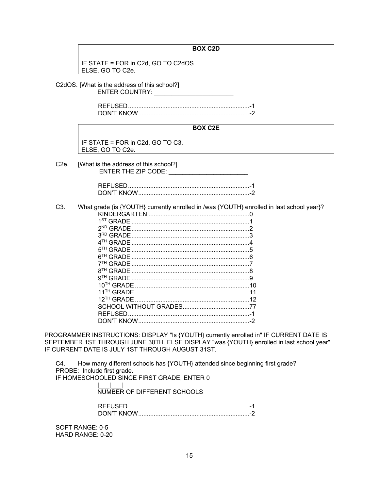## **BOX C2D**

IF STATE = FOR in C2d, GO TO C2dOS. ELSE, GO TO C2e.

C2dOS. [What is the address of this school?] ENTER COUNTRY:

> REFUSED ....................................................................... -1 DON'T KNOW ................................................................. -2

## **BOX C2E**

IF STATE = FOR in C2d, GO TO C3. ELSE, GO TO C2e.

C2e. [What is the address of this school?] ENTER THE ZIP CODE:

| DON'T KNOW |  |
|------------|--|

C3. What grade {is {YOUTH} currently enrolled in /was {YOUTH} enrolled in last school year}?

| $1ST$ GRADE           |  |
|-----------------------|--|
| <sup>2ND</sup> GRADE  |  |
| 3 <sup>RD</sup> GRADE |  |
|                       |  |
| 5 <sup>TH</sup> GRADE |  |
|                       |  |
|                       |  |
|                       |  |
|                       |  |
|                       |  |
|                       |  |
| $12^{TH}$ GRADE       |  |
|                       |  |
|                       |  |
|                       |  |
|                       |  |

PROGRAMMER INSTRUCTIONS: DISPLAY "Is {YOUTH} currently enrolled in" IF CURRENT DATE IS SEPTEMBER 1ST THROUGH JUNE 30TH. ELSE DISPLAY "was {YOUTH} enrolled in last school year" IF CURRENT DATE IS JULY 1ST THROUGH AUGUST 31ST.

C4. How many different schools has {YOUTH} attended since beginning first grade? PROBE: Include first grade. IF HOMESCHOOLED SINCE FIRST GRADE, ENTER 0

> |\_\_\_|\_\_\_| NUMBER OF DIFFERENT SCHOOLS

 REFUSED ....................................................................... -1 DON'T KNOW ................................................................. -2

SOFT RANGE: 0-5 HARD RANGE: 0-20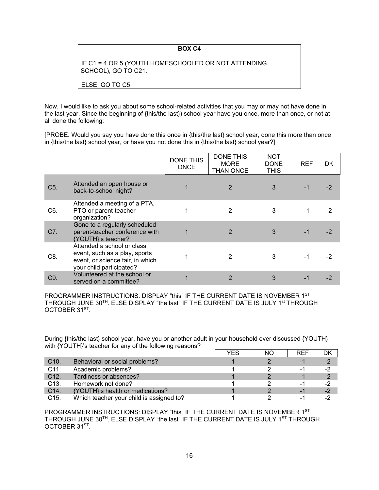## **BOX C4**

IF C1 = 4 OR 5 (YOUTH HOMESCHOOLED OR NOT ATTENDING SCHOOL), GO TO C21.

ELSE, GO TO C5.

Now, I would like to ask you about some school-related activities that you may or may not have done in the last year. Since the beginning of {this/the last}) school year have you once, more than once, or not at all done the following:

[PROBE: Would you say you have done this once in {this/the last} school year, done this more than once in {this/the last} school year, or have you not done this in {this/the last} school year?]

|                  |                                                                                                                             | <b>DONE THIS</b><br><b>ONCE</b> | <b>DONE THIS</b><br><b>MORE</b><br><b>THAN ONCE</b> | <b>NOT</b><br><b>DONE</b><br><b>THIS</b> | <b>REF</b> | DK   |
|------------------|-----------------------------------------------------------------------------------------------------------------------------|---------------------------------|-----------------------------------------------------|------------------------------------------|------------|------|
| C <sub>5</sub> . | Attended an open house or<br>back-to-school night?                                                                          |                                 | 2                                                   | 3                                        | $-1$       | $-2$ |
| C6.              | Attended a meeting of a PTA,<br>PTO or parent-teacher<br>organization?                                                      |                                 | 2                                                   | 3                                        |            | -2   |
| C7.              | Gone to a regularly scheduled<br>parent-teacher conference with<br>{YOUTH}'s teacher?                                       |                                 | 2                                                   | 3                                        | $-1$       | $-2$ |
| C8.              | Attended a school or class<br>event, such as a play, sports<br>event, or science fair, in which<br>your child participated? |                                 | 2                                                   | 3                                        | -1         | -2   |
| C9.              | Volunteered at the school or<br>served on a committee?                                                                      |                                 | 2                                                   | 3                                        |            | -2   |

PROGRAMMER INSTRUCTIONS: DISPLAY "this" IF THE CURRENT DATE IS NOVEMBER 1ST THROUGH JUNE 30TH. ELSE DISPLAY "the last" IF THE CURRENT DATE IS JULY 1st THROUGH OCTOBER 31<sup>ST</sup>.

During {this/the last} school year, have you or another adult in your household ever discussed {YOUTH} with {YOUTH}'s teacher for any of the following reasons?

|                   |                                          | YES | ΝC | RFF      | DK   |
|-------------------|------------------------------------------|-----|----|----------|------|
| C <sub>10</sub>   | Behavioral or social problems?           |     |    | $\sim$ 1 | $-2$ |
| C11.              | Academic problems?                       |     |    | нU       | $-2$ |
| C12.              | Tardiness or absences?                   |     |    | -1       | $-2$ |
| C <sub>13</sub> . | Homework not done?                       |     |    | -1       | -2   |
| C14.              | {YOUTH}'s health or medications?         |     |    |          | $-2$ |
| C <sub>15</sub> . | Which teacher your child is assigned to? |     |    |          |      |

PROGRAMMER INSTRUCTIONS: DISPLAY "this" IF THE CURRENT DATE IS NOVEMBER 1ST THROUGH JUNE 30<sup>TH</sup>. ELSE DISPLAY "the last" IF THE CURRENT DATE IS JULY 1<sup>ST</sup> THROUGH OCTOBER 31<sup>ST</sup>.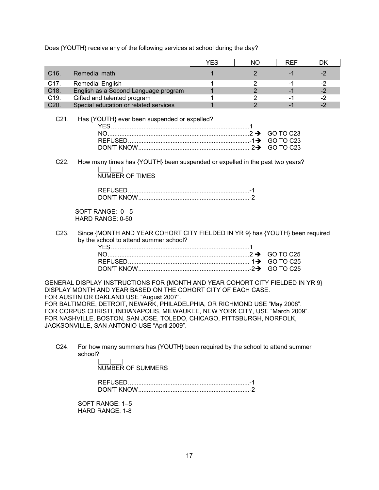Does {YOUTH} receive any of the following services at school during the day?

|                                                                                                                                                                                                                                                                                                                                                                                                                                                                                   |                                                                                                                        | <b>YES</b>  | <b>NO</b>      | <b>REF</b>                                 | <b>DK</b> |
|-----------------------------------------------------------------------------------------------------------------------------------------------------------------------------------------------------------------------------------------------------------------------------------------------------------------------------------------------------------------------------------------------------------------------------------------------------------------------------------|------------------------------------------------------------------------------------------------------------------------|-------------|----------------|--------------------------------------------|-----------|
| C16.                                                                                                                                                                                                                                                                                                                                                                                                                                                                              | Remedial math                                                                                                          | $\mathbf 1$ | $\overline{2}$ | $-1$                                       | $-2$      |
| C17.                                                                                                                                                                                                                                                                                                                                                                                                                                                                              | <b>Remedial English</b>                                                                                                | 1           | 2              | -1                                         | $-2$      |
| C18.                                                                                                                                                                                                                                                                                                                                                                                                                                                                              | English as a Second Language program                                                                                   | 1           | $\overline{2}$ | $-1$                                       | $-2$      |
| C19.                                                                                                                                                                                                                                                                                                                                                                                                                                                                              | Gifted and talented program                                                                                            | 1           | 2              | -1                                         | $-2$      |
| C20.                                                                                                                                                                                                                                                                                                                                                                                                                                                                              | Special education or related services                                                                                  | $\mathbf 1$ | $\overline{2}$ | $-1$                                       | $-2$      |
| $C21$ .                                                                                                                                                                                                                                                                                                                                                                                                                                                                           | Has {YOUTH} ever been suspended or expelled?                                                                           |             |                | <b>GO TO C23</b><br>GO TO C23<br>GO TO C23 |           |
| C22.                                                                                                                                                                                                                                                                                                                                                                                                                                                                              | How many times has {YOUTH} been suspended or expelled in the past two years?<br><b>NUMBER OF TIMES</b>                 |             |                |                                            |           |
|                                                                                                                                                                                                                                                                                                                                                                                                                                                                                   | SOFT RANGE: 0 - 5<br>HARD RANGE: 0-50                                                                                  |             |                |                                            |           |
| C23.                                                                                                                                                                                                                                                                                                                                                                                                                                                                              | Since {MONTH AND YEAR COHORT CITY FIELDED IN YR 9} has {YOUTH} been required<br>by the school to attend summer school? |             |                | <b>GO TO C25</b><br><b>GO TO C25</b>       |           |
| GENERAL DISPLAY INSTRUCTIONS FOR {MONTH AND YEAR COHORT CITY FIELDED IN YR 9}<br>DISPLAY MONTH AND YEAR BASED ON THE COHORT CITY OF EACH CASE.<br>FOR AUSTIN OR OAKLAND USE "August 2007".<br>FOR BALTIMORE, DETROIT, NEWARK, PHILADELPHIA, OR RICHMOND USE "May 2008".<br>FOR CORPUS CHRISTI, INDIANAPOLIS, MILWAUKEE, NEW YORK CITY, USE "March 2009".<br>FOR NASHVILLE, BOSTON, SAN JOSE, TOLEDO, CHICAGO, PITTSBURGH, NORFOLK,<br>JACKSONVILLE, SAN ANTONIO USE "April 2009". |                                                                                                                        |             |                |                                            |           |

C24. For how many summers has {YOUTH} been required by the school to attend summer school?

|\_\_\_|\_\_\_| NUMBER OF SUMMERS

 REFUSED ....................................................................... -1 DON'T KNOW ................................................................. -2

SOFT RANGE: 1–5 HARD RANGE: 1-8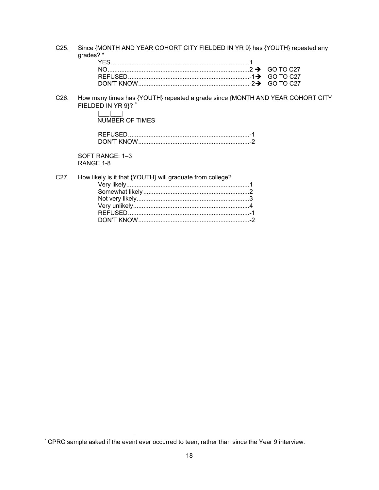C25. Since {MONTH AND YEAR COHORT CITY FIELDED IN YR 9} has {YOUTH} repeated any grades? \*

C26. How many times has {YOUTH} repeated a grade since {MONTH AND YEAR COHORT CITY FIELDED IN YR 9}? \*

| NUMBER OF TIMES |  |
|-----------------|--|

| DON'T KNOW |  |
|------------|--|

SOFT RANGE: 1–3 RANGE 1-8

 $\overline{a}$ 

|  | C27. How likely is it that {YOUTH} will graduate from college? |  |
|--|----------------------------------------------------------------|--|
|  |                                                                |  |
|  |                                                                |  |
|  |                                                                |  |
|  |                                                                |  |
|  |                                                                |  |
|  |                                                                |  |
|  |                                                                |  |

<sup>\*</sup> CPRC sample asked if the event ever occurred to teen, rather than since the Year 9 interview.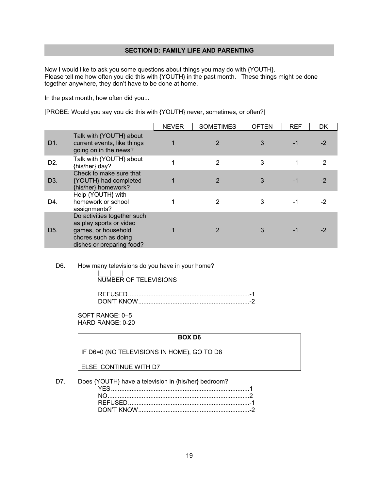## **SECTION D: FAMILY LIFE AND PARENTING**

Now I would like to ask you some questions about things you may do with {YOUTH}. Please tell me how often you did this with {YOUTH} in the past month. These things might be done together anywhere, they don't have to be done at home.

In the past month, how often did you...

[PROBE: Would you say you did this with {YOUTH} never, sometimes, or often?]

|                  |                                                                                                                                    | <b>NEVER</b> | <b>SOMETIMES</b> | <b>OFTEN</b> | <b>REF</b> | DK   |
|------------------|------------------------------------------------------------------------------------------------------------------------------------|--------------|------------------|--------------|------------|------|
| D1.              | Talk with {YOUTH} about<br>current events, like things<br>going on in the news?                                                    |              |                  | 3            |            | $-2$ |
| D <sub>2</sub> . | Talk with {YOUTH} about<br>{his/her} day?                                                                                          |              | $\overline{2}$   | 3            | $-1$       | $-2$ |
| D <sub>3</sub>   | Check to make sure that<br>{YOUTH} had completed<br>{his/her} homework?                                                            |              | 2                | 3            |            | -2   |
| D4.              | Help {YOUTH} with<br>homework or school<br>assignments?                                                                            |              | 2                | 3            |            |      |
| D <sub>5</sub> . | Do activities together such<br>as play sports or video<br>games, or household<br>chores such as doing<br>dishes or preparing food? |              | 2                | 3            |            |      |

## D6. How many televisions do you have in your home?

|\_\_\_|\_\_\_| NUMBER OF TELEVISIONS

| JON'T KNOW |  |
|------------|--|

SOFT RANGE: 0–5 HARD RANGE: 0-20

## **BOX D6**

IF D6=0 (NO TELEVISIONS IN HOME), GO TO D8

## ELSE, CONTINUE WITH D7

D7. Does {YOUTH} have a television in {his/her} bedroom?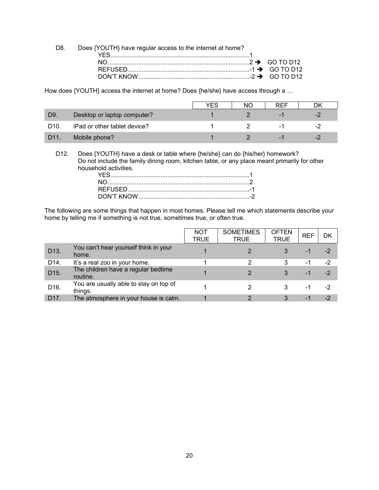| D8. Does {YOUTH} have regular access to the internet at home? |  |
|---------------------------------------------------------------|--|
|                                                               |  |
|                                                               |  |
|                                                               |  |
|                                                               |  |

How does {YOUTH} access the internet at home? Does {he/she} have access through a …

|                 |                              | YES | NΟ | <b>REF</b> |     |
|-----------------|------------------------------|-----|----|------------|-----|
| D <sub>9</sub>  | Desktop or laptop computer?  |     |    |            | - / |
| D <sub>10</sub> | iPad or other tablet device? |     |    | - 1        | - 1 |
| D <sub>11</sub> | Mobile phone?                |     |    |            | - 1 |

D12. Does {YOUTH} have a desk or table where {he/she} can do {his/her} homework? Do not include the family dining room, kitchen table, or any place meant primarily for other household activities.

The following are some things that happen in most homes. Please tell me which statements describe your home by telling me if something is not true, sometimes true, or often true.

|                 |                                                   | <b>NOT</b><br><b>TRUE</b> | <b>SOMETIMES</b><br><b>TRUE</b> | <b>OFTEN</b><br><b>TRUE</b> | <b>REF</b> | DK   |
|-----------------|---------------------------------------------------|---------------------------|---------------------------------|-----------------------------|------------|------|
| D13.            | You can't hear yourself think in your<br>home.    |                           |                                 |                             | -1         | -2   |
| D14.            | It's a real zoo in your home.                     |                           | 2                               | 3                           | -1         | $-2$ |
| D15.            | The children have a regular bedtime<br>routine.   |                           | 2                               | 3                           | -1         | $-2$ |
| D16.            | You are usually able to stay on top of<br>things. |                           |                                 | 3                           | -1         | -2   |
| D <sub>17</sub> | The atmosphere in your house is calm.             |                           | っ                               | 3                           | ÷          | $-2$ |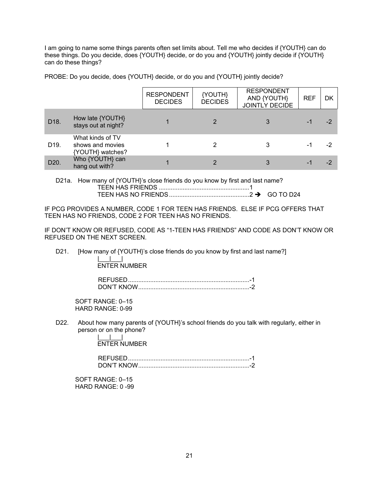I am going to name some things parents often set limits about. Tell me who decides if {YOUTH} can do these things. Do you decide, does {YOUTH} decide, or do you and {YOUTH} jointly decide if {YOUTH} can do these things?

PROBE: Do you decide, does {YOUTH} decide, or do you and {YOUTH} jointly decide?

|                   |                                                          | <b>RESPONDENT</b><br><b>DECIDES</b> | {YOUTH}<br><b>DECIDES</b> | <b>RESPONDENT</b><br>AND {YOUTH}<br>JOINTLY DECIDE | <b>REF</b> | DK   |
|-------------------|----------------------------------------------------------|-------------------------------------|---------------------------|----------------------------------------------------|------------|------|
| D18.              | How late {YOUTH}<br>stays out at night?                  |                                     |                           |                                                    |            | -2   |
| D <sub>19</sub> . | What kinds of TV<br>shows and movies<br>{YOUTH} watches? |                                     |                           |                                                    |            |      |
| D <sub>20</sub>   | Who {YOUTH} can<br>hang out with?                        |                                     |                           |                                                    |            | $-2$ |

D21a. How many of {YOUTH}'s close friends do you know by first and last name? TEEN HAS FRIENDS ..................................................... 1 TEEN HAS NO FRIENDS ............................................... 2 GO TO D24

IF PCG PROVIDES A NUMBER, CODE 1 FOR TEEN HAS FRIENDS. ELSE IF PCG OFFERS THAT TEEN HAS NO FRIENDS, CODE 2 FOR TEEN HAS NO FRIENDS.

IF DON'T KNOW OR REFUSED, CODE AS "1-TEEN HAS FRIENDS" AND CODE AS DON'T KNOW OR REFUSED ON THE NEXT SCREEN.

D21. [How many of {YOUTH}'s close friends do you know by first and last name?] |\_\_\_|\_\_\_|

ENTER NUMBER

| M'T KNOW |  |
|----------|--|

SOFT RANGE: 0–15 HARD RANGE: 0-99

D22. About how many parents of {YOUTH}'s school friends do you talk with regularly, either in person or on the phone?

> |\_\_\_|\_\_\_| ENTER NUMBER

 REFUSED ....................................................................... -1 DON'T KNOW ................................................................. -2

SOFT RANGE: 0–15 HARD RANGE: 0 -99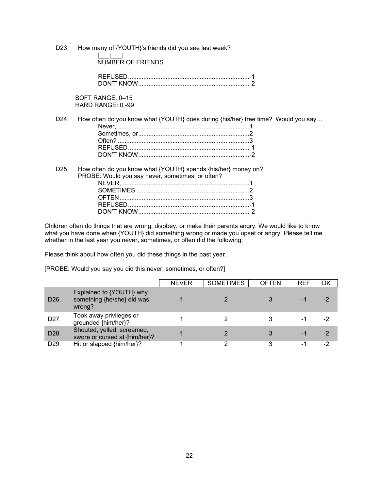D23. How many of {YOUTH}'s friends did you see last week?

|\_\_\_|\_\_\_| NUMBER OF FRIENDS

| <u>ON'T KNOW ה</u> |  |
|--------------------|--|

SOFT RANGE: 0–15 HARD RANGE: 0 -99

D24. How often do you know what {YOUTH} does during {his/her} free time? Would you say...

D25. How often do you know what {YOUTH} spends {his/her} money on? PROBE: Would you say never, sometimes, or often? NEVER, ........................................................................... 1 SOMETIMES .................................................................. 2 OFTEN ............................................................................ 3 REFUSED ....................................................................... -1 DON'T KNOW ................................................................. -2

Children often do things that are wrong, disobey, or make their parents angry. We would like to know what you have done when {YOUTH} did something wrong or made you upset or angry. Please tell me whether in the last year you never, sometimes, or often did the following:

Please think about how often you did these things in the past year.

[PROBE: Would you say you did this never, sometimes, or often?]

|                   |                                                                  | <b>NEVER</b> | <b>SOMETIMES</b> | <b>OFTEN</b> | <b>REF</b> | DK |
|-------------------|------------------------------------------------------------------|--------------|------------------|--------------|------------|----|
| D <sub>26</sub> . | Explained to {YOUTH} why<br>something {he/she} did was<br>wrong? |              |                  |              |            |    |
| D27.              | Took away privileges or<br>grounded {him/her}?                   |              |                  |              |            |    |
| D28.              | Shouted, yelled, screamed,<br>swore or cursed at {him/her}?      |              |                  |              | - 1        |    |
| D <sub>29</sub>   | Hit or slapped {him/her}?                                        |              |                  |              |            | -2 |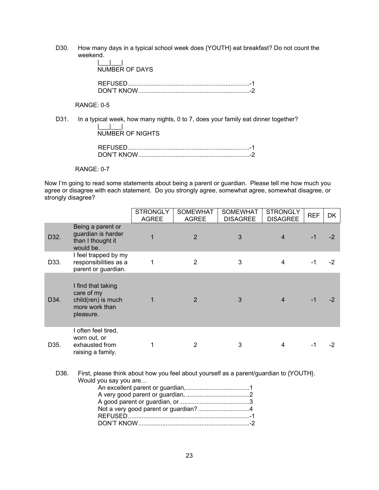D30. How many days in a typical school week does {YOUTH} eat breakfast? Do not count the weekend. |\_\_\_|\_\_\_|

| NUMBER OF DAYS |  |
|----------------|--|
|                |  |

RANGE: 0-5

D31. In a typical week, how many nights, 0 to 7, does your family eat dinner together? |\_\_\_|\_\_\_| NUMBER OF NIGHTS

REFUSED ....................................................................... -1

DON'T KNOW ................................................................. -2

RANGE: 0-7

Now I'm going to read some statements about being a parent or guardian. Please tell me how much you agree or disagree with each statement. Do you strongly agree, somewhat agree, somewhat disagree, or strongly disagree?

|      |                                                                                       | <b>STRONGLY</b><br><b>AGREE</b> | <b>SOMEWHAT</b><br><b>AGREE</b> | <b>SOMEWHAT</b><br><b>DISAGREE</b> | <b>STRONGLY</b><br><b>DISAGREE</b> | <b>REF</b> | <b>DK</b> |
|------|---------------------------------------------------------------------------------------|---------------------------------|---------------------------------|------------------------------------|------------------------------------|------------|-----------|
| D32. | Being a parent or<br>guardian is harder<br>than I thought it<br>would be.             |                                 | $\overline{2}$                  | 3                                  | 4                                  | $-1$       | $-2$      |
| D33. | I feel trapped by my<br>responsibilities as a<br>parent or guardian.                  | 1                               | 2                               | 3                                  | 4                                  | $-1$       | -2        |
| D34. | I find that taking<br>care of my<br>child(ren) is much<br>more work than<br>pleasure. |                                 | $\overline{2}$                  | 3                                  | 4                                  | $-1$       | -2        |
| D35. | I often feel tired,<br>worn out, or<br>exhausted from<br>raising a family.            |                                 | 2                               | 3                                  | 4                                  |            | -2        |

D36. First, please think about how you feel about yourself as a parent/guardian to {YOUTH}. Would you say you are…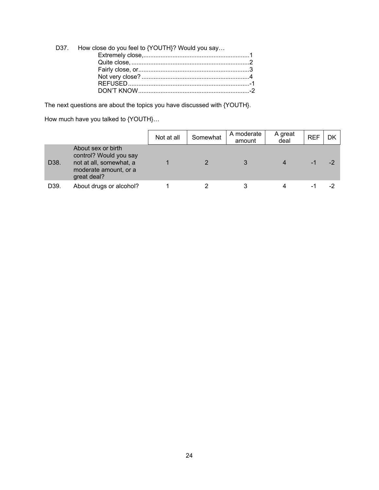| D37. How close do you feel to {YOUTH}? Would you say |  |
|------------------------------------------------------|--|
|                                                      |  |
|                                                      |  |
|                                                      |  |
|                                                      |  |
|                                                      |  |
|                                                      |  |
|                                                      |  |

The next questions are about the topics you have discussed with {YOUTH}.

How much have you talked to {YOUTH}…

|                 |                                                                                                                 | Not at all | Somewhat | A moderate<br>amount | A great<br>deal | <b>REF</b> | DK       |
|-----------------|-----------------------------------------------------------------------------------------------------------------|------------|----------|----------------------|-----------------|------------|----------|
| D38.            | About sex or birth<br>control? Would you say<br>not at all, somewhat, a<br>moderate amount, or a<br>great deal? |            |          |                      |                 | - 1        | $-2^{1}$ |
| D <sub>39</sub> | About drugs or alcohol?                                                                                         |            |          |                      |                 |            |          |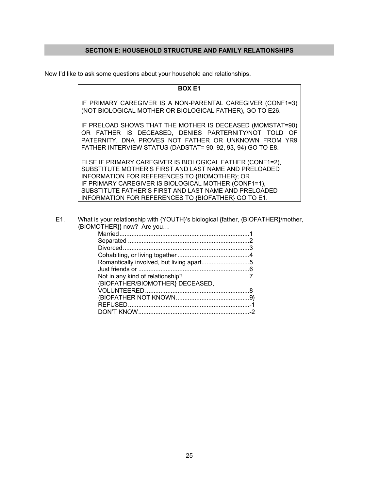## **SECTION E: HOUSEHOLD STRUCTURE AND FAMILY RELATIONSHIPS**

Now I'd like to ask some questions about your household and relationships.

**BOX E1** 

IF PRIMARY CAREGIVER IS A NON-PARENTAL CAREGIVER (CONF1=3) (NOT BIOLOGICAL MOTHER OR BIOLOGICAL FATHER), GO TO E26.

IF PRELOAD SHOWS THAT THE MOTHER IS DECEASED (MOMSTAT=90) OR FATHER IS DECEASED, DENIES PARTERNITY/NOT TOLD OF PATERNITY, DNA PROVES NOT FATHER OR UNKNOWN FROM YR9 FATHER INTERVIEW STATUS (DADSTAT= 90, 92, 93, 94) GO TO E8.

ELSE IF PRIMARY CAREGIVER IS BIOLOGICAL FATHER (CONF1=2), SUBSTITUTE MOTHER'S FIRST AND LAST NAME AND PRELOADED INFORMATION FOR REFERENCES TO {BIOMOTHER}; OR IF PRIMARY CAREGIVER IS BIOLOGICAL MOTHER (CONF1=1), SUBSTITUTE FATHER'S FIRST AND LAST NAME AND PRELOADED INFORMATION FOR REFERENCES TO {BIOFATHER} GO TO E1.

E1. What is your relationship with {YOUTH}'s biological {father, {BIOFATHER}/mother, {BIOMOTHER}} now? Are you…

| Romantically involved, but living apart5 |  |
|------------------------------------------|--|
|                                          |  |
|                                          |  |
| {BIOFATHER/BIOMOTHER} DECEASED,          |  |
|                                          |  |
|                                          |  |
|                                          |  |
|                                          |  |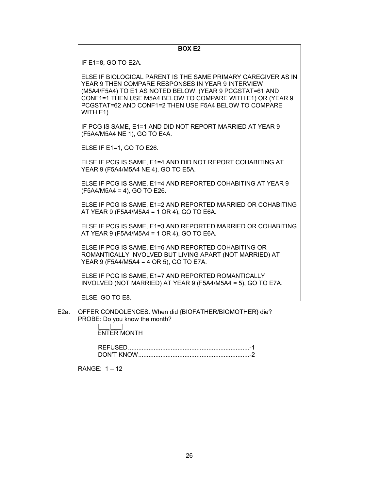## **BOX E2**

IF E1=8, GO TO E2A.

ELSE IF BIOLOGICAL PARENT IS THE SAME PRIMARY CAREGIVER AS IN YEAR 9 THEN COMPARE RESPONSES IN YEAR 9 INTERVIEW (M5A4/F5A4) TO E1 AS NOTED BELOW. (YEAR 9 PCGSTAT=61 AND CONF1=1 THEN USE M5A4 BELOW TO COMPARE WITH E1) OR (YEAR 9 PCGSTAT=62 AND CONF1=2 THEN USE F5A4 BELOW TO COMPARE WITH E1).

IF PCG IS SAME, E1=1 AND DID NOT REPORT MARRIED AT YEAR 9 (F5A4/M5A4 NE 1), GO TO E4A.

ELSE IF E1=1, GO TO E26.

ELSE IF PCG IS SAME, E1=4 AND DID NOT REPORT COHABITING AT YEAR 9 (F5A4/M5A4 NE 4), GO TO E5A.

ELSE IF PCG IS SAME, E1=4 AND REPORTED COHABITING AT YEAR 9 (F5A4/M5A4 = 4), GO TO E26.

ELSE IF PCG IS SAME, E1=2 AND REPORTED MARRIED OR COHABITING AT YEAR 9 (F5A4/M5A4 = 1 OR 4), GO TO E6A.

ELSE IF PCG IS SAME, E1=3 AND REPORTED MARRIED OR COHABITING AT YEAR 9 (F5A4/M5A4 = 1 OR 4), GO TO E6A.

ELSE IF PCG IS SAME, E1=6 AND REPORTED COHABITING OR ROMANTICALLY INVOLVED BUT LIVING APART (NOT MARRIED) AT YEAR 9 (F5A4/M5A4 = 4 OR 5), GO TO E7A.

ELSE IF PCG IS SAME, E1=7 AND REPORTED ROMANTICALLY INVOLVED (NOT MARRIED) AT YEAR 9 (F5A4/M5A4 = 5), GO TO E7A.

ELSE, GO TO E8.

 E2a. OFFER CONDOLENCES. When did {BIOFATHER/BIOMOTHER} die? PROBE: Do you know the month?

ENTER MONTH

 REFUSED ....................................................................... -1 DON'T KNOW ................................................................. -2

RANGE: 1 – 12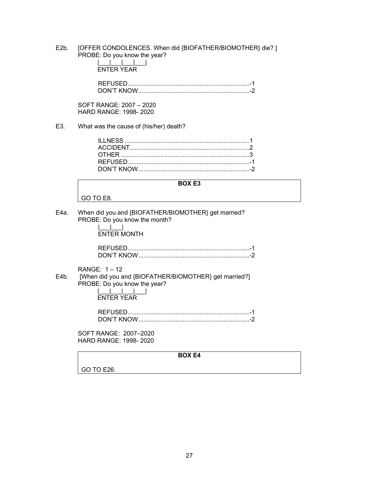E2b. [OFFER CONDOLENCES. When did {BIOFATHER/BIOMOTHER} die? ] PROBE: Do you know the year?

| FNTFR YFAR |  |  |
|------------|--|--|

 REFUSED ....................................................................... -1 DON'T KNOW ................................................................. -2

SOFT RANGE: 2007 – 2020 HARD RANGE: 1998- 2020

E3. What was the cause of (his/her) death?

**BOX E3** 

GO TO E8.

E4a. When did you and {BIOFATHER/BIOMOTHER} get married? PROBE: Do you know the month?

> |\_\_\_|\_\_\_| ENTER MONTH

| DON'T KNOW |  |
|------------|--|

RANGE: 1 – 12

E4b. [When did you and {BIOFATHER/BIOMOTHER} get married?] PROBE: Do you know the year? |\_\_\_|\_\_\_|\_\_\_|\_\_\_|

ENTER YEAR

SOFT RANGE: 2007–2020 HARD RANGE: 1998- 2020

**BOX E4** 

GO TO E26.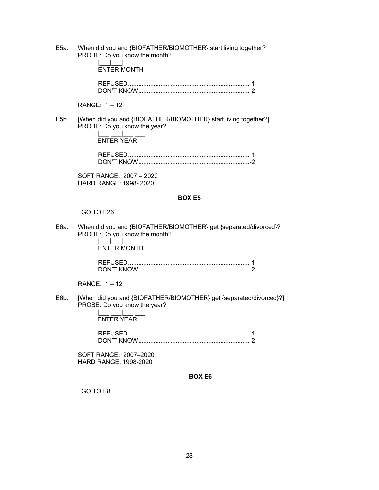E5a. When did you and {BIOFATHER/BIOMOTHER} start living together? PROBE: Do you know the month?

|\_\_\_<u>|\_\_</u>|\_\_\_| ENTER MONTH

| DON'T KNOW |  |
|------------|--|

RANGE: 1 – 12

E5b. [When did you and {BIOFATHER/BIOMOTHER} start living together?] PROBE: Do you know the year?  $|$   $|$   $|$   $|$   $|$   $|$   $|$ 

ENTER YEAR

SOFT RANGE: 2007 – 2020 HARD RANGE: 1998- 2020

## **BOX E5**

GO TO E26.

E6a. When did you and {BIOFATHER/BIOMOTHER} get {separated/divorced}? PROBE: Do you know the month?

 |\_\_\_|\_\_\_| ENTER MONTH

| DON'T KNOW |  |
|------------|--|

RANGE: 1 – 12

E6b. [When did you and {BIOFATHER/BIOMOTHER} get {separated/divorced}?] PROBE: Do you know the year?

|\_\_\_|\_\_\_|\_\_\_|\_\_\_| ENTER YEAR

 REFUSED ....................................................................... -1 DON'T KNOW ................................................................. -2

SOFT RANGE: 2007–2020 HARD RANGE: 1998-2020

**BOX E6** 

GO TO E8.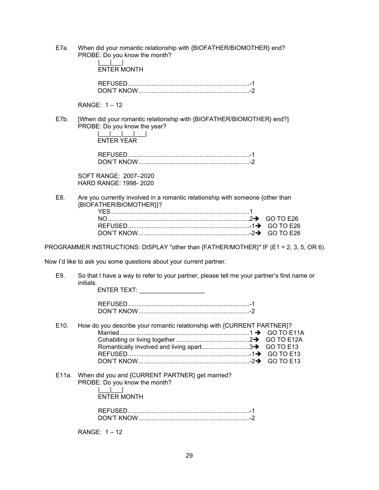E7a. When did your romantic relationship with {BIOFATHER/BIOMOTHER} end? PROBE: Do you know the month?

| <b>FNTFR MONTH</b> |  |
|--------------------|--|
|                    |  |
|                    |  |

RANGE: 1 – 12

|\_\_\_|\_\_\_|

E7b. [When did your romantic relationship with {BIOFATHER/BIOMOTHER} end?] PROBE: Do you know the year?

 $|$   $|$   $|$   $|$   $|$   $|$   $|$ ENTER YEAR

SOFT RANGE: 2007–2020 HARD RANGE: 1998- 2020

E8. Are you currently involved in a romantic relationship with someone {other than {BIOFATHER/BIOMOTHER}}?

PROGRAMMER INSTRUCTIONS: DISPLAY "other than {FATHER/MOTHER}" IF (E1 = 2, 3, 5, OR 6).

Now I'd like to ask you some questions about your current partner.

E9. So that I have a way to refer to your partner, please tell me your partner's first name or initials.

ENTER TEXT: **with the set of the set of the set of the set of the set of the set of the set of the set of the set of the set of the set of the set of the set of the set of the set of the set of the set of the set of the se** 

| REFUSED |  |
|---------|--|
|         |  |

- E10. How do you describe your romantic relationship with {CURRENT PARTNER}? Married ............................................................................ 1 GO TO E11A Cohabiting or living together ........................................... 2GO TO E12A Romantically involved and living apart................................3> GO TO E13 REFUSED ....................................................................... -1GO TO E13 DON'T KNOW ................................................................. -2GO TO E13
- E11a. When did you and {CURRENT PARTNER} get married? PROBE: Do you know the month?  $\|$

ENTER MONTH

| REFUSEI    |  |
|------------|--|
| DON'T KNOW |  |

RANGE: 1 – 12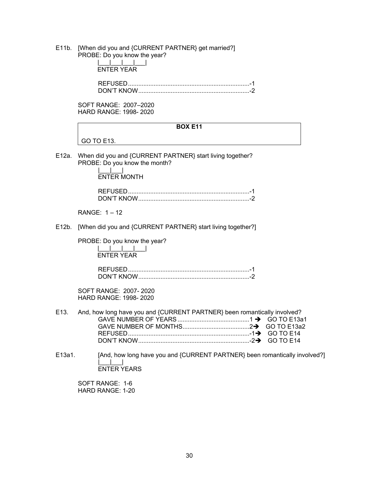E11b. [When did you and {CURRENT PARTNER} get married?]

| ㄷㅣㅣい. | [viller] did you and {CORRENT PARTINER} get manied !]<br>PROBE: Do you know the year?<br><b>ENTER YEAR</b>       |
|-------|------------------------------------------------------------------------------------------------------------------|
|       |                                                                                                                  |
|       | SOFT RANGE: 2007-2020<br>HARD RANGE: 1998-2020                                                                   |
|       | <b>BOX E11</b>                                                                                                   |
|       | GO TO E13.                                                                                                       |
| E12a. | When did you and {CURRENT PARTNER} start living together?<br>PROBE: Do you know the month?<br><b>ENTER MONTH</b> |
|       |                                                                                                                  |
|       | RANGE: 1-12                                                                                                      |
| E12b. | [When did you and {CURRENT PARTNER} start living together?]                                                      |
|       | PROBE: Do you know the year?<br><b>ENTER YEAR</b>                                                                |
|       |                                                                                                                  |
|       | SOFT RANGE: 2007-2020<br><b>HARD RANGE: 1998-2020</b>                                                            |
| E13.  | And, how long have you and {CURRENT PARTNER} been romantically involved?<br><b>GO TO E14</b><br><b>GO TO E14</b> |

E13a1. [And, how long have you and {CURRENT PARTNER} been romantically involved?] |\_\_\_|\_\_\_| ENTER YEARS

SOFT RANGE: 1-6 HARD RANGE: 1-20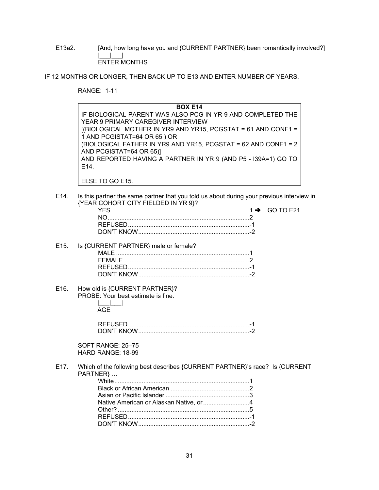E13a2. [And, how long have you and {CURRENT PARTNER} been romantically involved?] |\_\_\_|\_\_\_| ENTER MONTHS

IF 12 MONTHS OR LONGER, THEN BACK UP TO E13 AND ENTER NUMBER OF YEARS.

RANGE: 1-11

| <b>BOX E14</b>                                                  |
|-----------------------------------------------------------------|
| IF BIOLOGICAL PARENT WAS ALSO PCG IN YR 9 AND COMPLETED THE     |
| YEAR 9 PRIMARY CAREGIVER INTERVIEW                              |
| $[(BIOLOGICAL MOTHER IN YR9 AND YR15, PCGSTAT = 61 AND CONF1 =$ |
| 1 AND PCGISTAT=64 OR 65 ) OR                                    |
| (BIOLOGICAL FATHER IN YR9 AND YR15, PCGSTAT = 62 AND CONF1 = 2  |
| AND PCGISTAT=64 OR 65)]                                         |
| AND REPORTED HAVING A PARTNER IN YR 9 (AND P5 - I39A=1) GO TO   |
| E14                                                             |
|                                                                 |

- ELSE TO GO E15.
- E14. Is this partner the same partner that you told us about during your previous interview in {YEAR COHORT CITY FIELDED IN YR 9}?

|  | $( -1)$ $( +1)$ |
|--|-----------------|
|  |                 |
|  |                 |
|  |                 |

#### E15. Is {CURRENT PARTNER} male or female? MALE .............................................................................. 1 FEMALE .......................................................................... 2 REFUSED ....................................................................... -1 DON'T KNOW ................................................................. -2

E16. How old is {CURRENT PARTNER}? PROBE: Your best estimate is fine.

## |\_\_\_|\_\_\_| AGE

| JON'T KNOW |  |
|------------|--|

SOFT RANGE: 25–75 HARD RANGE: 18-99

E17. Which of the following best describes {CURRENT PARTNER}'s race? Is {CURRENT PARTNER} …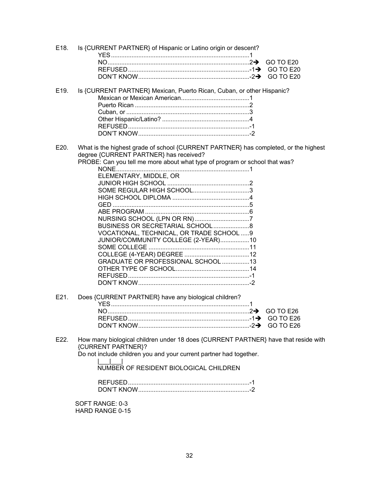| E18. | Is {CURRENT PARTNER} of Hispanic or Latino origin or descent?                                                                 |
|------|-------------------------------------------------------------------------------------------------------------------------------|
|      | GO TO E20                                                                                                                     |
|      |                                                                                                                               |
|      | GO TO E20                                                                                                                     |
| E19. | Is {CURRENT PARTNER} Mexican, Puerto Rican, Cuban, or other Hispanic?                                                         |
|      |                                                                                                                               |
|      |                                                                                                                               |
|      |                                                                                                                               |
|      |                                                                                                                               |
|      |                                                                                                                               |
|      |                                                                                                                               |
| E20. | What is the highest grade of school {CURRENT PARTNER} has completed, or the highest<br>degree {CURRENT PARTNER} has received? |
|      | PROBE: Can you tell me more about what type of program or school that was?                                                    |
|      |                                                                                                                               |
|      | ELEMENTARY, MIDDLE, OR                                                                                                        |
|      |                                                                                                                               |
|      |                                                                                                                               |
|      |                                                                                                                               |
|      |                                                                                                                               |
|      |                                                                                                                               |
|      | BUSINESS OR SECRETARIAL SCHOOL8                                                                                               |
|      | VOCATIONAL, TECHNICAL, OR TRADE SCHOOL 9                                                                                      |
|      | JUNIOR/COMMUNITY COLLEGE (2-YEAR)10                                                                                           |
|      |                                                                                                                               |
|      |                                                                                                                               |
|      | GRADUATE OR PROFESSIONAL SCHOOL 13                                                                                            |
|      |                                                                                                                               |
|      |                                                                                                                               |
|      |                                                                                                                               |
| E21. | Does {CURRENT PARTNER} have any biological children?                                                                          |
|      |                                                                                                                               |
|      |                                                                                                                               |
|      |                                                                                                                               |
| E22. | How many biological children under 18 does {CURRENT PARTNER} have that reside with<br>{CURRENT PARTNER}?                      |
|      | Do not include children you and your current partner had together.                                                            |
|      | NUMBER OF RESIDENT BIOLOGICAL CHILDREN                                                                                        |
|      |                                                                                                                               |
|      | SOFT RANGE: 0-3                                                                                                               |

HARD RANGE 0-15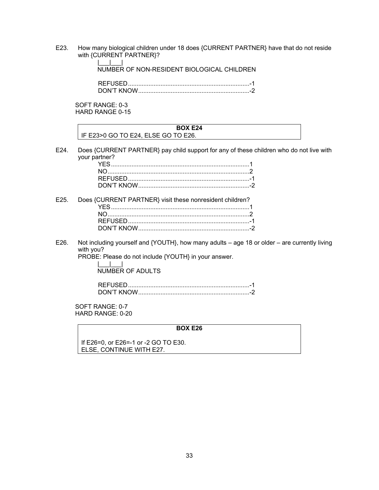E23. How many biological children under 18 does {CURRENT PARTNER} have that do not reside with {CURRENT PARTNER}?

> |\_\_\_|\_\_\_| NUMBER OF NON-RESIDENT BIOLOGICAL CHILDREN

| JN'T KNOW |  |
|-----------|--|

SOFT RANGE: 0-3 HARD RANGE 0-15

## **BOX E24**  IF E23>0 GO TO E24, ELSE GO TO E26.

E24. Does {CURRENT PARTNER} pay child support for any of these children who do not live with your partner?

| E25. Does {CURRENT PARTNER} visit these nonresident children? |  |
|---------------------------------------------------------------|--|
|                                                               |  |
|                                                               |  |
|                                                               |  |
|                                                               |  |

E26. Not including yourself and {YOUTH}, how many adults – age 18 or older – are currently living with you?

PROBE: Please do not include {YOUTH} in your answer.

 $| \cdot |$ NUMBER OF ADULTS

 REFUSED ....................................................................... -1 DON'T KNOW ................................................................. -2

SOFT RANGE: 0-7 HARD RANGE: 0-20

#### **BOX E26**

If E26=0, or E26=-1 or -2 GO TO E30. ELSE, CONTINUE WITH E27.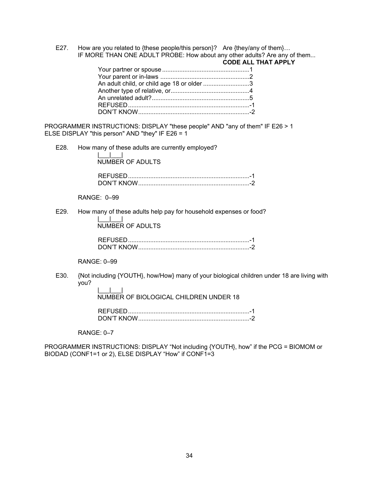E27. How are you related to {these people/this person}? Are {they/any of them}... IF MORE THAN ONE ADULT PROBE: How about any other adults? Are any of them...

|                                            | <b>CODE ALL THAT APPLY</b> |
|--------------------------------------------|----------------------------|
|                                            |                            |
|                                            |                            |
| An adult child, or child age 18 or older 3 |                            |
|                                            |                            |
|                                            |                            |
|                                            |                            |
|                                            |                            |
|                                            |                            |

PROGRAMMER INSTRUCTIONS: DISPLAY "these people" AND "any of them" IF E26 > 1 ELSE DISPLAY "this person" AND "they" IF E26 = 1

E28. How many of these adults are currently employed?

|\_\_\_|\_\_\_| NUMBER OF ADULTS

| ON'T KNOW |  |
|-----------|--|

RANGE: 0–99

E29. How many of these adults help pay for household expenses or food?

 $\|$  | NUMBER OF ADULTS

| JON'T KNOW |  |
|------------|--|

## RANGE: 0–99

E30. {Not including {YOUTH}, how/How} many of your biological children under 18 are living with you?

|\_\_\_|\_\_\_| NUMBER OF BIOLOGICAL CHILDREN UNDER 18

RANGE: 0–7

PROGRAMMER INSTRUCTIONS: DISPLAY "Not including {YOUTH}, how" if the PCG = BIOMOM or BIODAD (CONF1=1 or 2), ELSE DISPLAY "How" if CONF1=3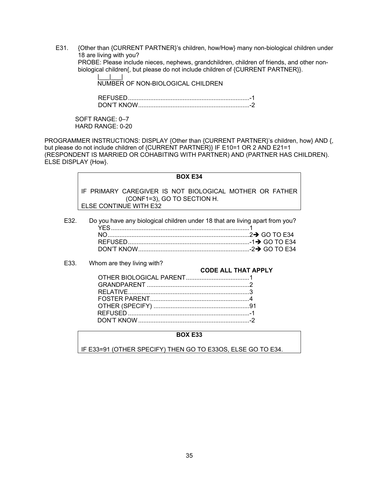E31. {Other than {CURRENT PARTNER}'s children, how/How} many non-biological children under 18 are living with you? PROBE: Please include nieces, nephews, grandchildren, children of friends, and other non-

biological children{, but please do not include children of {CURRENT PARTNER}}.

|\_\_\_|\_\_\_| NUMBER OF NON-BIOLOGICAL CHILDREN

 REFUSED ....................................................................... -1 DON'T KNOW ................................................................. -2

SOFT RANGE: 0–7 HARD RANGE: 0-20

PROGRAMMER INSTRUCTIONS: DISPLAY {Other than {CURRENT PARTNER}'s children, how} AND {, but please do not include children of {CURRENT PARTNER}} IF E10=1 OR 2 AND E21=1 (RESPONDENT IS MARRIED OR COHABITING WITH PARTNER) AND (PARTNER HAS CHILDREN). ELSE DISPLAY {How}.

## **BOX E34**

IF PRIMARY CAREGIVER IS NOT BIOLOGICAL MOTHER OR FATHER (CONF1=3), GO TO SECTION H. ELSE CONTINUE WITH E32

E32. Do you have any biological children under 18 that are living apart from you? YES ................................................................................. 1 NO ................................................................................... 2 GO TO E34 REFUSED ....................................................................... -1 GO TO E34 DON'T KNOW ................................................................. -2 GO TO E34

E33. Whom are they living with?

#### **CODE ALL THAT APPLY**

## **BOX E33**

IF E33=91 (OTHER SPECIFY) THEN GO TO E33OS, ELSE GO TO E34.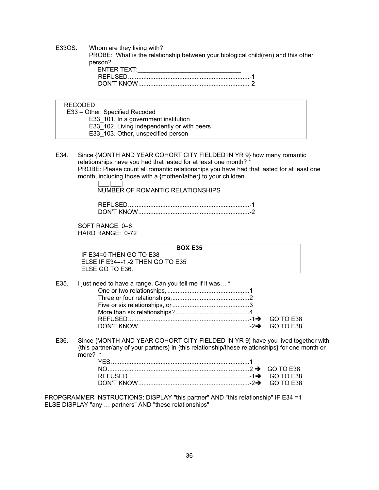E33OS. Whom are they living with? PROBE: What is the relationship between your biological child(ren) and this other person? ENTER TEXT: REFUSED ....................................................................... -1 DON'T KNOW ................................................................. -2

RECODED

 E33 – Other, Specified Recoded E33 101. In a government institution E33\_102. Living independently or with peers E33\_103. Other, unspecified person

E34. Since {MONTH AND YEAR COHORT CITY FIELDED IN YR 9} how many romantic relationships have you had that lasted for at least one month? \* PROBE: Please count all romantic relationships you have had that lasted for at least one month, including those with a {mother/father} to your children.

> |\_\_\_|\_\_\_| NUMBER OF ROMANTIC RELATIONSHIPS

 REFUSED ....................................................................... -1 DON'T KNOW ................................................................. -2

SOFT RANGE: 0–6 HARD RANGE: 0-72

**BOX E35**  IF E34=0 THEN GO TO E38 ELSE IF E34=-1,-2 THEN GO TO E35 ELSE GO TO E36.

| E35. I just need to have a range. Can you tell me if it was * |  |
|---------------------------------------------------------------|--|
|                                                               |  |
|                                                               |  |
|                                                               |  |
|                                                               |  |
|                                                               |  |
|                                                               |  |

E36. Since {MONTH AND YEAR COHORT CITY FIELDED IN YR 9} have you lived together with {this partner/any of your partners} in {this relationship/these relationships} for one month or more? \*

PROPGRAMMER INSTRUCTIONS: DISPLAY "this partner" AND "this relationship" IF E34 =1 ELSE DISPLAY "any … partners" AND "these relationships"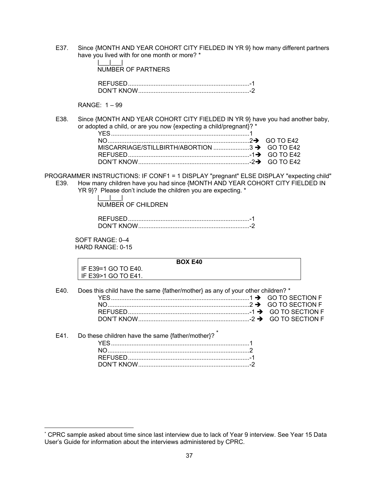E37. Since {MONTH AND YEAR COHORT CITY FIELDED IN YR 9} how many different partners have you lived with for one month or more? \*

| NUMBER OF PARTNERS |  |
|--------------------|--|
|                    |  |
|                    |  |

RANGE: 1 – 99

|\_\_\_|\_\_\_|

E38. Since {MONTH AND YEAR COHORT CITY FIELDED IN YR 9} have you had another baby, or adopted a child, or are you now {expecting a child/pregnant}? \*

PROGRAMMER INSTRUCTIONS: IF CONF1 = 1 DISPLAY "pregnant" ELSE DISPLAY "expecting child" E39. How many children have you had since {MONTH AND YEAR COHORT CITY FIELDED IN

YR 9}? Please don't include the children you are expecting. \*

|\_\_\_|\_\_\_| NUMBER OF CHILDREN

| JN'T KNOW |  |
|-----------|--|

SOFT RANGE: 0–4 HARD RANGE: 0-15

|  | IF E39=1 GO TO E40. |  |
|--|---------------------|--|
|  | IE E3051 CO TO E11  |  |

**BOX E40** 

IF E39>1 GO TO E41.

 $\overline{a}$ 

| E40. | Does this child have the same {father/mother} as any of your other children? * |  |
|------|--------------------------------------------------------------------------------|--|
|      |                                                                                |  |
|      |                                                                                |  |
|      |                                                                                |  |
|      |                                                                                |  |

#### E41. Do these children have the same  ${f}$ ather/mother $?$  YES ................................................................................. 1 NO ................................................................................... 2 REFUSED ....................................................................... -1 DON'T KNOW ................................................................. -2

<sup>\*</sup> CPRC sample asked about time since last interview due to lack of Year 9 interview. See Year 15 Data User's Guide for information about the interviews administered by CPRC.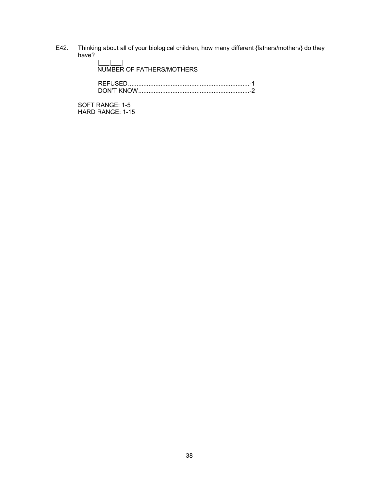E42. Thinking about all of your biological children, how many different {fathers/mothers} do they have?

> NUMBER OF FATHERS/MOTHERS REFUSED ....................................................................... -1 DON'T KNOW ................................................................. -2

SOFT RANGE: 1-5 HARD RANGE: 1-15

|\_\_\_|\_\_\_|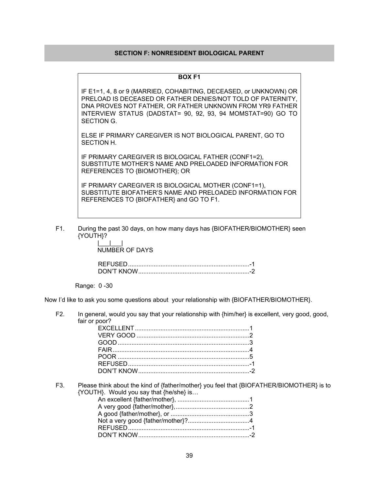## **SECTION F: NONRESIDENT BIOLOGICAL PARENT**

#### **BOX F1**

IF E1=1, 4, 8 or 9 (MARRIED, COHABITING, DECEASED, or UNKNOWN) OR PRELOAD IS DECEASED OR FATHER DENIES/NOT TOLD OF PATERNITY, DNA PROVES NOT FATHER, OR FATHER UNKNOWN FROM YR9 FATHER INTERVIEW STATUS (DADSTAT= 90, 92, 93, 94 MOMSTAT=90) GO TO SECTION G.

ELSE IF PRIMARY CAREGIVER IS NOT BIOLOGICAL PARENT, GO TO SECTION H.

IF PRIMARY CAREGIVER IS BIOLOGICAL FATHER (CONF1=2), SUBSTITUTE MOTHER'S NAME AND PRELOADED INFORMATION FOR REFERENCES TO {BIOMOTHER}; OR

IF PRIMARY CAREGIVER IS BIOLOGICAL MOTHER (CONF1=1), SUBSTITUTE BIOFATHER'S NAME AND PRELOADED INFORMATION FOR REFERENCES TO {BIOFATHER} and GO TO F1.

F1. During the past 30 days, on how many days has {BIOFATHER/BIOMOTHER} seen {YOUTH}?

> |\_\_\_|\_\_\_| NUMBER OF DAYS

 REFUSED ....................................................................... -1 DON'T KNOW ................................................................. -2

Range: 0 -30

Now I'd like to ask you some questions about your relationship with {BIOFATHER/BIOMOTHER}.

F2. In general, would you say that your relationship with {him/her} is excellent, very good, good, fair or poor?

| $GOOD$ 3 |  |
|----------|--|
|          |  |
|          |  |
|          |  |
|          |  |

F3. Please think about the kind of {father/mother} you feel that {BIOFATHER/BIOMOTHER} is to {YOUTH}. Would you say that {he/she} is…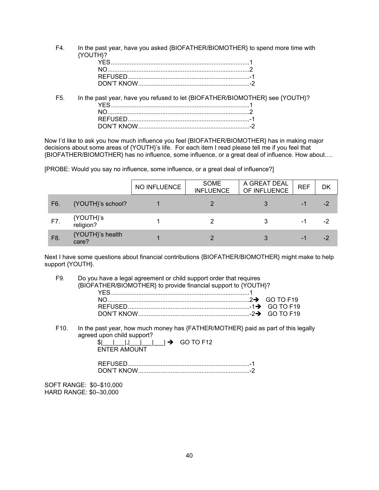F4. In the past year, have you asked {BIOFATHER/BIOMOTHER} to spend more time with {YOUTH}?

F5. In the past year, have you refused to let {BIOFATHER/BIOMOTHER} see {YOUTH}? YES ................................................................................. 1 NO ................................................................................... 2 REFUSED ....................................................................... -1 DON'T KNOW ................................................................. -2

Now I'd like to ask you how much influence you feel {BIOFATHER/BIOMOTHER} has in making major decisions about some areas of {YOUTH}'s life. For each item I read please tell me if you feel that {BIOFATHER/BIOMOTHER} has no influence, some influence, or a great deal of influence. How about….

[PROBE: Would you say no influence, some influence, or a great deal of influence?]

|     |                           | NO INFLUENCE | <b>SOME</b><br><b>INFLUENCE</b> | A GREAT DEAL<br>OF INFLUENCE | <b>REF</b> | DK   |
|-----|---------------------------|--------------|---------------------------------|------------------------------|------------|------|
| F6. | {YOUTH}'s school?         |              |                                 | 3                            | ۰L         | $-2$ |
| F7. | {YOUTH}'s<br>religion?    |              |                                 | 3                            | -1         | -2   |
| F8. | {YOUTH}'s health<br>care? |              | っ                               | 3                            | ۰L         | -2   |

Next I have some questions about financial contributions {BIOFATHER/BIOMOTHER} might make to help support {YOUTH}.

F9. Do you have a legal agreement or child support order that requires {BIOFATHER/BIOMOTHER} to provide financial support to {YOUTH}? YES ................................................................................. 1

F10. In the past year, how much money has {FATHER/MOTHER} paid as part of this legally agreed upon child support?

\$|\_\_\_|\_\_\_|,|\_\_\_|\_\_\_\_| **→** GO TO F12 ENTER AMOUNT

| אורוא דיואר. |  |
|--------------|--|

SOFT RANGE: \$0–\$10,000 HARD RANGE: \$0–30,000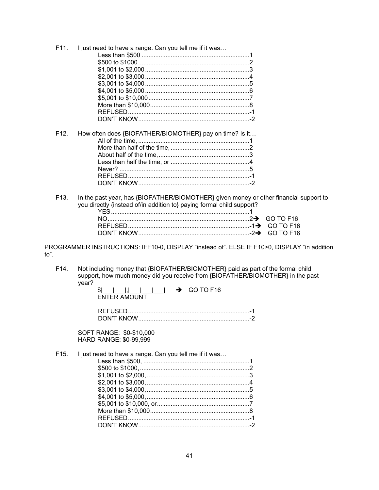| How often does {BIOFATHER/BIOMOTHER} pay on time? Is it |
|---------------------------------------------------------|
|                                                         |
|                                                         |
|                                                         |
|                                                         |
|                                                         |
|                                                         |
|                                                         |
|                                                         |
|                                                         |

In the past year, has {BIOFATHER/BIOMOTHER} given money or other financial support to F13. you directly {instead of/in addition to} paying formal child support?  $\sqrt{5}$ 

PROGRAMMER INSTRUCTIONS: IFF10-0, DISPLAY "instead of". ELSE IF F10>0, DISPLAY "in addition to".

Not including money that {BIOFATHER/BIOMOTHER} paid as part of the formal child F14. support, how much money did you receive from {BIOFATHER/BIOMOTHER} in the past year?

SOFT RANGE: \$0-\$10,000 HARD RANGE: \$0-99,999

| F15. I just need to have a range. Can you tell me if it was… |  |
|--------------------------------------------------------------|--|
|                                                              |  |
|                                                              |  |
|                                                              |  |
|                                                              |  |
|                                                              |  |
|                                                              |  |
|                                                              |  |
|                                                              |  |
|                                                              |  |
|                                                              |  |
|                                                              |  |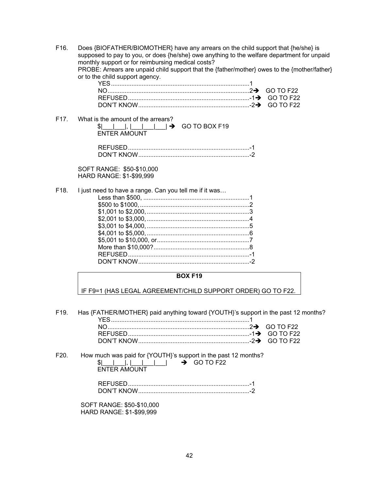F16. Does {BIOFATHER/BIOMOTHER} have any arrears on the child support that {he/she} is supposed to pay to you, or does {he/she} owe anything to the welfare department for unpaid monthly support or for reimbursing medical costs? PROBE: Arrears are unpaid child support that the {father/mother} owes to the {mother/father} or to the child support agency.

F17. What is the amount of the arrears?  $|S|$  | | | | | | | | | | |  $\rightarrow$  GO TO BOX F19 ENTER AMOUNT

| DON'T KNOW |  |
|------------|--|

SOFT RANGE: \$50-\$10,000 HARD RANGE: \$1-\$99,999

F18. I just need to have a range. Can you tell me if it was… Less than \$500, .............................................................. 1 \$500 to \$1000, ................................................................ 2 \$1,001 to \$2,000, ............................................................ 3 \$2,001 to \$3,000, ............................................................ 4 \$3,001 to \$4,000, ............................................................ 5 \$4,001 to \$5,000, ............................................................ 6 \$5,001 to \$10,000, or ...................................................... 7 More than \$10,000? ........................................................ 8 REFUSED ....................................................................... -1 DON'T KNOW ................................................................. -2

#### **BOX F19**

IF F9=1 (HAS LEGAL AGREEMENT/CHILD SUPPORT ORDER) GO TO F22.

| F <sub>19</sub> . | Has {FATHER/MOTHER} paid anything toward {YOUTH}'s support in the past 12 months? |  |
|-------------------|-----------------------------------------------------------------------------------|--|
|                   |                                                                                   |  |

F20. How much was paid for {YOUTH}'s support in the past 12 months?  $|S|$  | | | | | | | |  $\rightarrow$  GO TO F22 ENTER AMOUNT

| DON'T KNOW |  |
|------------|--|

SOFT RANGE: \$50-\$10,000 HARD RANGE: \$1-\$99,999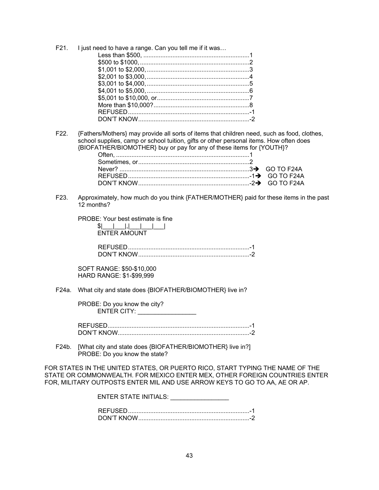| F21. I just need to have a range. Can you tell me if it was |  |
|-------------------------------------------------------------|--|
|                                                             |  |
|                                                             |  |
|                                                             |  |
|                                                             |  |
|                                                             |  |
|                                                             |  |
|                                                             |  |
|                                                             |  |
|                                                             |  |
|                                                             |  |
|                                                             |  |

F22. {Fathers/Mothers} may provide all sorts of items that children need, such as food, clothes, school supplies, camp or school tuition, gifts or other personal items. How often does {BIOFATHER/BIOMOTHER} buy or pay for any of these items for {YOUTH}?

F23. Approximately, how much do you think {FATHER/MOTHER} paid for these items in the past 12 months?

PROBE: Your best estimate is fine

 $|S|$  and  $|S|$  and  $|S|$  and  $|S|$ ENTER AMOUNT

 REFUSED ....................................................................... -1 DON'T KNOW ................................................................. -2

SOFT RANGE: \$50-\$10,000 HARD RANGE: \$1-\$99,999

F24a. What city and state does {BIOFATHER/BIOMOTHER} live in?

PROBE: Do you know the city? ENTER CITY: \_\_\_\_\_\_\_\_\_\_\_\_\_\_\_\_\_\_\_\_\_

REFUSED ................................................................................... -1 DON'T KNOW............................................................................. -2

F24b. [What city and state does {BIOFATHER/BIOMOTHER} live in?] PROBE: Do you know the state?

FOR STATES IN THE UNITED STATES, OR PUERTO RICO, START TYPING THE NAME OF THE STATE OR COMMONWEALTH. FOR MEXICO ENTER MEX, OTHER FOREIGN COUNTRIES ENTER FOR, MILITARY OUTPOSTS ENTER MIL AND USE ARROW KEYS TO GO TO AA, AE OR AP.

| ENTER STATE INITIALS: |  |
|-----------------------|--|
|                       |  |
|                       |  |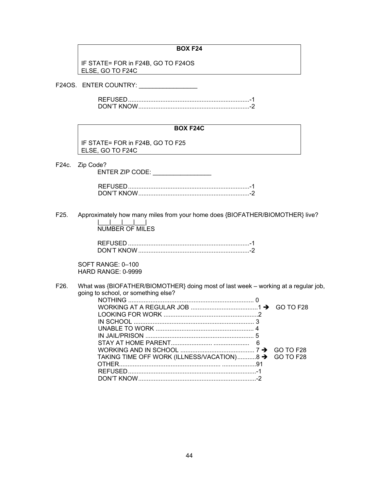#### **BOX F24**

IF STATE= FOR in F24B, GO TO F24OS ELSE, GO TO F24C

F24OS. ENTER COUNTRY: \_\_\_\_\_\_\_\_\_\_\_\_\_\_\_\_\_

### **BOX F24C**

IF STATE= FOR in F24B, GO TO F25 ELSE, GO TO F24C

F24c. Zip Code?

ENTER ZIP CODE: \_\_\_\_\_\_\_\_\_\_\_\_\_\_\_\_\_ REFUSED ....................................................................... -1 DON'T KNOW ................................................................. -2

F25. Approximately how many miles from your home does {BIOFATHER/BIOMOTHER} live? |\_\_\_|\_\_\_|\_\_\_|\_\_\_| NUMBER OF MILES

| REFUSED |  |
|---------|--|
|         |  |

SOFT RANGE: 0–100 HARD RANGE: 0-9999

F26. What was {BIOFATHER/BIOMOTHER} doing most of last week – working at a regular job, going to school, or something else?

| TAKING TIME OFF WORK (ILLNESS/VACATION)8 → GO TO F28 |  |
|------------------------------------------------------|--|
|                                                      |  |
|                                                      |  |
|                                                      |  |
|                                                      |  |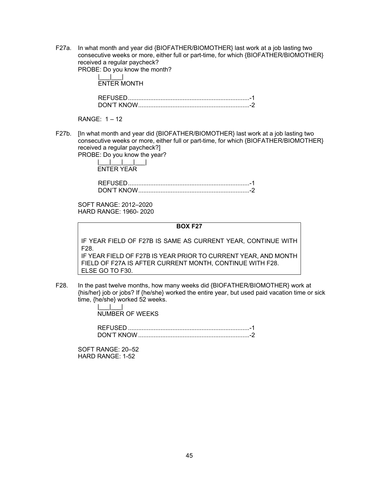F27a. In what month and year did {BIOFATHER/BIOMOTHER} last work at a job lasting two consecutive weeks or more, either full or part-time, for which {BIOFATHER/BIOMOTHER} received a regular paycheck? PROBE: Do you know the month?

|\_\_\_<u>|\_\_</u>|\_\_\_| ENTER MONTH

 REFUSED ....................................................................... -1 DON'T KNOW ................................................................. -2

RANGE: 1 – 12

F27b. [In what month and year did {BIOFATHER/BIOMOTHER} last work at a job lasting two consecutive weeks or more, either full or part-time, for which {BIOFATHER/BIOMOTHER} received a regular paycheck?] PROBE: Do you know the year?

|\_\_\_|\_\_\_|\_\_\_|\_\_\_| ENTER YEAR

 REFUSED ....................................................................... -1 DON'T KNOW ................................................................. -2

SOFT RANGE: 2012–2020 HARD RANGE: 1960- 2020

**BOX F27** 

IF YEAR FIELD OF F27B IS SAME AS CURRENT YEAR, CONTINUE WITH F28.

IF YEAR FIELD OF F27B IS YEAR PRIOR TO CURRENT YEAR, AND MONTH FIELD OF F27A IS AFTER CURRENT MONTH, CONTINUE WITH F28. ELSE GO TO F30.

F28. In the past twelve months, how many weeks did {BIOFATHER/BIOMOTHER} work at {his/her} job or jobs? If {he/she} worked the entire year, but used paid vacation time or sick time, {he/she} worked 52 weeks.

> |\_\_\_|\_\_\_| NUMBER OF WEEKS

REFUSED ....................................................................... -1 DON'T KNOW ................................................................. -2

SOFT RANGE: 20–52 HARD RANGE: 1-52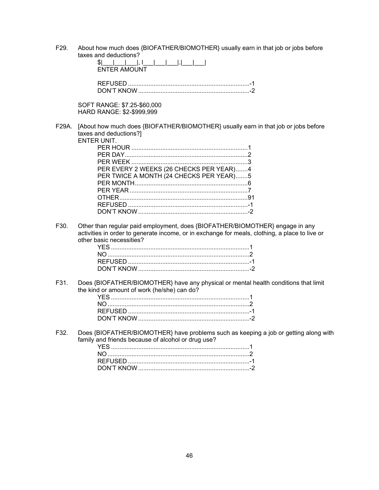F29. About how much does {BIOFATHER/BIOMOTHER} usually earn in that job or jobs before taxes and deductions?

|                   | laxes and deductions :<br>\$1<br><b>ENTER AMOUNT</b>                                                                                                                                                              |
|-------------------|-------------------------------------------------------------------------------------------------------------------------------------------------------------------------------------------------------------------|
|                   |                                                                                                                                                                                                                   |
|                   | SOFT RANGE: \$7.25-\$60,000<br>HARD RANGE: \$2-\$999,999                                                                                                                                                          |
| F29A.             | [About how much does {BIOFATHER/BIOMOTHER} usually earn in that job or jobs before<br>taxes and deductions?]<br>ENTER UNIT.<br>PER EVERY 2 WEEKS (26 CHECKS PER YEAR)4<br>PER TWICE A MONTH (24 CHECKS PER YEAR)5 |
| F <sub>30</sub> . | Other than regular paid employment, does {BIOFATHER/BIOMOTHER} engage in any<br>activities in order to generate income, or in exchange for meals, clothing, a place to live or<br>other basic necessities?        |
|                   |                                                                                                                                                                                                                   |

F31. Does {BIOFATHER/BIOMOTHER} have any physical or mental health conditions that limit the kind or amount of work (he/she) can do?

F32. Does {BIOFATHER/BIOMOTHER} have problems such as keeping a job or getting along with family and friends because of alcohol or drug use?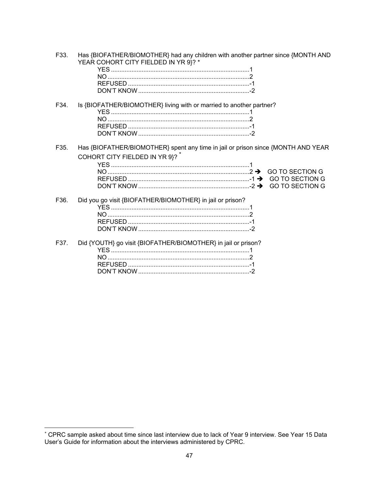| F33. | Has {BIOFATHER/BIOMOTHER} had any children with another partner since {MONTH AND<br>YEAR COHORT CITY FIELDED IN YR 9}? * |
|------|--------------------------------------------------------------------------------------------------------------------------|
| F34. | Is {BIOFATHER/BIOMOTHER} living with or married to another partner?                                                      |
| F35. | Has {BIOFATHER/BIOMOTHER} spent any time in jail or prison since {MONTH AND YEAR<br>COHORT CITY FIELDED IN YR 9}?        |
| F36. | Did you go visit {BIOFATHER/BIOMOTHER} in jail or prison?                                                                |
| F37. | Did {YOUTH} go visit {BIOFATHER/BIOMOTHER} in jail or prison?                                                            |

<sup>\*</sup> CPRC sample asked about time since last interview due to lack of Year 9 interview. See Year 15 Data<br>User's Guide for information about the interviews administered by CPRC.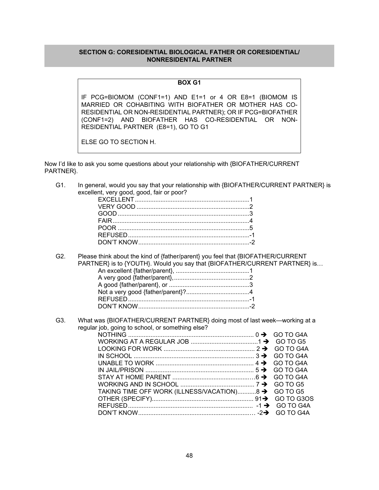## **SECTION G: CORESIDENTIAL BIOLOGICAL FATHER OR CORESIDENTIAL/ NONRESIDENTAL PARTNER**

# **BOX G1**

IF PCG=BIOMOM (CONF1=1) AND E1=1 or 4 OR E8=1 (BIOMOM IS MARRIED OR COHABITING WITH BIOFATHER OR MOTHER HAS CO-RESIDENTIAL OR NON-RESIDENTIAL PARTNER); OR IF PCG=BIOFATHER (CONF1=2) AND BIOFATHER HAS CO-RESIDENTIAL OR NON-RESIDENTIAL PARTNER (E8=1), GO TO G1

ELSE GO TO SECTION H.

Now I'd like to ask you some questions about your relationship with {BIOFATHER/CURRENT PARTNER}.

G1. In general, would you say that your relationship with {BIOFATHER/CURRENT PARTNER} is excellent, very good, good, fair or poor?

G2. Please think about the kind of {father/parent} you feel that {BIOFATHER/CURRENT PARTNER} is to {YOUTH}. Would you say that {BIOFATHER/CURRENT PARTNER} is... An excellent {father/parent}, ........................................... 1 A very good {father/parent}, ............................................ 2 A good {father/parent}, or ............................................... 3 Not a very good {father/parent}? ..................................... 4 REFUSED ....................................................................... -1

G3. What was {BIOFATHER/CURRENT PARTNER} doing most of last week—working at a regular job, going to school, or something else?

DON'T KNOW ................................................................. -2

| LOOKING FOR WORK $\ldots$ $\ldots$ $\ldots$ $\ldots$ $\ldots$ $\ldots$ $\ldots$ $\ldots$ $\ldots$ $\ldots$ $\ldots$ $\ldots$ $\ldots$ $\ldots$ GO TO G4A |  |
|----------------------------------------------------------------------------------------------------------------------------------------------------------|--|
|                                                                                                                                                          |  |
|                                                                                                                                                          |  |
|                                                                                                                                                          |  |
|                                                                                                                                                          |  |
|                                                                                                                                                          |  |
| TAKING TIME OFF WORK (ILLNESS/VACATION)8 → GO TO G5                                                                                                      |  |
|                                                                                                                                                          |  |
|                                                                                                                                                          |  |
|                                                                                                                                                          |  |
|                                                                                                                                                          |  |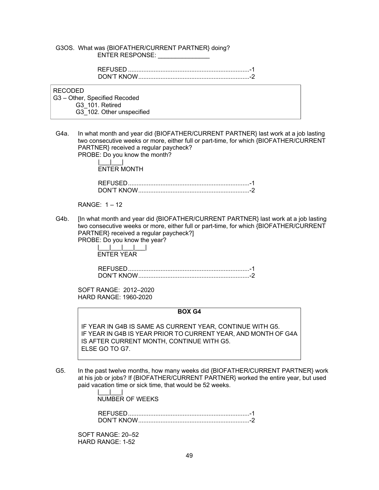#### G3OS. What was {BIOFATHER/CURRENT PARTNER} doing? ENTER RESPONSE: \_\_\_\_\_\_\_\_\_\_\_\_\_\_\_

RECODED

 G3 – Other, Specified Recoded G3\_101. Retired G3\_102. Other unspecified

G4a. In what month and year did {BIOFATHER/CURRENT PARTNER} last work at a job lasting two consecutive weeks or more, either full or part-time, for which {BIOFATHER/CURRENT PARTNER} received a regular paycheck? PROBE: Do you know the month?

 |\_\_\_|\_\_\_| ENTER MONTH

| DON'T KNOW |  |
|------------|--|

RANGE: 1 – 12

G4b. [In what month and year did {BIOFATHER/CURRENT PARTNER} last work at a job lasting two consecutive weeks or more, either full or part-time, for which {BIOFATHER/CURRENT PARTNER} received a regular paycheck?] PROBE: Do you know the year?

|\_\_\_|\_\_\_|\_\_\_|\_\_\_|

ENTER YEAR

 REFUSED ....................................................................... -1 DON'T KNOW ................................................................. -2

SOFT RANGE: 2012–2020 HARD RANGE: 1960-2020

**BOX G4** 

IF YEAR IN G4B IS SAME AS CURRENT YEAR, CONTINUE WITH G5. IF YEAR IN G4B IS YEAR PRIOR TO CURRENT YEAR, AND MONTH OF G4A IS AFTER CURRENT MONTH, CONTINUE WITH G5. ELSE GO TO G7.

G5. In the past twelve months, how many weeks did {BIOFATHER/CURRENT PARTNER} work at his job or jobs? If {BIOFATHER/CURRENT PARTNER} worked the entire year, but used paid vacation time or sick time, that would be 52 weeks.

> |\_\_\_|\_\_\_| NUMBER OF WEEKS

 REFUSED ....................................................................... -1 DON'T KNOW ................................................................. -2

SOFT RANGE: 20–52 HARD RANGE: 1-52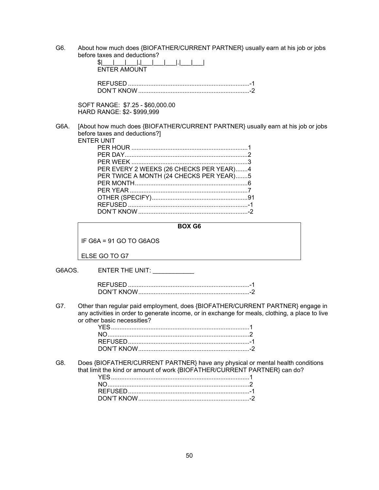G6. About how much does {BIOFATHER/CURRENT PARTNER} usually earn at his job or jobs before taxes and deductions? \$|\_\_\_|\_\_\_|\_\_\_|,|\_\_\_|\_\_\_|\_\_\_|.|\_\_\_|\_\_\_|

| 971 - Paris I - Paris I - Paris I - Paris I - Paris I - Paris I - Paris I - Paris I - Paris I - Pari<br><b>FNTER AMOUNT</b> |  |
|-----------------------------------------------------------------------------------------------------------------------------|--|
|                                                                                                                             |  |

SOFT RANGE: \$7.25 - \$60,000.00 HARD RANGE: \$2- \$999,999

G6A. [About how much does {BIOFATHER/CURRENT PARTNER} usually earn at his job or jobs before taxes and deductions?] ENTER UNIT

| RUNIL                                   |  |
|-----------------------------------------|--|
|                                         |  |
|                                         |  |
|                                         |  |
| PER EVERY 2 WEEKS (26 CHECKS PER YEAR)4 |  |
| PER TWICE A MONTH (24 CHECKS PER YEAR)5 |  |
| PER MONTH                               |  |
|                                         |  |
|                                         |  |
|                                         |  |
|                                         |  |
|                                         |  |

|                           | <b>BOX G6</b> |  |
|---------------------------|---------------|--|
| IF G6A = $91$ GO TO G6AOS |               |  |
| ELSE GO TO G7             |               |  |

G6AOS. ENTER THE UNIT: \_\_\_\_\_\_\_\_\_\_\_\_ REFUSED ....................................................................... -1 DON'T KNOW ................................................................. -2 G7. Other than regular paid employment, does {BIOFATHER/CURRENT PARTNER} engage in any activities in order to generate income, or in exchange for meals, clothing, a place to live or other basic necessities? YES ................................................................................. 1 NO ................................................................................... 2 REFUSED ....................................................................... -1 DON'T KNOW ................................................................. -2 G8. Does {BIOFATHER/CURRENT PARTNER} have any physical or mental health conditions that limit the kind or amount of work {BIOFATHER/CURRENT PARTNER} can do? YES ................................................................................. 1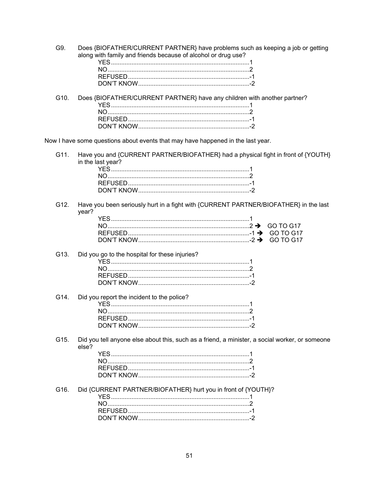G9. Does {BIOFATHER/CURRENT PARTNER} have problems such as keeping a job or getting along with family and friends because of alcohol or drug use?

G10. Does {BIOFATHER/CURRENT PARTNER} have any children with another partner? 

Now I have some questions about events that may have happened in the last year.

Have you and {CURRENT PARTNER/BIOFATHER} had a physical fight in front of {YOUTH} G11. in the last year?

Have you been seriously hurt in a fight with {CURRENT PARTNER/BIOFATHER} in the last G12. year?

#### G13. Did you go to the hospital for these injuries?

- G14. Did you report the incident to the police?
- Did you tell anyone else about this, such as a friend, a minister, a social worker, or someone G15. else?

Did {CURRENT PARTNER/BIOFATHER} hurt you in front of {YOUTH}?  $G16$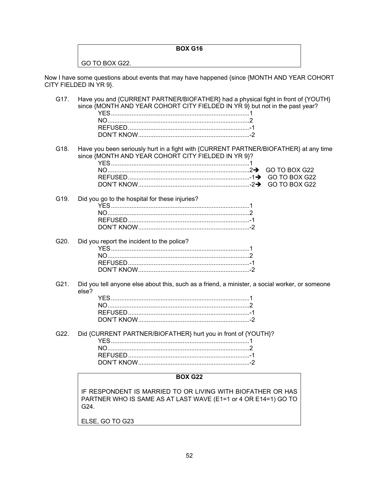# **BOX G16**

GO TO BOX G22.

Now I have some questions about events that may have happened {since {MONTH AND YEAR COHORT CITY FIELDED IN YR 9}.

| G17. | Have you and {CURRENT PARTNER/BIOFATHER} had a physical fight in front of {YOUTH}<br>since {MONTH AND YEAR COHORT CITY FIELDED IN YR 9} but not in the past year? |
|------|-------------------------------------------------------------------------------------------------------------------------------------------------------------------|
| G18. | Have you been seriously hurt in a fight with {CURRENT PARTNER/BIOFATHER} at any time<br>since {MONTH AND YEAR COHORT CITY FIELDED IN YR 9}?                       |
|      |                                                                                                                                                                   |
| G19. | Did you go to the hospital for these injuries?                                                                                                                    |
| G20. | Did you report the incident to the police?                                                                                                                        |

| G21. Did you tell anyone else about this, such as a friend, a minister, a social worker, or someone |
|-----------------------------------------------------------------------------------------------------|
|                                                                                                     |
| else?                                                                                               |

 NO ................................................................................... 2 REFUSED ....................................................................... -1 DON'T KNOW ................................................................. -2

| G22. Did {CURRENT PARTNER/BIOFATHER} hurt you in front of {YOUTH}? |  |
|--------------------------------------------------------------------|--|
|                                                                    |  |
|                                                                    |  |
|                                                                    |  |
|                                                                    |  |

#### **BOX G22**

IF RESPONDENT IS MARRIED TO OR LIVING WITH BIOFATHER OR HAS PARTNER WHO IS SAME AS AT LAST WAVE (E1=1 or 4 OR E14=1) GO TO G24.

ELSE, GO TO G23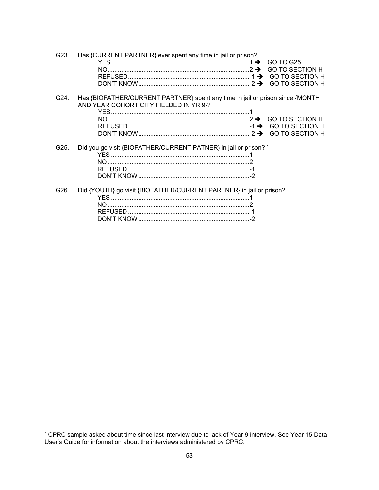| G23. | Has {CURRENT PARTNER} ever spent any time in jail or prison?                                                            |
|------|-------------------------------------------------------------------------------------------------------------------------|
| G24. | Has {BIOFATHER/CURRENT PARTNER} spent any time in jail or prison since {MONTH<br>AND YEAR COHORT CITY FIELDED IN YR 9}? |
| G25. | Did you go visit {BIOFATHER/CURRENT PATNER} in jail or prison? *                                                        |
| G26. | Did {YOUTH} go visit {BIOFATHER/CURRENT PARTNER} in jail or prison?                                                     |

 $\overline{a}$ 

<sup>\*</sup> CPRC sample asked about time since last interview due to lack of Year 9 interview. See Year 15 Data User's Guide for information about the interviews administered by CPRC.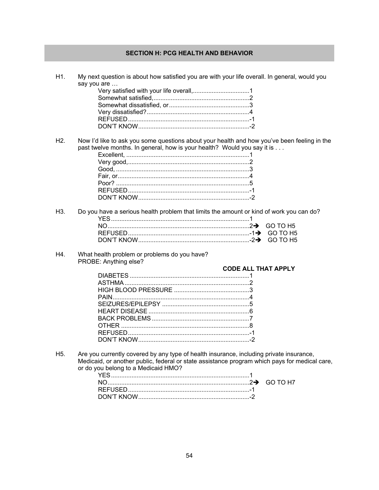# **SECTION H: PCG HEALTH AND BEHAVIOR**

| H1.              | My next question is about how satisfied you are with your life overall. In general, would you<br>say you are                                                                                                                    |
|------------------|---------------------------------------------------------------------------------------------------------------------------------------------------------------------------------------------------------------------------------|
|                  |                                                                                                                                                                                                                                 |
|                  |                                                                                                                                                                                                                                 |
|                  |                                                                                                                                                                                                                                 |
|                  |                                                                                                                                                                                                                                 |
|                  |                                                                                                                                                                                                                                 |
|                  |                                                                                                                                                                                                                                 |
|                  |                                                                                                                                                                                                                                 |
| H2.              | Now I'd like to ask you some questions about your health and how you've been feeling in the<br>past twelve months. In general, how is your health? Would you say it is                                                          |
|                  |                                                                                                                                                                                                                                 |
|                  |                                                                                                                                                                                                                                 |
|                  |                                                                                                                                                                                                                                 |
|                  |                                                                                                                                                                                                                                 |
|                  |                                                                                                                                                                                                                                 |
|                  |                                                                                                                                                                                                                                 |
|                  |                                                                                                                                                                                                                                 |
| H3.              | Do you have a serious health problem that limits the amount or kind of work you can do?                                                                                                                                         |
|                  |                                                                                                                                                                                                                                 |
|                  | GO TO H <sub>5</sub>                                                                                                                                                                                                            |
|                  | GO TO H <sub>5</sub>                                                                                                                                                                                                            |
| H4.              | What health problem or problems do you have?<br>PROBE: Anything else?                                                                                                                                                           |
|                  | <b>CODE ALL THAT APPLY</b>                                                                                                                                                                                                      |
|                  |                                                                                                                                                                                                                                 |
|                  |                                                                                                                                                                                                                                 |
|                  |                                                                                                                                                                                                                                 |
|                  |                                                                                                                                                                                                                                 |
|                  |                                                                                                                                                                                                                                 |
|                  |                                                                                                                                                                                                                                 |
|                  |                                                                                                                                                                                                                                 |
|                  |                                                                                                                                                                                                                                 |
|                  |                                                                                                                                                                                                                                 |
|                  |                                                                                                                                                                                                                                 |
| H <sub>5</sub> . | Are you currently covered by any type of health insurance, including private insurance,<br>Medicaid, or another public, federal or state assistance program which pays for medical care,<br>or do you belong to a Medicaid HMO? |
|                  | GO TO H7                                                                                                                                                                                                                        |
|                  |                                                                                                                                                                                                                                 |
|                  |                                                                                                                                                                                                                                 |
|                  |                                                                                                                                                                                                                                 |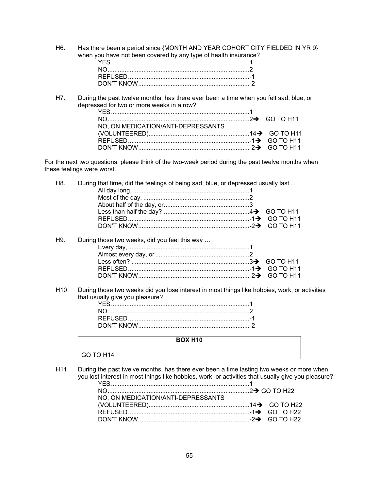H6. Has there been a period since {MONTH AND YEAR COHORT CITY FIELDED IN YR 9} when you have not been covered by any type of health insurance? YES ................................................................................. 1

H7. During the past twelve months, has there ever been a time when you felt sad, blue, or depressed for two or more weeks in a row? YES ................................................................................. 1 NO ................................................................................... 2GO TO H11 NO, ON MEDICATION/ANTI-DEPRESSANTS (VOLUNTEERED) ........................................................... 14GO TO H11

> REFUSED ....................................................................... -1GO TO H11 DON'T KNOW ................................................................. -2GO TO H11

For the next two questions, please think of the two-week period during the past twelve months when these feelings were worst.

H8. During that time, did the feelings of being sad, blue, or depressed usually last ... All day long, .................................................................... 1 Most of the day, .............................................................. 2 About half of the day, or .................................................. 3 Less than half the day? ................................................... 4GO TO H11 REFUSED ....................................................................... -1GO TO H11 DON'T KNOW ................................................................. -2GO TO H11 H9. During those two weeks, did you feel this way … Every day, ....................................................................... 1 Almost every day, or ....................................................... 2 Less often? ..................................................................... 3GO TO H11 REFUSED ....................................................................... -1GO TO H11 DON'T KNOW ................................................................. -2GO TO H11

H10. During those two weeks did you lose interest in most things like hobbies, work, or activities that usually give you pleasure?

## **BOX H10**

# GO TO H14

H11. During the past twelve months, has there ever been a time lasting two weeks or more when you lost interest in most things like hobbies, work, or activities that usually give you pleasure?

| NO. ON MEDICATION/ANTI-DEPRESSANTS |  |
|------------------------------------|--|
|                                    |  |
|                                    |  |
|                                    |  |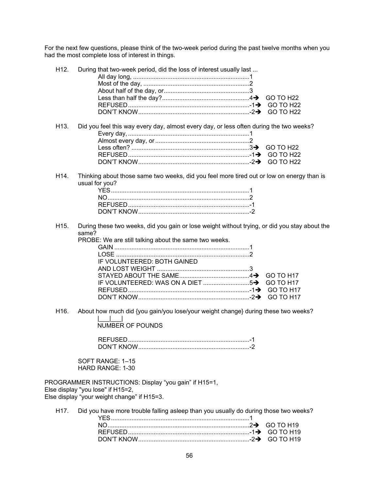For the next few questions, please think of the two-week period during the past twelve months when you had the most complete loss of interest in things.

| H <sub>12</sub> . | During that two-week period, did the loss of interest usually last                                                                        |                  |
|-------------------|-------------------------------------------------------------------------------------------------------------------------------------------|------------------|
|                   |                                                                                                                                           | GO TO H22        |
|                   |                                                                                                                                           |                  |
|                   |                                                                                                                                           |                  |
|                   |                                                                                                                                           |                  |
| H <sub>13</sub> . | Did you feel this way every day, almost every day, or less often during the two weeks?                                                    |                  |
|                   |                                                                                                                                           |                  |
|                   |                                                                                                                                           | <b>GO TO H22</b> |
|                   |                                                                                                                                           |                  |
|                   |                                                                                                                                           |                  |
| H14.              | Thinking about those same two weeks, did you feel more tired out or low on energy than is<br>usual for you?                               |                  |
|                   |                                                                                                                                           |                  |
|                   |                                                                                                                                           |                  |
|                   |                                                                                                                                           |                  |
|                   |                                                                                                                                           |                  |
| H <sub>15</sub> . | During these two weeks, did you gain or lose weight without trying, or did you stay about the<br>same?                                    |                  |
|                   | PROBE: We are still talking about the same two weeks.                                                                                     |                  |
|                   |                                                                                                                                           |                  |
|                   |                                                                                                                                           |                  |
|                   | IF VOLUNTEERED: BOTH GAINED                                                                                                               |                  |
|                   |                                                                                                                                           |                  |
|                   |                                                                                                                                           | GO TO H17        |
|                   |                                                                                                                                           | GO TO H17        |
|                   |                                                                                                                                           |                  |
|                   |                                                                                                                                           | GO TO H17        |
| H <sub>16</sub> . | About how much did {you gain/you lose/your weight change} during these two weeks?                                                         |                  |
|                   | <b>NUMBER OF POUNDS</b>                                                                                                                   |                  |
|                   |                                                                                                                                           |                  |
|                   |                                                                                                                                           |                  |
|                   |                                                                                                                                           |                  |
|                   | SOFT RANGE: 1-15<br><b>HARD RANGE: 1-30</b>                                                                                               |                  |
|                   |                                                                                                                                           |                  |
|                   | PROGRAMMER INSTRUCTIONS: Display "you gain" if H15=1,<br>Else display "you lose" if H15=2,<br>Else display "your weight change" if H15=3. |                  |
| H17.              | Did you have more trouble falling asleep than you usually do during those two weeks?                                                      |                  |
|                   |                                                                                                                                           | <b>GO TO H19</b> |
|                   |                                                                                                                                           |                  |
|                   |                                                                                                                                           | GO TO H19        |
|                   |                                                                                                                                           |                  |
|                   |                                                                                                                                           |                  |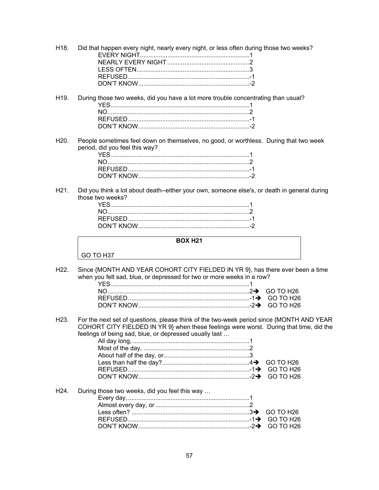- H18. Did that happen every night, nearly every night, or less often during those two weeks? EVERY NIGHT ................................................................ 1 NEARLY EVERY NIGHT ................................................ 2 LESS OFTEN .................................................................. 3 REFUSED ....................................................................... -1 DON'T KNOW ................................................................. -2
- H19. During those two weeks, did you have a lot more trouble concentrating than usual? YES ................................................................................. 1 NO ................................................................................... 2 REFUSED ....................................................................... -1 DON'T KNOW ................................................................. -2
- H20. People sometimes feel down on themselves, no good, or worthless. During that two week period, did you feel this way?

H21. Did you think a lot about death--either your own, someone else's, or death in general during those two weeks?

#### **BOX H21**

GO TO H37

H22. Since {MONTH AND YEAR COHORT CITY FIELDED IN YR 9}, has there ever been a time when you felt sad, blue, or depressed for two or more weeks in a row?

H23. For the next set of questions, please think of the two-week period since {MONTH AND YEAR COHORT CITY FIELDED IN YR 9} when these feelings were worst. During that time, did the feelings of being sad, blue, or depressed usually last …

|  | H24. During those two weeks, did you feel this way |  |
|--|----------------------------------------------------|--|
|  |                                                    |  |
|  |                                                    |  |
|  |                                                    |  |
|  |                                                    |  |
|  |                                                    |  |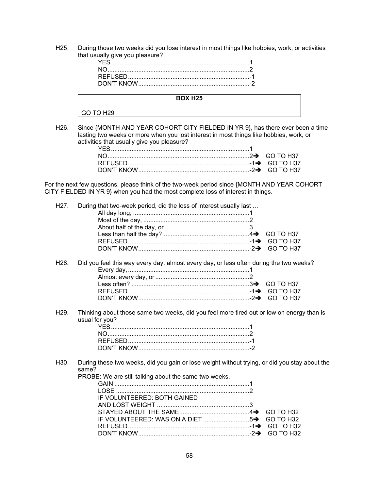H25. During those two weeks did you lose interest in most things like hobbies, work, or activities that usually give you pleasure?

# **BOX H25**  GO TO H29

H26. Since {MONTH AND YEAR COHORT CITY FIELDED IN YR 9}, has there ever been a time lasting two weeks or more when you lost interest in most things like hobbies, work, or activities that usually give you pleasure?

For the next few questions, please think of the two-week period since {MONTH AND YEAR COHORT CITY FIELDED IN YR 9} when you had the most complete loss of interest in things.

| GO TO H37<br>H <sub>28</sub> .<br>Did you feel this way every day, almost every day, or less often during the two weeks?<br>H <sub>29</sub> .<br>Thinking about those same two weeks, did you feel more tired out or low on energy than is<br>usual for you?<br>H <sub>30</sub> .<br>During these two weeks, did you gain or lose weight without trying, or did you stay about the<br>same?<br>PROBE: We are still talking about the same two weeks.<br>IF VOLUNTEERED: BOTH GAINED<br>GO TO H32<br>GO TO H32 | H <sub>27</sub> . | During that two-week period, did the loss of interest usually last |           |
|---------------------------------------------------------------------------------------------------------------------------------------------------------------------------------------------------------------------------------------------------------------------------------------------------------------------------------------------------------------------------------------------------------------------------------------------------------------------------------------------------------------|-------------------|--------------------------------------------------------------------|-----------|
|                                                                                                                                                                                                                                                                                                                                                                                                                                                                                                               |                   |                                                                    |           |
|                                                                                                                                                                                                                                                                                                                                                                                                                                                                                                               |                   |                                                                    |           |
|                                                                                                                                                                                                                                                                                                                                                                                                                                                                                                               |                   |                                                                    |           |
|                                                                                                                                                                                                                                                                                                                                                                                                                                                                                                               |                   |                                                                    |           |
|                                                                                                                                                                                                                                                                                                                                                                                                                                                                                                               |                   |                                                                    |           |
|                                                                                                                                                                                                                                                                                                                                                                                                                                                                                                               |                   |                                                                    |           |
|                                                                                                                                                                                                                                                                                                                                                                                                                                                                                                               |                   |                                                                    |           |
|                                                                                                                                                                                                                                                                                                                                                                                                                                                                                                               |                   |                                                                    |           |
|                                                                                                                                                                                                                                                                                                                                                                                                                                                                                                               |                   |                                                                    |           |
|                                                                                                                                                                                                                                                                                                                                                                                                                                                                                                               |                   |                                                                    |           |
|                                                                                                                                                                                                                                                                                                                                                                                                                                                                                                               |                   |                                                                    |           |
|                                                                                                                                                                                                                                                                                                                                                                                                                                                                                                               |                   |                                                                    |           |
|                                                                                                                                                                                                                                                                                                                                                                                                                                                                                                               |                   |                                                                    |           |
|                                                                                                                                                                                                                                                                                                                                                                                                                                                                                                               |                   |                                                                    |           |
|                                                                                                                                                                                                                                                                                                                                                                                                                                                                                                               |                   |                                                                    |           |
|                                                                                                                                                                                                                                                                                                                                                                                                                                                                                                               |                   |                                                                    |           |
|                                                                                                                                                                                                                                                                                                                                                                                                                                                                                                               |                   |                                                                    |           |
|                                                                                                                                                                                                                                                                                                                                                                                                                                                                                                               |                   |                                                                    |           |
|                                                                                                                                                                                                                                                                                                                                                                                                                                                                                                               |                   |                                                                    |           |
|                                                                                                                                                                                                                                                                                                                                                                                                                                                                                                               |                   |                                                                    |           |
|                                                                                                                                                                                                                                                                                                                                                                                                                                                                                                               |                   |                                                                    |           |
|                                                                                                                                                                                                                                                                                                                                                                                                                                                                                                               |                   |                                                                    |           |
|                                                                                                                                                                                                                                                                                                                                                                                                                                                                                                               |                   |                                                                    | GO TO H32 |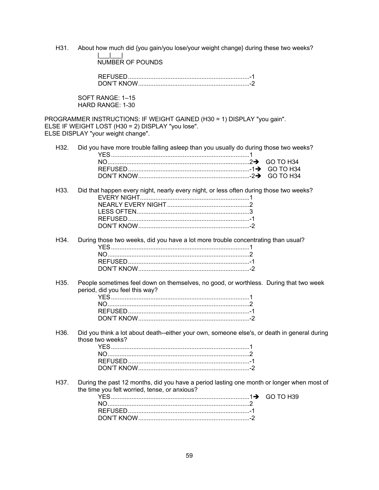H31. About how much did {you gain/you lose/your weight change} during these two weeks?

|\_\_\_|\_\_\_| NUMBER OF POUNDS

| JON'T KNOW |  |
|------------|--|

SOFT RANGE: 1–15 HARD RANGE: 1-30

PROGRAMMER INSTRUCTIONS: IF WEIGHT GAINED (H30 = 1) DISPLAY "you gain". ELSE IF WEIGHT LOST (H30 = 2) DISPLAY "you lose". ELSE DISPLAY "your weight change".

|  | H32. Did you have more trouble falling asleep than you usually do during those two weeks? |  |  |
|--|-------------------------------------------------------------------------------------------|--|--|
|  |                                                                                           |  |  |
|  |                                                                                           |  |  |
|  |                                                                                           |  |  |

| H33. Did that happen every night, nearly every night, or less often during those two weeks? |  |
|---------------------------------------------------------------------------------------------|--|
|                                                                                             |  |
|                                                                                             |  |
|                                                                                             |  |
|                                                                                             |  |

| H34. During those two weeks, did you have a lot more trouble concentrating than usual? |  |
|----------------------------------------------------------------------------------------|--|
| $YFS$ and $YFS$ and $YFS$ and $YFS$ and $YFS$ and $YFS$ and $YFS$                      |  |
|                                                                                        |  |
|                                                                                        |  |

H35. People sometimes feel down on themselves, no good, or worthless. During that two week period, did you feel this way?

DON'T KNOW ................................................................. -2

H36. Did you think a lot about death--either your own, someone else's, or death in general during those two weeks?

H37. During the past 12 months, did you have a period lasting one month or longer when most of the time you felt worried, tense, or anxious?

| $( -1)$ 1 |
|-----------|
|           |
|           |
|           |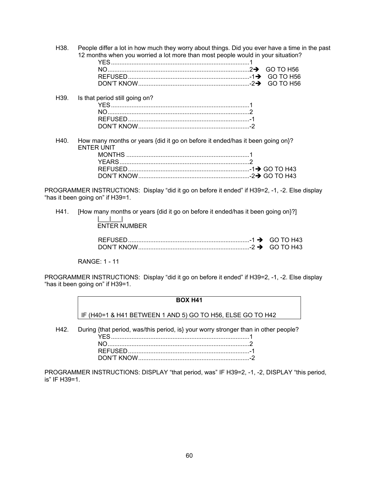H38. People differ a lot in how much they worry about things. Did you ever have a time in the past 12 months when you worried a lot more than most people would in your situation?

| CO TO H56 (∴ GO TO H56) GO TO H56 |  |
|-----------------------------------|--|

- H39. Is that period still going on? YES ................................................................................. 1 NO ................................................................................... 2 REFUSED ....................................................................... -1 DON'T KNOW ................................................................. -2
- H40. How many months or years {did it go on before it ended/has it been going on}? ENTER UNIT MONTHS ........................................................................ 1 YEARS ............................................................................ 2 REFUSED ....................................................................... -1 GO TO H43 DON'T KNOW ................................................................. -2 GO TO H43

PROGRAMMER INSTRUCTIONS: Display "did it go on before it ended" if H39=2, -1, -2. Else display "has it been going on" if H39=1.

H41. [How many months or years {did it go on before it ended/has it been going on}?]  $\|$   $\|$   $\|$   $\|$   $\|$ 

| <b>ENTER NUMBER</b> |  |
|---------------------|--|

#### RANGE: 1 - 11

PROGRAMMER INSTRUCTIONS: Display "did it go on before it ended" if H39=2, -1, -2. Else display "has it been going on" if H39=1.

# **BOX H41**

IF (H40=1 & H41 BETWEEN 1 AND 5) GO TO H56, ELSE GO TO H42

H42. During {that period, was/this period, is} your worry stronger than in other people?

PROGRAMMER INSTRUCTIONS: DISPLAY "that period, was" IF H39=2, -1, -2, DISPLAY "this period, is" IF H39=1.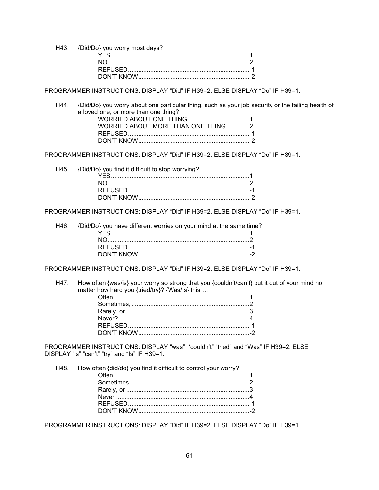H43. {Did/Do} you worry most days? YES ................................................................................. 1 NO ................................................................................... 2 REFUSED ....................................................................... -1 DON'T KNOW ................................................................. -2

PROGRAMMER INSTRUCTIONS: DISPLAY "Did" IF H39=2. ELSE DISPLAY "Do" IF H39=1.

H44. {Did/Do} you worry about one particular thing, such as your job security or the failing health of a loved one, or more than one thing? WORRIED ABOUT ONE THING .................................... 1 WORRIED ABOUT MORE THAN ONE THING ............. 2 REFUSED ....................................................................... -1 DON'T KNOW ................................................................. -2

PROGRAMMER INSTRUCTIONS: DISPLAY "Did" IF H39=2. ELSE DISPLAY "Do" IF H39=1.

H45. {Did/Do} you find it difficult to stop worrying? YES ................................................................................. 1 NO ................................................................................... 2 REFUSED ....................................................................... -1 DON'T KNOW ................................................................. -2

PROGRAMMER INSTRUCTIONS: DISPLAY "Did" IF H39=2. ELSE DISPLAY "Do" IF H39=1.

| H46. {Did/Do} you have different worries on your mind at the same time? |  |
|-------------------------------------------------------------------------|--|
|                                                                         |  |
|                                                                         |  |
|                                                                         |  |
|                                                                         |  |

PROGRAMMER INSTRUCTIONS: DISPLAY "Did" IF H39=2. ELSE DISPLAY "Do" IF H39=1.

H47. How often {was/is} your worry so strong that you {couldn't/can't} put it out of your mind no matter how hard you {tried/try}? {Was/Is} this ...

PROGRAMMER INSTRUCTIONS: DISPLAY "was" "couldn't" "tried" and "Was" IF H39=2. ELSE DISPLAY "is" "can't" "try" and "Is" IF H39=1.

H48. How often {did/do} you find it difficult to control your worry? Often ............................................................................... 1 Sometimes ...................................................................... 2 Rarely, or ........................................................................ 3 Never .............................................................................. 4 REFUSED ....................................................................... -1 DON'T KNOW ................................................................. -2

PROGRAMMER INSTRUCTIONS: DISPLAY "Did" IF H39=2. ELSE DISPLAY "Do" IF H39=1.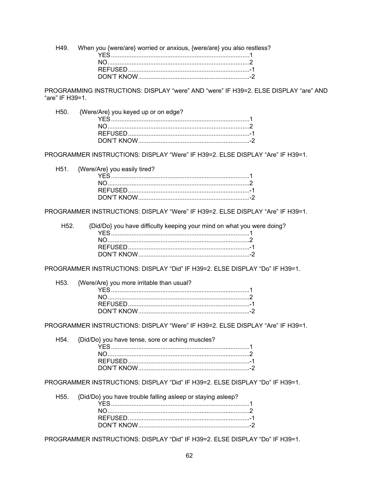H49. When you {were/are} worried or anxious, {were/are} you also restless? 

PROGRAMMING INSTRUCTIONS: DISPLAY "were" AND "were" IF H39=2. ELSE DISPLAY "are" AND "are" IF H39=1.

| H50. {Were/Are} you keyed up or on edge? |  |
|------------------------------------------|--|
|                                          |  |
|                                          |  |
|                                          |  |
|                                          |  |
|                                          |  |

PROGRAMMER INSTRUCTIONS: DISPLAY "Were" IF H39=2. ELSE DISPLAY "Are" IF H39=1.

H51. {Were/Are} you easily tired?

PROGRAMMER INSTRUCTIONS: DISPLAY "Were" IF H39=2. ELSE DISPLAY "Are" IF H39=1.

| H52. {Did/Do} you have difficulty keeping your mind on what you were doing? |  |
|-----------------------------------------------------------------------------|--|
|                                                                             |  |
|                                                                             |  |
|                                                                             |  |
|                                                                             |  |
|                                                                             |  |

PROGRAMMER INSTRUCTIONS: DISPLAY "Did" IF H39=2. ELSE DISPLAY "Do" IF H39=1.

| H53. {Were/Are} you more irritable than usual? |  |
|------------------------------------------------|--|
|                                                |  |
| $NO$ 2                                         |  |
|                                                |  |
|                                                |  |

PROGRAMMER INSTRUCTIONS: DISPLAY "Were" IF H39=2. ELSE DISPLAY "Are" IF H39=1.

| H54. {Did/Do} you have tense, sore or aching muscles? |  |
|-------------------------------------------------------|--|
|                                                       |  |
|                                                       |  |
|                                                       |  |
|                                                       |  |

PROGRAMMER INSTRUCTIONS: DISPLAY "Did" IF H39=2. ELSE DISPLAY "Do" IF H39=1.

| H55. {Did/Do} you have trouble falling asleep or staying asleep? |  |
|------------------------------------------------------------------|--|
|                                                                  |  |
|                                                                  |  |
|                                                                  |  |
|                                                                  |  |

PROGRAMMER INSTRUCTIONS: DISPLAY "Did" IF H39=2. ELSE DISPLAY "Do" IF H39=1.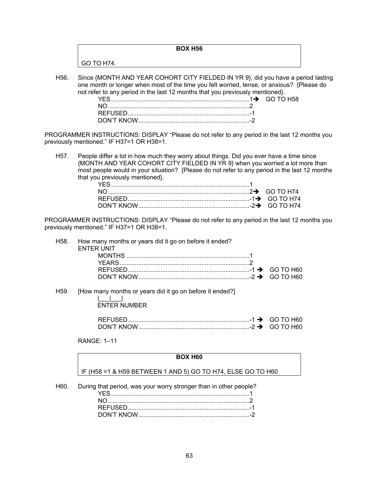|            | <b>BOX H56</b> |  |
|------------|----------------|--|
| GO TO H74. |                |  |
|            |                |  |

H56. Since {MONTH AND YEAR COHORT CITY FIELDED IN YR 9}, did you have a period lasting one month or longer when most of the time you felt worried, tense, or anxious? {Please do not refer to any period in the last 12 months that you previously mentioned}. GO TO H58

PROGRAMMER INSTRUCTIONS: DISPLAY "Please do not refer to any period in the last 12 months you previously mentioned." IF H37=1 OR H38=1.

H57. People differ a lot in how much they worry about things. Did you ever have a time since {MONTH AND YEAR COHORT CITY FIELDED IN YR 9} when you worried a lot more than most people would in your situation? {Please do not refer to any period in the last 12 months that you previously mentioned}.

PROGRAMMER INSTRUCTIONS: DISPLAY "Please do not refer to any period in the last 12 months you previously mentioned." IF H37=1 OR H38=1.

|  | H58. How many months or years did it go on before it ended? |  |
|--|-------------------------------------------------------------|--|
|  | <b>ENTER UNIT</b>                                           |  |
|  |                                                             |  |
|  |                                                             |  |
|  |                                                             |  |
|  |                                                             |  |

H59. [How many months or years did it go on before it ended?]

|\_\_\_|\_\_\_| ENTER NUMBER

RANGE: 1–11

#### **BOX H60**

IF (H58 =1 & H59 BETWEEN 1 AND 5) GO TO H74, ELSE GO TO H60

H60. During that period, was your worry stronger than in other people?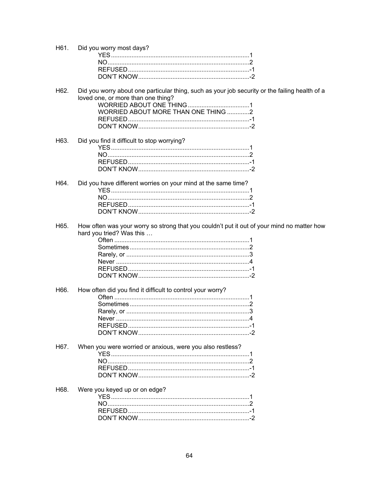| H61. | Did you worry most days?                                                                                                                                                    |
|------|-----------------------------------------------------------------------------------------------------------------------------------------------------------------------------|
|      |                                                                                                                                                                             |
| H62. | Did you worry about one particular thing, such as your job security or the failing health of a<br>loved one, or more than one thing?<br>WORRIED ABOUT MORE THAN ONE THING 2 |
| H63. | Did you find it difficult to stop worrying?                                                                                                                                 |
| H64. | Did you have different worries on your mind at the same time?                                                                                                               |
| H65. | How often was your worry so strong that you couldn't put it out of your mind no matter how<br>hard you tried? Was this                                                      |
| H66. | How often did you find it difficult to control your worry?                                                                                                                  |
| H67. | When you were worried or anxious, were you also restless?                                                                                                                   |
| H68. | Were you keyed up or on edge?                                                                                                                                               |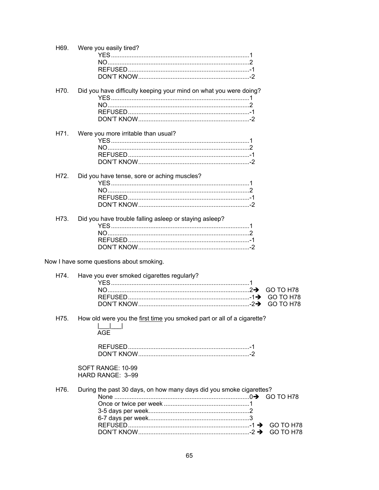| H69. | Were you easily tired?                                                                                     |
|------|------------------------------------------------------------------------------------------------------------|
| H70. | Did you have difficulty keeping your mind on what you were doing?                                          |
| H71. | Were you more irritable than usual?                                                                        |
| H72. | Did you have tense, sore or aching muscles?                                                                |
| H73. | Did you have trouble falling asleep or staying asleep?                                                     |
|      | Now I have some questions about smoking.                                                                   |
| H74. | Have you ever smoked cigarettes regularly?<br>GO TO H78<br>GO TO H78<br><b>GO TO H78</b>                   |
| H75. | How old were you the first time you smoked part or all of a cigarette?<br>AGE<br>SOFT RANGE: 10-99         |
|      | HARD RANGE: 3-99                                                                                           |
| H76. | During the past 30 days, on how many days did you smoke cigarettes?<br>GO TO H78<br>GO TO H78<br>GO TO H78 |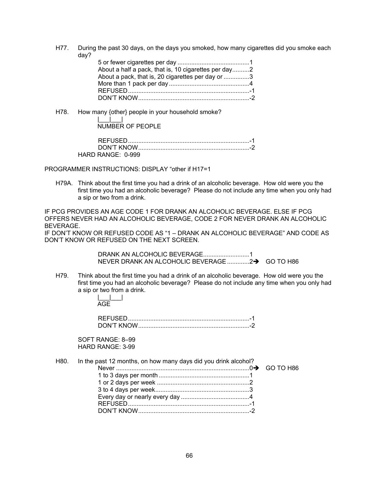H77. During the past 30 days, on the days you smoked, how many cigarettes did you smoke each day?

| About a half a pack, that is, 10 cigarettes per day2 |  |
|------------------------------------------------------|--|
| About a pack, that is, 20 cigarettes per day or 3    |  |
|                                                      |  |
|                                                      |  |
|                                                      |  |

H78. How many {other} people in your household smoke?

|\_\_\_|\_\_\_| NUMBER OF PEOPLE

| HARD RANGE: $0-999$ |  |
|---------------------|--|

# PROGRAMMER INSTRUCTIONS: DISPLAY "other if H17=1

H79A. Think about the first time you had a drink of an alcoholic beverage. How old were you the first time you had an alcoholic beverage? Please do not include any time when you only had a sip or two from a drink.

IF PCG PROVIDES AN AGE CODE 1 FOR DRANK AN ALCOHOLIC BEVERAGE. ELSE IF PCG OFFERS NEVER HAD AN ALCOHOLIC BEVERAGE, CODE 2 FOR NEVER DRANK AN ALCOHOLIC BEVERAGE.

IF DON'T KNOW OR REFUSED CODE AS "1 – DRANK AN ALCOHOLIC BEVERAGE" AND CODE AS DON'T KNOW OR REFUSED ON THE NEXT SCREEN.

> DRANK AN ALCOHOLIC BEVERAGE........................... 1 NEVER DRANK AN ALCOHOLIC BEVERAGE ..............2> GO TO H86

H79. Think about the first time you had a drink of an alcoholic beverage. How old were you the first time you had an alcoholic beverage? Please do not include any time when you only had a sip or two from a drink.

> |\_\_\_|\_\_\_| AGE

| DON'T KNOW |  |
|------------|--|

SOFT RANGE: 8–99 HARD RANGE: 3-99

|  | H80. In the past 12 months, on how many days did you drink alcohol? |  |
|--|---------------------------------------------------------------------|--|
|  |                                                                     |  |
|  |                                                                     |  |
|  |                                                                     |  |
|  |                                                                     |  |
|  |                                                                     |  |
|  |                                                                     |  |
|  |                                                                     |  |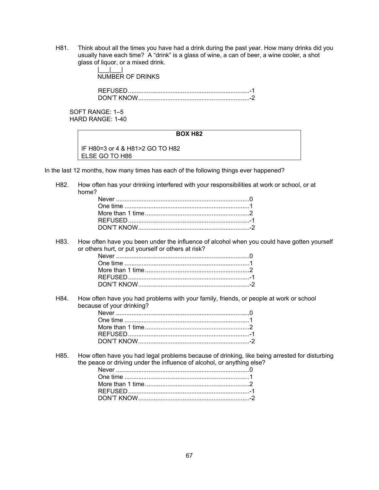H81. Think about all the times you have had a drink during the past year. How many drinks did you usually have each time? A "drink" is a glass of wine, a can of beer, a wine cooler, a shot glass of liquor, or a mixed drink.

> |\_\_\_|\_\_\_| NUMBER OF DRINKS

 REFUSED ....................................................................... -1 DON'T KNOW ................................................................. -2

SOFT RANGE: 1–5 HARD RANGE: 1-40

# **BOX H82**

IF H80=3 or 4 & H81>2 GO TO H82 ELSE GO TO H86

In the last 12 months, how many times has each of the following things ever happened?

H82. How often has your drinking interfered with your responsibilities at work or school, or at home?

| Never …………………………………………………………………………0 |
|-------------------------------------|
|                                     |
|                                     |
|                                     |
|                                     |

H83. How often have you been under the influence of alcohol when you could have gotten yourself or others hurt, or put yourself or others at risk?

H84. How often have you had problems with your family, friends, or people at work or school because of your drinking?

H85. How often have you had legal problems because of drinking, like being arrested for disturbing the peace or driving under the influence of alcohol, or anything else?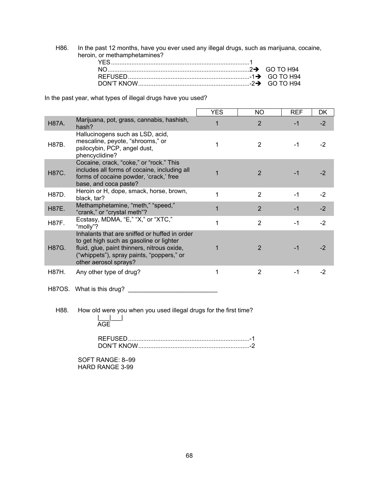H86. In the past 12 months, have you ever used any illegal drugs, such as marijuana, cocaine, heroin, or methamphetamines?

In the past year, what types of illegal drugs have you used?

|              |                                                                                                                                                                                                               | <b>YES</b> | NO.            | <b>REF</b> | DK   |
|--------------|---------------------------------------------------------------------------------------------------------------------------------------------------------------------------------------------------------------|------------|----------------|------------|------|
| <b>H87A.</b> | Marijuana, pot, grass, cannabis, hashish,<br>hash?                                                                                                                                                            |            | $\overline{2}$ | $-1$       | $-2$ |
| H87B.        | Hallucinogens such as LSD, acid,<br>mescaline, peyote, "shrooms," or<br>psilocybin, PCP, angel dust,<br>phencyclidine?                                                                                        |            | 2              | $-1$       | -2   |
| <b>H87C.</b> | Cocaine, crack, "coke," or "rock." This<br>includes all forms of cocaine, including all<br>forms of cocaine powder, 'crack,' free<br>base, and coca paste?                                                    |            | $\mathcal{P}$  | -1         | -2   |
| H87D.        | Heroin or H, dope, smack, horse, brown,<br>black, tar?                                                                                                                                                        | 1          | $\mathfrak{p}$ | $-1$       | $-2$ |
| <b>H87E.</b> | Methamphetamine, "meth," "speed,"<br>"crank," or "crystal meth"?                                                                                                                                              | 1          | $\overline{2}$ | $-1$       | $-2$ |
| <b>H87F.</b> | Ecstasy, MDMA, "E," "X," or "XTC,"<br>"molly"?                                                                                                                                                                | 1          | $\overline{2}$ | -1         | $-2$ |
| H87G.        | Inhalants that are sniffed or huffed in order<br>to get high such as gasoline or lighter<br>fluid, glue, paint thinners, nitrous oxide,<br>("whippets"), spray paints, "poppers," or<br>other aerosol sprays? |            | 2              | -1         | -2   |
| H87H.        | Any other type of drug?                                                                                                                                                                                       | 1          | $\overline{2}$ | -1         | $-2$ |

H87OS. What is this drug? \_\_\_\_\_\_\_\_\_\_\_\_\_\_\_\_\_\_\_\_\_\_\_\_\_\_

H88. How old were you when you used illegal drugs for the first time? |\_\_\_|\_\_\_|

AGE

| <b>NU TE KNOW</b> |  |
|-------------------|--|

SOFT RANGE: 8–99 HARD RANGE 3-99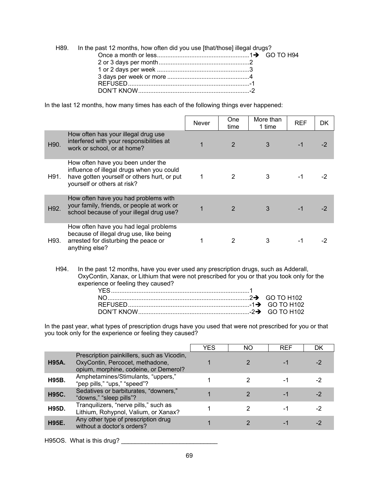| H89. In the past 12 months, how often did you use [that/those] illegal drugs? |  |
|-------------------------------------------------------------------------------|--|
|                                                                               |  |
|                                                                               |  |
|                                                                               |  |
|                                                                               |  |
|                                                                               |  |
|                                                                               |  |

In the last 12 months, how many times has each of the following things ever happened:

|                   |                                                                                                                                                              | <b>Never</b> | <b>One</b><br>time | More than<br>1 time | <b>REF</b> | DK |
|-------------------|--------------------------------------------------------------------------------------------------------------------------------------------------------------|--------------|--------------------|---------------------|------------|----|
| H <sub>90</sub> . | How often has your illegal drug use<br>interfered with your responsibilities at<br>work or school, or at home?                                               |              | $\overline{2}$     | 3                   |            |    |
| H91.              | How often have you been under the<br>influence of illegal drugs when you could<br>have gotten yourself or others hurt, or put<br>yourself or others at risk? | 1            |                    |                     |            |    |
| H92.              | How often have you had problems with<br>your family, friends, or people at work or<br>school because of your illegal drug use?                               |              | $\mathcal{P}$      | 3                   |            |    |
| H93.              | How often have you had legal problems<br>because of illegal drug use, like being<br>arrested for disturbing the peace or<br>anything else?                   |              |                    | 3                   |            |    |

H94. In the past 12 months, have you ever used any prescription drugs, such as Adderall, OxyContin, Xanax, or Lithium that were not prescribed for you or that you took only for the experience or feeling they caused?

In the past year, what types of prescription drugs have you used that were not prescribed for you or that you took only for the experience or feeling they caused?

|              |                                                                                                                        | YES | ΝO | <b>REF</b> | DK |
|--------------|------------------------------------------------------------------------------------------------------------------------|-----|----|------------|----|
| <b>H95A.</b> | Prescription painkillers, such as Vicodin,<br>OxyContin, Percocet, methadone,<br>opium, morphine, codeine, or Demerol? |     |    |            |    |
| H95B.        | Amphetamines/Stimulants, "uppers,"<br>"pep pills," "ups," "speed"?                                                     |     |    |            | -2 |
| <b>H95C.</b> | Sedatives or barbiturates, "downers,"<br>"downs," "sleep pills"?                                                       |     |    |            |    |
| H95D.        | Tranquilizers, "nerve pills," such as<br>Lithium, Rohypnol, Valium, or Xanax?                                          |     |    |            | -2 |
| <b>H95E.</b> | Any other type of prescription drug<br>without a doctor's orders?                                                      |     |    |            |    |

H95OS. What is this drug? \_\_\_\_\_\_\_\_\_\_\_\_\_\_\_\_\_\_\_\_\_\_\_\_\_\_\_\_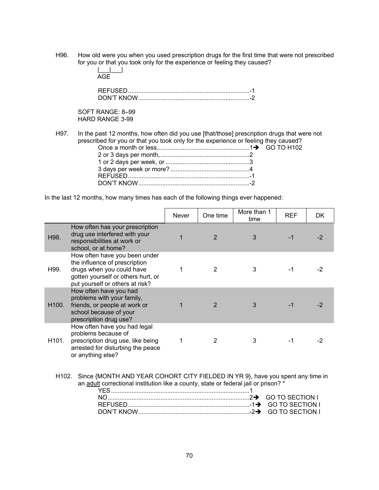H96. How old were you when you used prescription drugs for the first time that were not prescribed for you or that you took only for the experience or feeling they caused?

| 1. 1. 1. |  |
|----------|--|
|          |  |
|          |  |

SOFT RANGE: 8–99 HARD RANGE 3-99

H97. In the past 12 months, how often did you use [that/those] prescription drugs that were not prescribed for you or that you took only for the experience or feeling they caused?

In the last 12 months, how many times has each of the following things ever happened:

|                                                                                                                                                                                                                                                              |                                                                                                                                                                      | <b>Never</b> | One time       | More than 1<br>time | <b>REF</b> | DK   |
|--------------------------------------------------------------------------------------------------------------------------------------------------------------------------------------------------------------------------------------------------------------|----------------------------------------------------------------------------------------------------------------------------------------------------------------------|--------------|----------------|---------------------|------------|------|
| H98.                                                                                                                                                                                                                                                         | How often has your prescription<br>drug use interfered with your<br>responsibilities at work or<br>school, or at home?                                               | $\mathbf 1$  | $\overline{2}$ | 3                   | $-1$       | $-2$ |
| H99.                                                                                                                                                                                                                                                         | How often have you been under<br>the influence of prescription<br>drugs when you could have<br>gotten yourself or others hurt, or<br>put yourself or others at risk? | 1            | $\overline{2}$ | 3                   | $-1$       | $-2$ |
| H <sub>100</sub> .                                                                                                                                                                                                                                           | How often have you had<br>problems with your family,<br>friends, or people at work or<br>school because of your<br>prescription drug use?                            | 1            | $\overline{2}$ | 3                   | $-1$       | $-2$ |
| H101.                                                                                                                                                                                                                                                        | How often have you had legal<br>problems because of<br>prescription drug use, like being<br>arrested for disturbing the peace<br>or anything else?                   | 1            | $\mathcal{P}$  | 3                   | $-1$       | -2   |
| Since {MONTH AND YEAR COHORT CITY FIELDED IN YR 9}, have you spent any time in<br>H102.<br>an adult correctional institution like a county, state or federal jail or prison? *<br><b>GO TO SECTION I</b><br><b>GO TO SECTION I</b><br><b>GO TO SECTION I</b> |                                                                                                                                                                      |              |                |                     |            |      |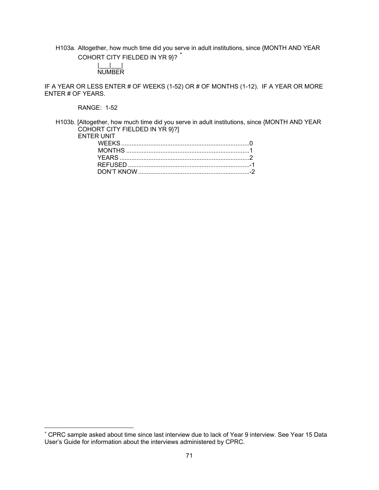H103a. Altogether, how much time did you serve in adult institutions, since {MONTH AND YEAR COHORT CITY FIELDED IN YR 9}? \*

#### |\_\_\_|\_\_\_| NUMBER

IF A YEAR OR LESS ENTER # OF WEEKS (1-52) OR # OF MONTHS (1-12). IF A YEAR OR MORE ENTER # OF YEARS.

RANGE: 1-52

 $\overline{a}$ 

H103b. [Altogether, how much time did you serve in adult institutions, since {MONTH AND YEAR COHORT CITY FIELDED IN YR 9}?]

| YEARS 2 |
|---------|
|         |
|         |
|         |

<sup>\*</sup> CPRC sample asked about time since last interview due to lack of Year 9 interview. See Year 15 Data User's Guide for information about the interviews administered by CPRC.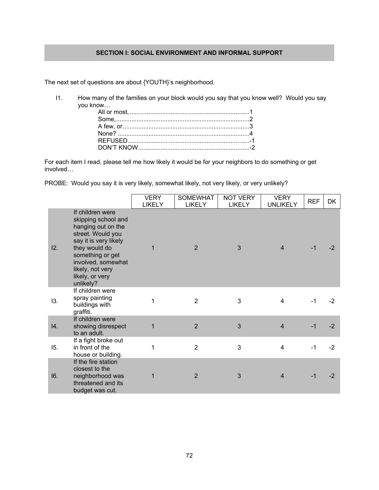# SECTION I: SOCIAL ENVIRONMENT AND INFORMAL SUPPORT

The next set of questions are about {YOUTH}'s neighborhood.

 $11.$ How many of the families on your block would you say that you know well? Would you say you know...

For each item I read, please tell me how likely it would be for your neighbors to do something or get involved...

PROBE: Would you say it is very likely, somewhat likely, not very likely, or very unlikely?

|     |                                                                                                                                                                                                                            | <b>VERY</b><br><b>LIKELY</b> | <b>SOMEWHAT</b><br><b>LIKELY</b> | <b>NOT VERY</b><br><b>LIKELY</b> | <b>VERY</b><br><b>UNLIKELY</b> | <b>REF</b> | DK   |
|-----|----------------------------------------------------------------------------------------------------------------------------------------------------------------------------------------------------------------------------|------------------------------|----------------------------------|----------------------------------|--------------------------------|------------|------|
| 12. | If children were<br>skipping school and<br>hanging out on the<br>street. Would you<br>say it is very likely<br>they would do<br>something or get<br>involved, somewhat<br>likely, not very<br>likely, or very<br>unlikely? | $\mathbf 1$                  | 2                                | 3                                | $\overline{4}$                 | $-1$       | $-2$ |
| 13. | If children were<br>spray painting<br>buildings with<br>graffiti.                                                                                                                                                          | 1                            | $\overline{2}$                   | 3                                | 4                              | $-1$       | $-2$ |
| 14. | If children were<br>showing disrespect<br>to an adult.                                                                                                                                                                     | 1                            | $\overline{2}$                   | 3                                | $\overline{4}$                 | $-1$       | $-2$ |
| 15. | If a fight broke out<br>in front of the<br>house or building.                                                                                                                                                              | 1                            | $\overline{2}$                   | 3                                | 4                              | $-1$       | $-2$ |
| 16. | If the fire station<br>closest to the<br>neighborhood was<br>threatened and its<br>budget was cut.                                                                                                                         | 1                            | $\overline{2}$                   | 3                                | $\overline{4}$                 | $-1$       | $-2$ |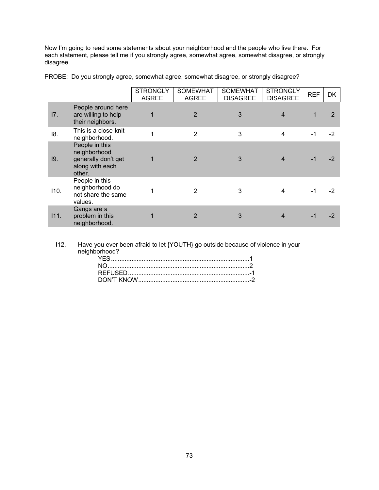Now I'm going to read some statements about your neighborhood and the people who live there. For each statement, please tell me if you strongly agree, somewhat agree, somewhat disagree, or strongly disagree.

|      |                                                                                    | <b>STRONGLY</b><br><b>AGREE</b> | <b>SOMEWHAT</b><br><b>AGREE</b> | <b>SOMEWHAT</b><br><b>DISAGREE</b> | <b>STRONGLY</b><br><b>DISAGREE</b> | <b>REF</b> | DK   |
|------|------------------------------------------------------------------------------------|---------------------------------|---------------------------------|------------------------------------|------------------------------------|------------|------|
| 17.  | People around here<br>are willing to help<br>their neighbors.                      | 1                               | $\overline{2}$                  | 3                                  | 4                                  | -1         | -2   |
| 18.  | This is a close-knit<br>neighborhood.                                              | 1                               | $\overline{2}$                  | 3                                  | $\overline{4}$                     | $-1$       | $-2$ |
| 19.  | People in this<br>neighborhood<br>generally don't get<br>along with each<br>other. |                                 | 2                               | 3                                  |                                    | $-1$       | -2   |
| 110. | People in this<br>neighborhood do<br>not share the same<br>values.                 |                                 | 2                               | 3                                  | 4                                  | $-1$       | -2   |
| 111. | Gangs are a<br>problem in this<br>neighborhood.                                    |                                 | 2                               | 3                                  |                                    | $-1$       | -2   |

PROBE: Do you strongly agree, somewhat agree, somewhat disagree, or strongly disagree?

I12. Have you ever been afraid to let {YOUTH} go outside because of violence in your neighborhood? YES ................................................................................. 1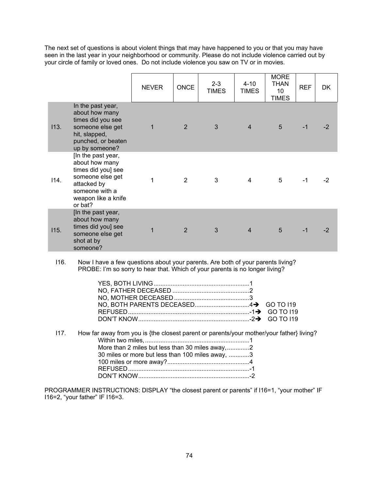The next set of questions is about violent things that may have happened to you or that you may have seen in the last year in your neighborhood or community. Please do not include violence carried out by your circle of family or loved ones. Do not include violence you saw on TV or in movies.

|      |                                                                                                                                                   | <b>NEVER</b> | <b>ONCE</b>    | $2 - 3$<br><b>TIMES</b> | $4 - 10$<br><b>TIMES</b> | <b>MORE</b><br>THAN<br>10<br><b>TIMES</b> | <b>REF</b> | DK.  |
|------|---------------------------------------------------------------------------------------------------------------------------------------------------|--------------|----------------|-------------------------|--------------------------|-------------------------------------------|------------|------|
| 113. | In the past year,<br>about how many<br>times did you see<br>someone else get<br>hit, slapped,<br>punched, or beaten<br>up by someone?             | 1            | $\overline{2}$ | 3                       | $\overline{4}$           | 5                                         | $-1$       | -2   |
| 114. | [In the past year,<br>about how many<br>times did you] see<br>someone else get<br>attacked by<br>someone with a<br>weapon like a knife<br>or bat? |              | 2              | 3                       | $\overline{\mathbf{4}}$  | 5                                         | -1         | -2   |
| 115. | [In the past year,<br>about how many<br>times did you] see<br>someone else get<br>shot at by<br>someone?                                          | 1            | 2              | 3                       | $\overline{4}$           | 5                                         | $-1$       | $-2$ |

I16. Now I have a few questions about your parents. Are both of your parents living? PROBE: I'm so sorry to hear that. Which of your parents is no longer living?

I17. How far away from you is {the closest parent or parents/your mother/your father} living? Within two miles, ............................................................. 1 More than 2 miles but less than 30 miles away, ............. 2 30 miles or more but less than 100 miles away, ............ 3 100 miles or more away? ................................................ 4 REFUSED ....................................................................... -1 DON'T KNOW ................................................................. -2

PROGRAMMER INSTRUCTIONS: DISPLAY "the closest parent or parents" if I16=1, "your mother" IF I16=2, "your father" IF I16=3.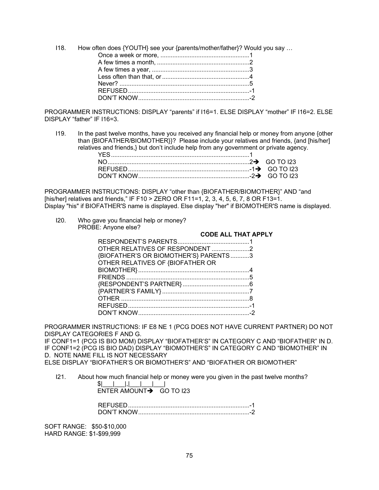$118.$ How often does {YOUTH} see your {parents/mother/father}? Would you say ...

PROGRAMMER INSTRUCTIONS: DISPLAY "parents" if I16=1. ELSE DISPLAY "mother" IF I16=2. ELSE DISPLAY "father" IF I16=3.

 $119.$ In the past twelve months, have you received any financial help or money from anyone {other than {BIOFATHER/BIOMOTHER}}? Please include your relatives and friends, {and [his/her] relatives and friends,} but don't include help from any government or private agency.

PROGRAMMER INSTRUCTIONS: DISPLAY "other than {BIOFATHER/BIOMOTHER}" AND "and [his/her] relatives and friends," IF F10 > ZERO OR F11=1, 2, 3, 4, 5, 6, 7, 8 OR F13=1. Display "his" if BIOFATHER'S name is displayed. Else display "her" if BIOMOTHER'S name is displayed.

 $120 -$ Who gave you financial help or money? PROBE: Anyone else?

|                                       | <b>CODE ALL THAT APPLY</b> |
|---------------------------------------|----------------------------|
|                                       |                            |
| OTHER RELATIVES OF RESPONDENT 2       |                            |
| {BIOFATHER'S OR BIOMOTHER'S} PARENTS3 |                            |
| OTHER RELATIVES OF {BIOFATHER OR      |                            |
|                                       |                            |
|                                       |                            |
|                                       |                            |
|                                       |                            |
|                                       |                            |
|                                       |                            |
|                                       |                            |
|                                       |                            |

PROGRAMMER INSTRUCTIONS: IF E8 NE 1 (PCG DOES NOT HAVE CURRENT PARTNER) DO NOT DISPLAY CATEGORIES F AND G.

IF CONF1=1 (PCG IS BIO MOM) DISPLAY "BIOFATHER'S" IN CATEGORY C AND "BIOFATHER" IN D. IF CONF1=2 (PCG IS BIO DAD) DISPLAY "BIOMOTHER'S" IN CATEGORY C AND "BIOMOTHER" IN D. NOTE NAME FILL IS NOT NECESSARY

ELSE DISPLAY "BIOFATHER'S OR BIOMOTHER'S" AND "BIOFATHER OR BIOMOTHER"

 $121.$ About how much financial help or money were you given in the past twelve months?  $C = 1$  $\sim 1$  $\sim$  1

| ENTER AMOUNT $\rightarrow$ GO TO 123 |
|--------------------------------------|

SOFT RANGE: \$50-\$10,000 HARD RANGE: \$1-\$99,999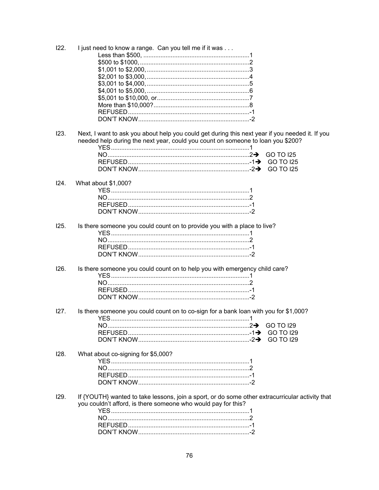| 122. | I just need to know a range. Can you tell me if it was                                          |
|------|-------------------------------------------------------------------------------------------------|
|      |                                                                                                 |
|      |                                                                                                 |
|      |                                                                                                 |
|      |                                                                                                 |
|      |                                                                                                 |
|      |                                                                                                 |
|      |                                                                                                 |
|      |                                                                                                 |
|      |                                                                                                 |
|      |                                                                                                 |
| 123. | Next, I want to ask you about help you could get during this next year if you needed it. If you |
|      | needed help during the next year, could you count on someone to loan you \$200?                 |
|      |                                                                                                 |
|      | GO TO 125                                                                                       |
|      | <b>GO TO I25</b>                                                                                |
|      | <b>GO TO I25</b>                                                                                |
|      |                                                                                                 |
| 124. | What about \$1,000?                                                                             |
|      |                                                                                                 |
|      |                                                                                                 |
|      |                                                                                                 |
|      |                                                                                                 |
|      |                                                                                                 |
| 125. | Is there someone you could count on to provide you with a place to live?                        |
|      |                                                                                                 |
|      |                                                                                                 |
|      |                                                                                                 |
|      |                                                                                                 |
|      |                                                                                                 |
| 126. | Is there someone you could count on to help you with emergency child care?                      |
|      |                                                                                                 |
|      |                                                                                                 |
|      |                                                                                                 |
|      |                                                                                                 |
| 127. | Is there someone you could count on to co-sign for a bank loan with you for \$1,000?            |
|      |                                                                                                 |
|      | <b>GO TO 129</b>                                                                                |
|      | <b>GO TO I29</b>                                                                                |
|      |                                                                                                 |
|      | <b>GO TO 129</b>                                                                                |
| 128. | What about co-signing for \$5,000?                                                              |
|      |                                                                                                 |
|      |                                                                                                 |
|      |                                                                                                 |
|      |                                                                                                 |
|      |                                                                                                 |
| 129. | If {YOUTH} wanted to take lessons, join a sport, or do some other extracurricular activity that |
|      | you couldn't afford, is there someone who would pay for this?                                   |
|      |                                                                                                 |
|      |                                                                                                 |
|      |                                                                                                 |
|      |                                                                                                 |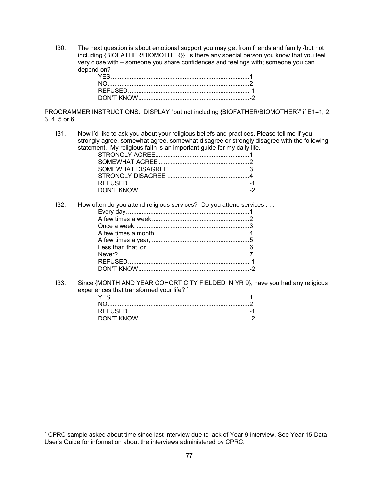I30. The next question is about emotional support you may get from friends and family {but not including {BIOFATHER/BIOMOTHER}}. Is there any special person you know that you feel very close with – someone you share confidences and feelings with; someone you can depend on?

PROGRAMMER INSTRUCTIONS: DISPLAY "but not including {BIOFATHER/BIOMOTHER}" if E1=1, 2, 3, 4, 5 or 6.

I31. Now I'd like to ask you about your religious beliefs and practices. Please tell me if you strongly agree, somewhat agree, somewhat disagree or strongly disagree with the following statement. My religious faith is an important guide for my daily life.

I32. How often do you attend religious services? Do you attend services . . .

I33. Since {MONTH AND YEAR COHORT CITY FIELDED IN YR 9}, have you had any religious experiences that transformed your life? \*

 $\overline{a}$ 

<sup>\*</sup> CPRC sample asked about time since last interview due to lack of Year 9 interview. See Year 15 Data User's Guide for information about the interviews administered by CPRC.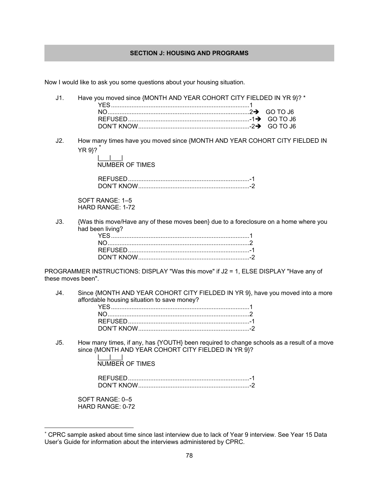## **SECTION J: HOUSING AND PROGRAMS**

Now I would like to ask you some questions about your housing situation.

J1. Have you moved since {MONTH AND YEAR COHORT CITY FIELDED IN YR 9}? \* YES ................................................................................. 1 NO ................................................................................... 2GO TO J6 REFUSED ....................................................................... -1GO TO J6 DON'T KNOW ................................................................. -2GO TO J6 J2. How many times have you moved since {MONTH AND YEAR COHORT CITY FIELDED IN YR 9}? \* |\_\_\_|\_\_\_| NUMBER OF TIMES REFUSED ....................................................................... -1 DON'T KNOW ................................................................. -2

SOFT RANGE: 1–5 HARD RANGE: 1-72

J3. {Was this move/Have any of these moves been} due to a foreclosure on a home where you had been living?

PROGRAMMER INSTRUCTIONS: DISPLAY "Was this move" if J2 = 1, ELSE DISPLAY "Have any of these moves been".

J4. Since {MONTH AND YEAR COHORT CITY FIELDED IN YR 9}, have you moved into a more affordable housing situation to save money?

J5. How many times, if any, has {YOUTH} been required to change schools as a result of a move since {MONTH AND YEAR COHORT CITY FIELDED IN YR 9}?

> $\Box$ NUMBER OF TIMES

 REFUSED ....................................................................... -1 DON'T KNOW ................................................................. -2

SOFT RANGE: 0–5 HARD RANGE: 0-72

 $\overline{a}$ 

<sup>\*</sup> CPRC sample asked about time since last interview due to lack of Year 9 interview. See Year 15 Data User's Guide for information about the interviews administered by CPRC.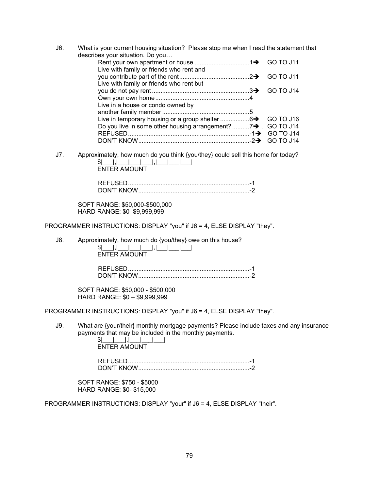J6. What is your current housing situation? Please stop me when I read the statement that describes your situation. Do you…

| Live with family or friends who rent and                     |  |
|--------------------------------------------------------------|--|
|                                                              |  |
| Live with family or friends who rent but                     |  |
|                                                              |  |
|                                                              |  |
| Live in a house or condo owned by                            |  |
|                                                              |  |
|                                                              |  |
| Do you live in some other housing arrangement?7→ . GO TO J14 |  |
|                                                              |  |
|                                                              |  |

J7. Approximately, how much do you think {you/they} could sell this home for today?  $|S|$  ,  $|$  ,  $|$  ,  $|$  ,  $|$  ,  $|$  ,  $|$  ,  $|$  ,  $|$  ,  $|$  ,  $|$  ,  $|$  ,  $|$  ,  $|$  ,  $|$  ,  $|$  ,  $|$  ,  $|$  ,  $|$  ,  $|$  ,  $|$  ,  $|$  ,  $|$  ,  $|$  ,  $|$  ,  $|$  ,  $|$  ,  $|$  ,  $|$  ,  $|$  ,  $|$  ,  $|$  ,  $|$  ,  $|$  ,  $|$  ,  $|$  ,  $|$ ENTER AMOUNT

| DON'T KNOW |  |
|------------|--|

SOFT RANGE: \$50,000-\$500,000 HARD RANGE: \$0–\$9,999,999

PROGRAMMER INSTRUCTIONS: DISPLAY "you" if J6 = 4, ELSE DISPLAY "they".

J8. Approximately, how much do {you/they} owe on this house?

 $|S|$  ,  $|$  ,  $|$  ,  $|$  ,  $|$  ,  $|$  ,  $|$  ,  $|$  ,  $|$  ,  $|$  ,  $|$  ,  $|$  ,  $|$  ,  $|$  ,  $|$  ,  $|$  ,  $|$  ,  $|$  ,  $|$  ,  $|$  ,  $|$  ,  $|$  ,  $|$  ,  $|$  ,  $|$  ,  $|$  ,  $|$  ,  $|$  ,  $|$  ,  $|$  ,  $|$  ,  $|$  ,  $|$  ,  $|$  ,  $|$  ,  $|$  ,  $|$ ENTER AMOUNT

 REFUSED ....................................................................... -1 DON'T KNOW ................................................................. -2

SOFT RANGE: \$50,000 - \$500,000 HARD RANGE: \$0 – \$9,999,999

PROGRAMMER INSTRUCTIONS: DISPLAY "you" if J6 = 4, ELSE DISPLAY "they".

J9. What are {your/their} monthly mortgage payments? Please include taxes and any insurance payments that may be included in the monthly payments.

 $|S|$   $|Z|$   $|Z|$   $|Z|$   $|Z|$   $|Z|$   $|Z|$   $|Z|$   $|Z|$   $|Z|$   $|Z|$   $|Z|$   $|Z|$   $|Z|$   $|Z|$   $|Z|$   $|Z|$   $|Z|$   $|Z|$   $|Z|$   $|Z|$   $|Z|$   $|Z|$   $|Z|$   $|Z|$   $|Z|$   $|Z|$   $|Z|$   $|Z|$   $|Z|$   $|Z|$   $|Z|$   $|Z|$   $|Z|$   $|Z|$   $|Z|$   $|Z|$ ENTER AMOUNT

 REFUSED ....................................................................... -1 DON'T KNOW ................................................................. -2

SOFT RANGE: \$750 - \$5000 HARD RANGE: \$0- \$15,000

PROGRAMMER INSTRUCTIONS: DISPLAY "your" if J6 = 4, ELSE DISPLAY "their".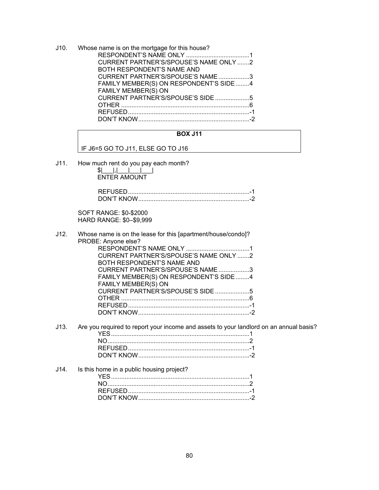J10. Whose name is on the mortgage for this house? RESPONDENT'S NAME ONLY ..................................... 1 CURRENT PARTNER'S/SPOUSE'S NAME ONLY ....... 2 BOTH RESPONDENT'S NAME AND CURRENT PARTNER'S/SPOUSE'S NAME .................. 3 FAMILY MEMBER(S) ON RESPONDENT'S SIDE ........ 4 FAMILY MEMBER(S) ON CURRENT PARTNER'S/SPOUSE'S SIDE .................... 5 OTHER ........................................................................... 6 REFUSED ....................................................................... -1 DON'T KNOW ................................................................. -2

## **BOX J11**

IF J6=5 GO TO J11, ELSE GO TO J16

J11. How much rent do you pay each month?

 $|S|$ |,| ENTER AMOUNT

| MUT KNOW |  |
|----------|--|

SOFT RANGE: \$0-\$2000 HARD RANGE: \$0–\$9,999

| J12. Whose name is on the lease for this [apartment/house/condo]? |
|-------------------------------------------------------------------|
| PROBE: Anyone else?                                               |
|                                                                   |
| CURRENT PARTNER'S/SPOUSE'S NAME ONLY 2                            |
| BOTH RESPONDENT'S NAME AND                                        |
| CURRENT PARTNER'S/SPOUSE'S NAME 3                                 |
| FAMILY MEMBER(S) ON RESPONDENT'S SIDE4                            |
| FAMILY MEMBER(S) ON                                               |
| CURRENT PARTNER'S/SPOUSE'S SIDE 5                                 |
|                                                                   |
|                                                                   |
|                                                                   |
|                                                                   |

J13. Are you required to report your income and assets to your landlord on an annual basis? YES ................................................................................. 1 NO ................................................................................... 2 REFUSED ....................................................................... -1 DON'T KNOW ................................................................. -2

| J14. Is this home in a public housing project? |  |
|------------------------------------------------|--|
|                                                |  |
|                                                |  |
|                                                |  |
|                                                |  |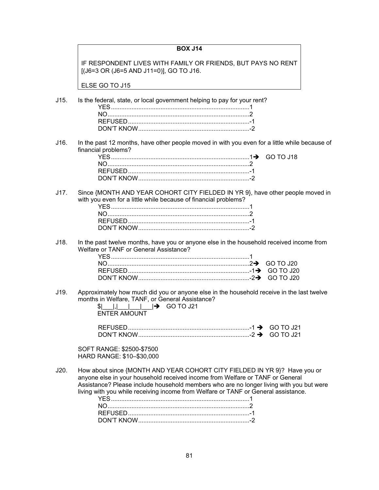## **BOX J14**

IF RESPONDENT LIVES WITH FAMILY OR FRIENDS, BUT PAYS NO RENT [(J6=3 OR (J6=5 AND J11=0)], GO TO J16.

ELSE GO TO J15

J15. Is the federal, state, or local government helping to pay for your rent?

J16. In the past 12 months, have other people moved in with you even for a little while because of financial problems?

J17. Since {MONTH AND YEAR COHORT CITY FIELDED IN YR 9}, have other people moved in with you even for a little while because of financial problems?

J18. In the past twelve months, have you or anyone else in the household received income from Welfare or TANF or General Assistance?

J19. Approximately how much did you or anyone else in the household receive in the last twelve months in Welfare, TANF, or General Assistance?

| $\begin{array}{ c c c c c c c c c }\n\hline\n\vdots & \vdots & \vdots & \mathsf{GOTO J21}\n\hline\n\end{array}$ |  |
|-----------------------------------------------------------------------------------------------------------------|--|
| ENTER AMOUNT                                                                                                    |  |

| $\ddot{\text{1}}$ GO TO J21 |  |
|-----------------------------|--|
| DON'T KNOW                  |  |

SOFT RANGE: \$2500-\$7500 HARD RANGE: \$10–\$30,000

J20. How about since {MONTH AND YEAR COHORT CITY FIELDED IN YR 9}? Have you or anyone else in your household received income from Welfare or TANF or General Assistance? Please include household members who are no longer living with you but were living with you while receiving income from Welfare or TANF or General assistance.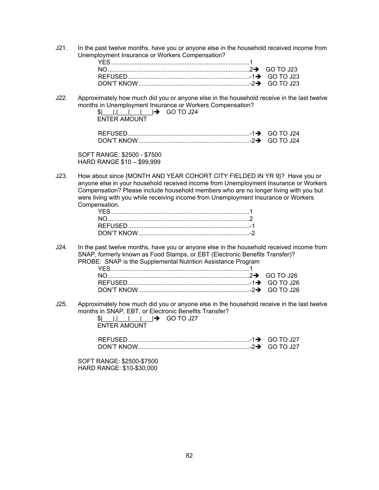J21. In the past twelve months, have you or anyone else in the household received income from Unemployment Insurance or Workers Compensation?

J22. Approximately how much did you or anyone else in the household receive in the last twelve months in Unemployment Insurance or Workers Compensation?

| $ S $                             GO TO J24 |  |
|---------------------------------------------|--|
| ENTER AMOUNT                                |  |

SOFT RANGE: \$2500 - \$7500 HARD RANGE \$10 – \$99,999

J23. How about since {MONTH AND YEAR COHORT CITY FIELDED IN YR 9}? Have you or anyone else in your household received income from Unemployment Insurance or Workers Compensation? Please include household members who are no longer living with you but were living with you while receiving income from Unemployment Insurance or Workers Compensation.

J24. In the past twelve months, have you or anyone else in the household received income from SNAP, formerly known as Food Stamps, or EBT (Electronic Benefits Transfer)? PROBE: SNAP is the Supplemental Nutrition Assistance Program

J25. Approximately how much did you or anyone else in the household receive in the last twelve months in SNAP, EBT, or Electronic Benefits Transfer?

| $  .  .  .  .  .  $ GO TO J27 |  |
|-------------------------------|--|
| <b>ENTER AMOUNT</b>           |  |

| DON'T KNOW |  |
|------------|--|

SOFT RANGE: \$2500-\$7500 HARD RANGE: \$10-\$30,000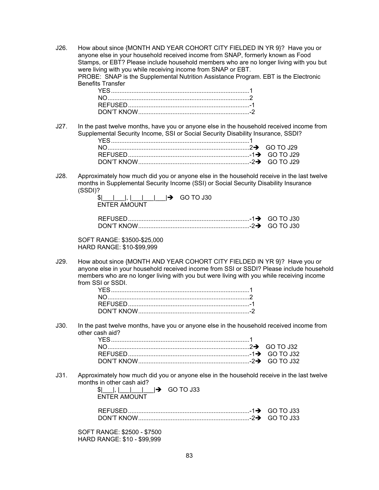J26. How about since {MONTH AND YEAR COHORT CITY FIELDED IN YR 9}? Have you or anyone else in your household received income from SNAP, formerly known as Food Stamps, or EBT? Please include household members who are no longer living with you but were living with you while receiving income from SNAP or EBT. PROBE: SNAP is the Supplemental Nutrition Assistance Program. EBT is the Electronic Benefits Transfer

J27. In the past twelve months, have you or anyone else in the household received income from Supplemental Security Income, SSI or Social Security Disability Insurance, SSDI?

| DN' I |  |
|-------|--|

J28. Approximately how much did you or anyone else in the household receive in the last twelve months in Supplemental Security Income (SSI) or Social Security Disability Insurance (SSDI)?

| $\vert \$             $\vert \rightarrow$ GO TO J30 |  |
|-----------------------------------------------------|--|
| ENTER AMOUNT                                        |  |

| DON'T KNOW |  |
|------------|--|

SOFT RANGE: \$3500-\$25,000 HARD RANGE: \$10-\$99,999

J29. How about since {MONTH AND YEAR COHORT CITY FIELDED IN YR 9}? Have you or anyone else in your household received income from SSI or SSDI? Please include household members who are no longer living with you but were living with you while receiving income from SSI or SSDI.

J30. In the past twelve months, have you or anyone else in the household received income from other cash aid?

J31. Approximately how much did you or anyone else in the household receive in the last twelve months in other cash aid?

| $\left  \begin{array}{c} \text{S} \end{array} \right $ , $\left  \begin{array}{c} \text{I} \end{array} \right $ $\left  \begin{array}{c} \text{S} \end{array} \right $ GO TO J33 |  |
|----------------------------------------------------------------------------------------------------------------------------------------------------------------------------------|--|
| ENTER AMOUNT                                                                                                                                                                     |  |

SOFT RANGE: \$2500 - \$7500 HARD RANGE: \$10 - \$99,999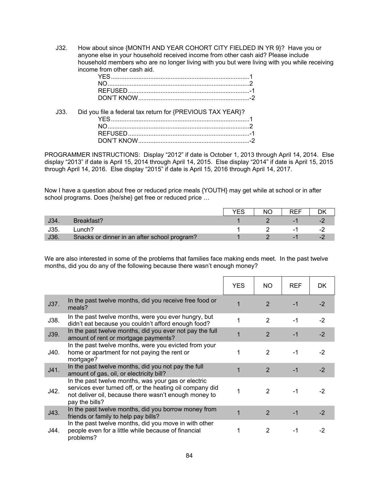J32. How about since {MONTH AND YEAR COHORT CITY FIELDED IN YR 9}? Have you or anyone else in your household received income from other cash aid? Please include household members who are no longer living with you but were living with you while receiving income from other cash aid.

| J33. Did you file a federal tax return for {PREVIOUS TAX YEAR}? |
|-----------------------------------------------------------------|
|                                                                 |
|                                                                 |
|                                                                 |
|                                                                 |

PROGRAMMER INSTRUCTIONS: Display "2012" if date is October 1, 2013 through April 14, 2014. Else display "2013" if date is April 15, 2014 through April 14, 2015. Else display "2014" if date is April 15, 2015 through April 14, 2016. Else display "2015" if date is April 15, 2016 through April 14, 2017.

Now I have a question about free or reduced price meals {YOUTH} may get while at school or in after school programs. Does {he/she} get free or reduced price …

|     |                                              | NŊ | RFF |  |
|-----|----------------------------------------------|----|-----|--|
|     | Breakfast?                                   |    | -   |  |
| J35 | unch?_                                       |    | нC  |  |
| J36 | Snacks or dinner in an after school program? |    | -   |  |

We are also interested in some of the problems that families face making ends meet. In the past twelve months, did you do any of the following because there wasn't enough money?

|      |                                                                                                                                                                                            | YES | NO.            | <b>REF</b> | DK.  |
|------|--------------------------------------------------------------------------------------------------------------------------------------------------------------------------------------------|-----|----------------|------------|------|
| J37. | In the past twelve months, did you receive free food or<br>meals?                                                                                                                          |     | $\mathcal{P}$  | -1         | $-2$ |
| J38. | In the past twelve months, were you ever hungry, but<br>didn't eat because you couldn't afford enough food?                                                                                |     | $\overline{2}$ | $-1$       | $-2$ |
| J39. | In the past twelve months, did you ever not pay the full<br>amount of rent or mortgage payments?                                                                                           |     | 2              | $-1$       | $-2$ |
| J40. | In the past twelve months, were you evicted from your<br>home or apartment for not paying the rent or<br>mortgage?                                                                         |     | $\overline{2}$ | $-1$       | $-2$ |
| J41. | In the past twelve months, did you not pay the full<br>amount of gas, oil, or electricity bill?                                                                                            |     | $\overline{2}$ | $-1$       | $-2$ |
| J42. | In the past twelve months, was your gas or electric<br>services ever turned off, or the heating oil company did<br>not deliver oil, because there wasn't enough money to<br>pay the bills? |     | 2              | $-1$       | -2   |
| J43. | In the past twelve months, did you borrow money from<br>friends or family to help pay bills?                                                                                               |     | 2              | $-1$       | $-2$ |
| J44. | In the past twelve months, did you move in with other<br>people even for a little while because of financial<br>problems?                                                                  |     | 2              | -1         | -2   |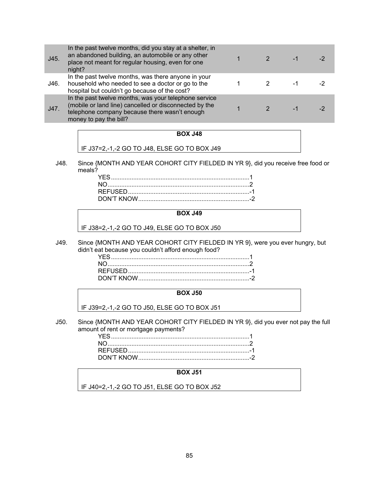| J45. | In the past twelve months, did you stay at a shelter, in<br>an abandoned building, an automobile or any other<br>place not meant for regular housing, even for one<br>night?               |  |   |  |
|------|--------------------------------------------------------------------------------------------------------------------------------------------------------------------------------------------|--|---|--|
| J46. | In the past twelve months, was there anyone in your<br>household who needed to see a doctor or go to the<br>hospital but couldn't go because of the cost?                                  |  | ÷ |  |
| J47. | In the past twelve months, was your telephone service<br>(mobile or land line) cancelled or disconnected by the<br>telephone company because there wasn't enough<br>money to pay the bill? |  |   |  |

## **BOX J48**

IF J37=2,-1,-2 GO TO J48, ELSE GO TO BOX J49

J48. Since {MONTH AND YEAR COHORT CITY FIELDED IN YR 9}, did you receive free food or meals?

## **BOX J49**

IF J38=2,-1,-2 GO TO J49, ELSE GO TO BOX J50

J49. Since {MONTH AND YEAR COHORT CITY FIELDED IN YR 9}, were you ever hungry, but didn't eat because you couldn't afford enough food?

### **BOX J50**

IF J39=2,-1,-2 GO TO J50, ELSE GO TO BOX J51

J50. Since {MONTH AND YEAR COHORT CITY FIELDED IN YR 9}, did you ever not pay the full amount of rent or mortgage payments?

### **BOX J51**

IF J40=2,-1,-2 GO TO J51, ELSE GO TO BOX J52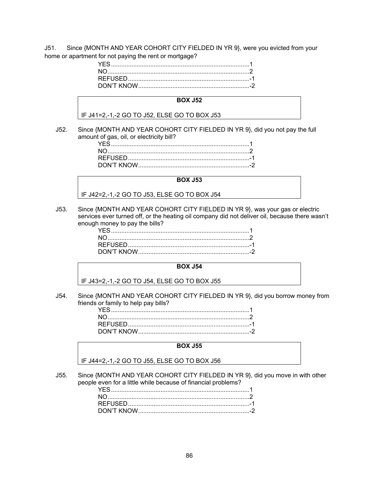J51. Since {MONTH AND YEAR COHORT CITY FIELDED IN YR 9}, were you evicted from your home or apartment for not paying the rent or mortgage?

#### **BOX J52**

IF J41=2,-1,-2 GO TO J52, ELSE GO TO BOX J53

J52. Since {MONTH AND YEAR COHORT CITY FIELDED IN YR 9}, did you not pay the full amount of gas, oil, or electricity bill?

#### **BOX J53**

IF J42=2,-1,-2 GO TO J53, ELSE GO TO BOX J54

J53. Since {MONTH AND YEAR COHORT CITY FIELDED IN YR 9}, was your gas or electric services ever turned off, or the heating oil company did not deliver oil, because there wasn't enough money to pay the bills?

## **BOX J54**

IF J43=2,-1,-2 GO TO J54, ELSE GO TO BOX J55

J54. Since {MONTH AND YEAR COHORT CITY FIELDED IN YR 9}, did you borrow money from friends or family to help pay bills?

### **BOX J55**

IF J44=2,-1,-2 GO TO J55, ELSE GO TO BOX J56

J55. Since {MONTH AND YEAR COHORT CITY FIELDED IN YR 9}, did you move in with other people even for a little while because of financial problems?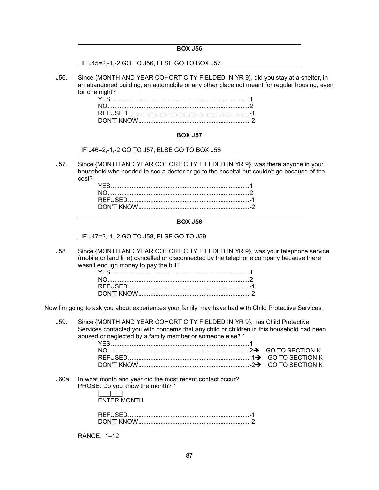## **BOX J56**

IF J45=2,-1,-2 GO TO J56, ELSE GO TO BOX J57

J56. Since {MONTH AND YEAR COHORT CITY FIELDED IN YR 9}, did you stay at a shelter, in an abandoned building, an automobile or any other place not meant for regular housing, even for one night?

### **BOX J57**

IF J46=2,-1,-2 GO TO J57, ELSE GO TO BOX J58

J57. Since {MONTH AND YEAR COHORT CITY FIELDED IN YR 9}, was there anyone in your household who needed to see a doctor or go to the hospital but couldn't go because of the cost?

### **BOX J58**

IF J47=2,-1,-2 GO TO J58, ELSE GO TO J59

J58. Since {MONTH AND YEAR COHORT CITY FIELDED IN YR 9}, was your telephone service (mobile or land line) cancelled or disconnected by the telephone company because there wasn't enough money to pay the bill?

Now I'm going to ask you about experiences your family may have had with Child Protective Services.

J59. Since {MONTH AND YEAR COHORT CITY FIELDED IN YR 9}, has Child Protective Services contacted you with concerns that any child or children in this household had been abused or neglected by a family member or someone else? \*

J60a. In what month and year did the most recent contact occur? PROBE: Do you know the month? \* |\_\_\_|\_\_\_|

ENTER MONTH

| DON'T KNOW |  |
|------------|--|

RANGE: 1–12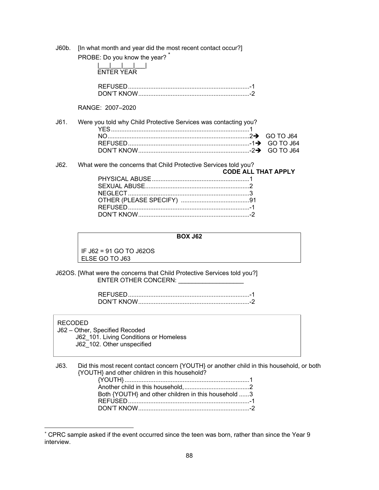J60b. [In what month and year did the most recent contact occur?]

| PROBE: Do you know the year? |  |
|------------------------------|--|

|      | PROBE: DO you know the year?<br><b>ENTER YEAR</b>               |                            |  |
|------|-----------------------------------------------------------------|----------------------------|--|
|      |                                                                 |                            |  |
|      | RANGE: 2007-2020                                                |                            |  |
| J61. | Were you told why Child Protective Services was contacting you? |                            |  |
|      |                                                                 |                            |  |
|      |                                                                 |                            |  |
| J62. | What were the concerns that Child Protective Services told you? |                            |  |
|      |                                                                 | <b>CODE ALL THAT APPLY</b> |  |
|      |                                                                 |                            |  |
|      | SEXUAL ABUSE<br>$- - - - - -$                                   |                            |  |

## **BOX J62**

IF J62 = 91 GO TO J62OS ELSE GO TO J63

J62OS. [What were the concerns that Child Protective Services told you?] ENTER OTHER CONCERN:

| ווריז געווארי $\tau$ knimi |  |
|----------------------------|--|

#### RECODED

 $\overline{a}$ 

 J62 – Other, Specified Recoded J62 101. Living Conditions or Homeless J62\_102. Other unspecified

J63. Did this most recent contact concern {YOUTH} or another child in this household, or both {YOUTH} and other children in this household?

| Both {YOUTH} and other children in this household 3 |  |
|-----------------------------------------------------|--|
|                                                     |  |
|                                                     |  |

<sup>\*</sup> CPRC sample asked if the event occurred since the teen was born, rather than since the Year 9 interview.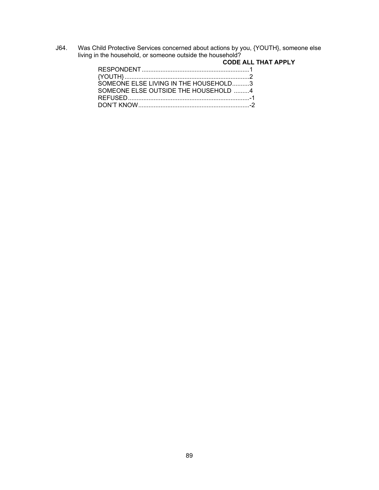J64. Was Child Protective Services concerned about actions by you, {YOUTH}, someone else living in the household, or someone outside the household?

|                                       | <b>CODE ALL THAT APPLY</b> |
|---------------------------------------|----------------------------|
|                                       |                            |
|                                       |                            |
| SOMEONE FLSE LIVING IN THE HOUSEHOLD3 |                            |
| SOMEONE FLSE OUTSIDE THE HOUSEHOLD 4  |                            |
|                                       |                            |
|                                       |                            |
|                                       |                            |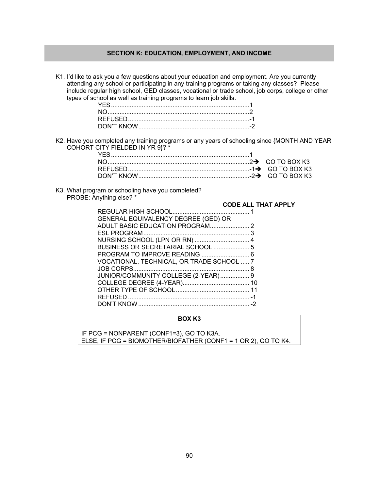## **SECTION K: EDUCATION, EMPLOYMENT, AND INCOME**

K1. I'd like to ask you a few questions about your education and employment. Are you currently attending any school or participating in any training programs or taking any classes? Please include regular high school, GED classes, vocational or trade school, job corps, college or other types of school as well as training programs to learn job skills.

K2. Have you completed any training programs or any years of schooling since {MONTH AND YEAR COHORT CITY FIELDED IN YR 9}? \*

K3. What program or schooling have you completed? PROBE: Anything else? \*

## **CODE ALL THAT APPLY**

| GENERAL EQUIVALENCY DEGREE (GED) OR       |  |
|-------------------------------------------|--|
|                                           |  |
|                                           |  |
| NURSING SCHOOL (LPN OR RN)  4             |  |
| BUSINESS OR SECRETARIAL SCHOOL  5         |  |
|                                           |  |
| VOCATIONAL, TECHNICAL, OR TRADE SCHOOL  7 |  |
|                                           |  |
| JUNIOR/COMMUNITY COLLEGE (2-YEAR) 9       |  |
|                                           |  |
|                                           |  |
|                                           |  |
|                                           |  |
|                                           |  |

## **BOX K3**

IF PCG = NONPARENT (CONF1=3), GO TO K3A. ELSE, IF PCG = BIOMOTHER/BIOFATHER (CONF1 = 1 OR 2), GO TO K4.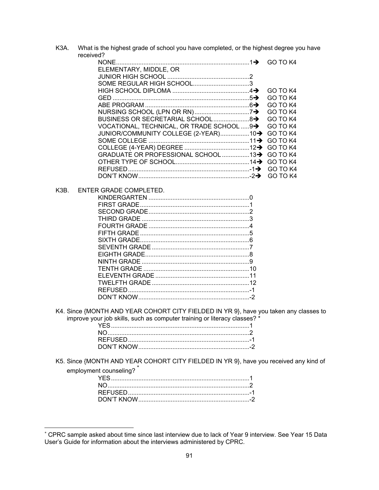K3A. What is the highest grade of school you have completed, or the highest degree you have received?

|                                                    | GO TO K4 |
|----------------------------------------------------|----------|
| ELEMENTARY, MIDDLE, OR                             |          |
|                                                    |          |
|                                                    |          |
|                                                    | GO TO K4 |
|                                                    | GO TO K4 |
|                                                    |          |
|                                                    |          |
| BUSINESS OR SECRETARIAL SCHOOL 8> GO TO K4         |          |
| VOCATIONAL, TECHNICAL, OR TRADE SCHOOL 9→ GO TO K4 |          |
| JUNIOR/COMMUNITY COLLEGE (2-YEAR)10→ GO TO K4      |          |
|                                                    |          |
|                                                    |          |
| GRADUATE OR PROFESSIONAL SCHOOL 13→ GO TO K4       |          |
|                                                    |          |
|                                                    |          |
|                                                    |          |

K3B. ENTER GRADE COMPLETED.

 $\overline{a}$ 

K4. Since {MONTH AND YEAR COHORT CITY FIELDED IN YR 9}, have you taken any classes to improve your job skills, such as computer training or literacy classes? \*

K5. Since {MONTH AND YEAR COHORT CITY FIELDED IN YR 9}, have you received any kind of employment counseling?<sup>\*</sup>

<sup>\*</sup> CPRC sample asked about time since last interview due to lack of Year 9 interview. See Year 15 Data User's Guide for information about the interviews administered by CPRC.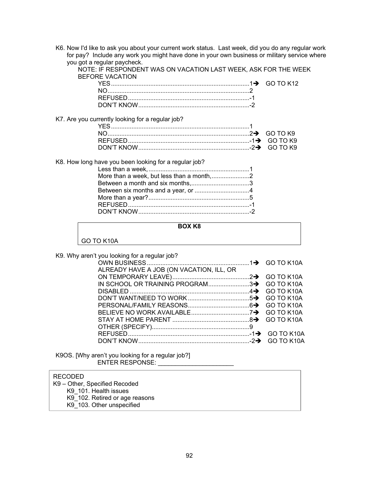K6. Now I'd like to ask you about your current work status. Last week, did you do any regular work for pay? Include any work you might have done in your own business or military service where you got a regular paycheck.

| <b>BEFORE VACATION</b>                                | NOTE: IF RESPONDENT WAS ON VACATION LAST WEEK, ASK FOR THE WE |           |
|-------------------------------------------------------|---------------------------------------------------------------|-----------|
|                                                       |                                                               | GO TO K12 |
|                                                       |                                                               |           |
|                                                       |                                                               |           |
|                                                       |                                                               |           |
| K7. Are you currently looking for a regular job?      |                                                               |           |
|                                                       |                                                               |           |
|                                                       |                                                               | GO TO K9  |
|                                                       |                                                               |           |
|                                                       |                                                               |           |
| K8. How long have you been looking for a regular job? |                                                               |           |
|                                                       |                                                               |           |
|                                                       |                                                               |           |
|                                                       |                                                               |           |
|                                                       |                                                               |           |
|                                                       |                                                               |           |
|                                                       |                                                               |           |
|                                                       |                                                               |           |

NOTE: IF RESPONDENT WAS ON VACATION LAST WEEK, ASK FOR THE WEEK

|            | <b>BOX K8</b> |  |
|------------|---------------|--|
| GO TO K10A |               |  |

K9. Why aren't you looking for a regular job?

| ALREADY HAVE A JOB (ON VACATION, ILL, OR |  |  |
|------------------------------------------|--|--|
|                                          |  |  |
|                                          |  |  |
|                                          |  |  |
|                                          |  |  |
|                                          |  |  |
|                                          |  |  |
|                                          |  |  |
|                                          |  |  |
|                                          |  |  |
|                                          |  |  |
|                                          |  |  |

K9OS. [Why aren't you looking for a regular job?] ENTER RESPONSE: \_\_\_\_\_\_\_\_\_\_\_\_\_

## RECODED

 K9 – Other, Specified Recoded K9\_101. Health issues K9\_102. Retired or age reasons K9\_103. Other unspecified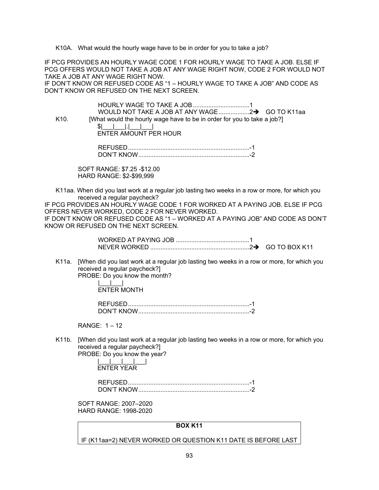K10A. What would the hourly wage have to be in order for you to take a job?

IF PCG PROVIDES AN HOURLY WAGE CODE 1 FOR HOURLY WAGE TO TAKE A JOB. ELSE IF PCG OFFERS WOULD NOT TAKE A JOB AT ANY WAGE RIGHT NOW, CODE 2 FOR WOULD NOT TAKE A JOB AT ANY WAGE RIGHT NOW.

IF DON'T KNOW OR REFUSED CODE AS "1 – HOURLY WAGE TO TAKE A JOB" AND CODE AS DON'T KNOW OR REFUSED ON THE NEXT SCREEN.

| K <sub>10</sub> . | [What would the hourly wage have to be in order for you to take a job?] |
|-------------------|-------------------------------------------------------------------------|
|                   |                                                                         |
|                   | ENTER AMOUNT PER HOUR                                                   |
|                   |                                                                         |
|                   | REFUSED.                                                                |

DON'T KNOW ................................................................. -2

SOFT RANGE: \$7.25 -\$12.00 HARD RANGE: \$2-\$99,999

K11aa. When did you last work at a regular job lasting two weeks in a row or more, for which you received a regular paycheck?

IF PCG PROVIDES AN HOURLY WAGE CODE 1 FOR WORKED AT A PAYING JOB. ELSE IF PCG OFFERS NEVER WORKED, CODE 2 FOR NEVER WORKED. IF DON'T KNOW OR REFUSED CODE AS "1 – WORKED AT A PAYING JOB" AND CODE AS DON'T

KNOW OR REFUSED ON THE NEXT SCREEN.

K11a. [When did you last work at a regular job lasting two weeks in a row or more, for which you received a regular paycheck?] PROBE: Do you know the month?

 |\_\_\_|\_\_\_| ENTER MONTH

| DON'T KNOW |  |
|------------|--|

 $RANGF: 1 - 12$ 

K11b. [When did you last work at a regular job lasting two weeks in a row or more, for which you received a regular paycheck?]

PROBE: Do you know the year? |\_\_\_|\_\_\_|\_\_\_|\_\_\_|

ENTER YEAR

 REFUSED ....................................................................... -1 DON'T KNOW ................................................................. -2

SOFT RANGE: 2007–2020 HARD RANGE: 1998-2020

## **BOX K11**

IF (K11aa=2) NEVER WORKED OR QUESTION K11 DATE IS BEFORE LAST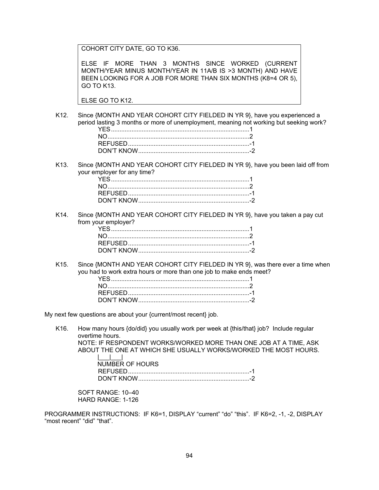COHORT CITY DATE, GO TO K36.

ELSE IF MORE THAN 3 MONTHS SINCE WORKED (CURRENT MONTH/YEAR MINUS MONTH/YEAR IN 11A/B IS >3 MONTH) AND HAVE BEEN LOOKING FOR A JOB FOR MORE THAN SIX MONTHS (K8=4 OR 5), GO TO K13.

ELSE GO TO K12.

K12. Since {MONTH AND YEAR COHORT CITY FIELDED IN YR 9}, have you experienced a period lasting 3 months or more of unemployment, meaning not working but seeking work?

K13. Since {MONTH AND YEAR COHORT CITY FIELDED IN YR 9}, have you been laid off from your employer for any time?

K14. Since {MONTH AND YEAR COHORT CITY FIELDED IN YR 9}, have you taken a pay cut from your employer?

K15. Since {MONTH AND YEAR COHORT CITY FIELDED IN YR 9}, was there ever a time when you had to work extra hours or more than one job to make ends meet? YES ................................................................................. 1

My next few questions are about your {current/most recent} job.

K16. How many hours {do/did} you usually work per week at {this/that} job? Include regular overtime hours.

NOTE: IF RESPONDENT WORKS/WORKED MORE THAN ONE JOB AT A TIME, ASK ABOUT THE ONE AT WHICH SHE USUALLY WORKS/WORKED THE MOST HOURS. |\_\_\_|\_\_\_|

| NUMBER OF HOURS |  |
|-----------------|--|
|                 |  |
|                 |  |

SOFT RANGE: 10–40 HARD RANGE: 1-126

PROGRAMMER INSTRUCTIONS: IF K6=1, DISPLAY "current" "do" "this". IF K6=2, -1, -2, DISPLAY "most recent" "did" "that".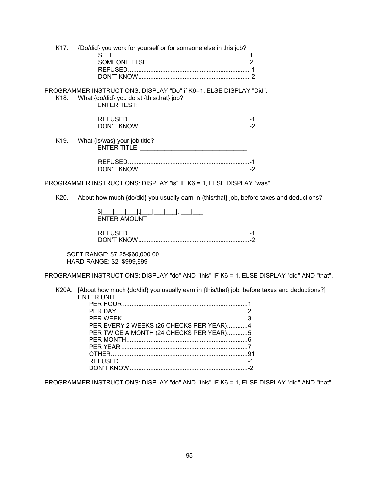|  | K17. {Do/did} you work for yourself or for someone else in this job? |  |
|--|----------------------------------------------------------------------|--|
|  |                                                                      |  |
|  |                                                                      |  |
|  |                                                                      |  |
|  |                                                                      |  |

## PROGRAMMER INSTRUCTIONS: DISPLAY "Do" if K6=1, ELSE DISPLAY "Did". K18. What {do/did} you do at {this/that} job?

ENTER TEST: \_\_\_\_\_\_\_\_\_\_\_\_\_\_\_

K19. What {is/was} your job title? ENTER TITLE:

PROGRAMMER INSTRUCTIONS: DISPLAY "is" IF K6 = 1, ELSE DISPLAY "was".

K20. About how much {do/did} you usually earn in {this/that} job, before taxes and deductions?

| <b>ENTER AMOUNT</b> |  |  |  |  |
|---------------------|--|--|--|--|

SOFT RANGE: \$7.25-\$60,000.00 HARD RANGE: \$2-\$999,999

PROGRAMMER INSTRUCTIONS: DISPLAY "do" AND "this" IF K6 = 1, ELSE DISPLAY "did" AND "that".

K20A. [About how much {do/did} you usually earn in {this/that} job, before taxes and deductions?] ENTER UNIT.

| PER EVERY 2 WEEKS (26 CHECKS PER YEAR)4 |  |
|-----------------------------------------|--|
| PER TWICE A MONTH (24 CHECKS PER YEAR)5 |  |
|                                         |  |
|                                         |  |
|                                         |  |
|                                         |  |
|                                         |  |

PROGRAMMER INSTRUCTIONS: DISPLAY "do" AND "this" IF K6 = 1, ELSE DISPLAY "did" AND "that".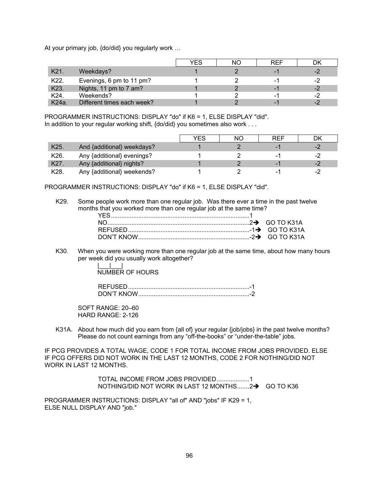At your primary job, {do/did} you regularly work …

|                   |                            | YES | NΟ | RFF |      |
|-------------------|----------------------------|-----|----|-----|------|
| K <sub>21</sub>   | Weekdays?                  |     |    |     | -2   |
| K22.              | Evenings, 6 pm to 11 pm?   |     |    |     |      |
| K <sub>23</sub> . | Nights, 11 pm to 7 am?     |     |    |     | $-2$ |
| K24.              | Weekends?                  |     |    |     |      |
| K24a              | Different times each week? |     |    |     | റ    |

PROGRAMMER INSTRUCTIONS: DISPLAY "do" if K6 = 1, ELSE DISPLAY "did". In addition to your regular working shift, {do/did} you sometimes also work . . .

|                   |                            | YES | NΟ | <b>REF</b> |      |
|-------------------|----------------------------|-----|----|------------|------|
| K <sub>25</sub> . | And {additional} weekdays? |     |    |            | -2   |
| K26.              | Any {additional} evenings? |     |    |            | -2   |
| K27.              | Any {additional} nights?   |     |    |            | $-2$ |
| K28.              | Any {additional} weekends? |     |    |            |      |

PROGRAMMER INSTRUCTIONS: DISPLAY "do" if K6 = 1, ELSE DISPLAY "did".

K29. Some people work more than one regular job. Was there ever a time in the past twelve months that you worked more than one regular job at the same time?

K30. When you were working more than one regular job at the same time, about how many hours per week did you usually work altogether?

> $\Box$ NUMBER OF HOURS

| DON'T KNOW |  |
|------------|--|

SOFT RANGE: 20–60 HARD RANGE: 2-126

K31A. About how much did you earn from {all of} your regular {job/jobs} in the past twelve months? Please do not count earnings from any "off-the-books" or "under-the-table" jobs.

IF PCG PROVIDES A TOTAL WAGE, CODE 1 FOR TOTAL INCOME FROM JOBS PROVIDED. ELSE IF PCG OFFERS DID NOT WORK IN THE LAST 12 MONTHS, CODE 2 FOR NOTHING/DID NOT WORK IN LAST 12 MONTHS.

> TOTAL INCOME FROM JOBS PROVIDED ................... 1 NOTHING/DID NOT WORK IN LAST 12 MONTHS....... $2 \rightarrow$  GO TO K36

PROGRAMMER INSTRUCTIONS: DISPLAY "all of" AND "jobs" IF K29 = 1, ELSE NULL DISPLAY AND "job."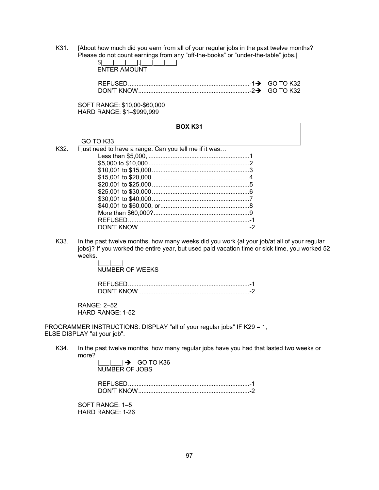K31. [About how much did you earn from all of your regular jobs in the past twelve months? Please do not count earnings from any "off-the-books" or "under-the-table" jobs.]

|  | <b>ENTER AMOUNT</b> |  |
|--|---------------------|--|

SOFT RANGE: \$10,00-\$60,000 HARD RANGE: \$1–\$999,999

|      | <b>BOX K31</b>                                                                                                                                                                                                           |
|------|--------------------------------------------------------------------------------------------------------------------------------------------------------------------------------------------------------------------------|
|      | GO TO K33                                                                                                                                                                                                                |
| K32. | I just need to have a range. Can you tell me if it was                                                                                                                                                                   |
|      |                                                                                                                                                                                                                          |
|      |                                                                                                                                                                                                                          |
|      |                                                                                                                                                                                                                          |
|      |                                                                                                                                                                                                                          |
|      |                                                                                                                                                                                                                          |
|      |                                                                                                                                                                                                                          |
|      |                                                                                                                                                                                                                          |
|      |                                                                                                                                                                                                                          |
|      |                                                                                                                                                                                                                          |
|      |                                                                                                                                                                                                                          |
|      |                                                                                                                                                                                                                          |
| K33. | In the past twelve months, how many weeks did you work {at your job/at all of your regular<br>jobs}? If you worked the entire year, but used paid vacation time or sick time, you worked 52<br>weeks.<br>NUMBER OF WEEKS |
|      | REFUSED                                                                                                                                                                                                                  |

RANGE: 2–52 HARD RANGE: 1-52

PROGRAMMER INSTRUCTIONS: DISPLAY "all of your regular jobs" IF K29 = 1, ELSE DISPLAY "at your job".

K34. In the past twelve months, how many regular jobs have you had that lasted two weeks or more?

> $|\_\_\_\_\_\| \rightarrow$  GO TO K36 NUMBER OF JOBS

 REFUSED ....................................................................... -1 DON'T KNOW ................................................................. -2

SOFT RANGE: 1–5 HARD RANGE: 1-26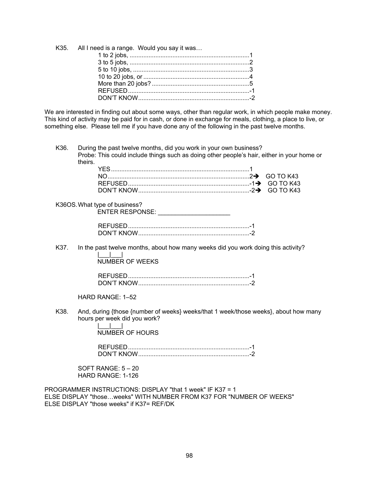| K35. All I need is a range. Would you say it was |  |
|--------------------------------------------------|--|
|                                                  |  |
|                                                  |  |
|                                                  |  |
|                                                  |  |
|                                                  |  |
|                                                  |  |
|                                                  |  |
|                                                  |  |

We are interested in finding out about some ways, other than regular work, in which people make money. This kind of activity may be paid for in cash, or done in exchange for meals, clothing, a place to live, or something else. Please tell me if you have done any of the following in the past twelve months.

During the past twelve months, did you work in your own business? K36. Probe: This could include things such as doing other people's hair, either in your home or theirs.

# K36OS. What type of business?

ENTER RESPONSE:

In the past twelve months, about how many weeks did you work doing this activity? K37.  $\Box$ 

**NUMBER OF WEEKS** 

HARD RANGE: 1-52

K38. And, during {those {number of weeks} weeks/that 1 week/those weeks}, about how many hours per week did you work?

> $\mathbf{1}$ **NUMBER OF HOURS**

SOFT RANGE:  $5 - 20$ HARD RANGE: 1-126

PROGRAMMER INSTRUCTIONS: DISPLAY "that 1 week" IF K37 = 1 ELSE DISPLAY "those...weeks" WITH NUMBER FROM K37 FOR "NUMBER OF WEEKS" FLSE DISPLAY "those weeks" if K37= REE/DK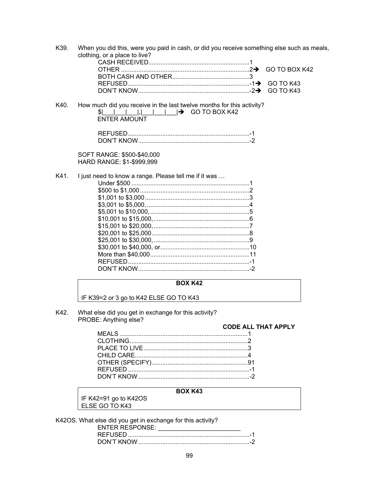K39. When you did this, were you paid in cash, or did you receive something else such as meals, clothing, or a place to live? GO TO BOX K42 **GO TO K43 GO TO K43** K40. How much did you receive in the last twelve months for this activity? \$I **ENTER AMOUNT** 

SOFT RANGE: \$500-\$40,000 HARD RANGE: \$1-\$999,999

K41.

I just need to know a range. Please tell me if it was ... 

## **BOX K42**

IF K39=2 or 3 go to K42 ELSE GO TO K43

K42. What else did you get in exchange for this activity? PROBE: Anything else?

**CODE ALL THAT APPLY** 

## **BOX K43**

IF K42=91 go to K42OS ELSE GO TO K43

K42OS. What else did you get in exchange for this activity?

| <b>ENTER RESPONSE:</b> |  |
|------------------------|--|
|                        |  |
|                        |  |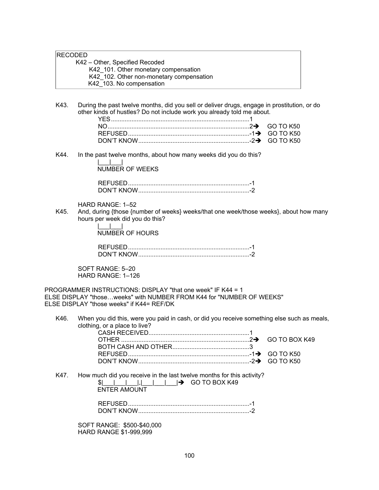## RECODED

 K42 – Other, Specified Recoded K42 101. Other monetary compensation K42<sup>-</sup>102. Other non-monetary compensation K42\_103. No compensation

K43. During the past twelve months, did you sell or deliver drugs, engage in prostitution, or do other kinds of hustles? Do not include work you already told me about.

K44. In the past twelve months, about how many weeks did you do this? |\_\_\_|\_\_\_|

NUMBER OF WEEKS

| DON'T KNOW |  |
|------------|--|

## HARD RANGE: 1–52

K45. And, during {those {number of weeks} weeks/that one week/those weeks}, about how many hours per week did you do this?

> $\perp$ NUMBER OF HOURS

| DON'T KNOW |  |
|------------|--|

SOFT RANGE: 5–20 HARD RANGE: 1–126

PROGRAMMER INSTRUCTIONS: DISPLAY "that one week" IF K44 = 1 ELSE DISPLAY "those…weeks" with NUMBER FROM K44 for "NUMBER OF WEEKS" ELSE DISPLAY "those weeks" if K44= REF/DK

K46. When you did this, were you paid in cash, or did you receive something else such as meals, clothing, or a place to live?

K47. How much did you receive in the last twelve months for this activity?

| $\frac{1}{2}$ $\frac{1}{2}$ $\frac{1}{2}$ $\frac{1}{2}$ $\frac{1}{2}$ GO TO BOX K49 |  |
|-------------------------------------------------------------------------------------|--|
| <b>ENTER AMOUNT</b>                                                                 |  |
|                                                                                     |  |

| DON'T KNOW |  |
|------------|--|

SOFT RANGE: \$500-\$40,000 HARD RANGE \$1-999,999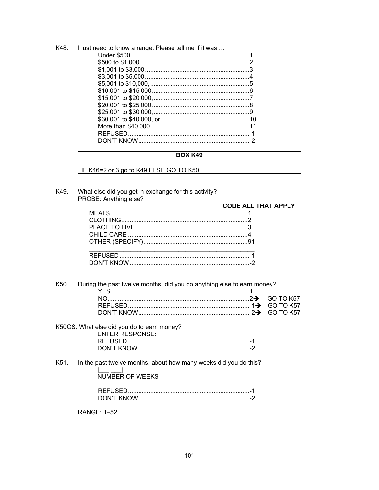| K48. | I just need to know a range. Please tell me if it was |  |
|------|-------------------------------------------------------|--|
|      |                                                       |  |
|      |                                                       |  |
|      |                                                       |  |
|      |                                                       |  |
|      |                                                       |  |
|      |                                                       |  |
|      |                                                       |  |
|      |                                                       |  |
|      |                                                       |  |
|      |                                                       |  |
|      |                                                       |  |
|      |                                                       |  |
|      |                                                       |  |

## BOX K49

IF K46=2 or 3 go to K49 ELSE GO TO K50

What else did you get in exchange for this activity? K49. PROBE: Anything else?

| י ספוס אוווויוץ פוספ | <b>CODE ALL THAT APPLY</b> |
|----------------------|----------------------------|
|                      |                            |
|                      |                            |
|                      |                            |
|                      |                            |
|                      |                            |
|                      |                            |
|                      |                            |
|                      |                            |

#### K50. During the past twelve months, did you do anything else to earn money?

# K50OS. What else did you do to earn money?

## In the past twelve months, about how many weeks did you do this? K51.  $\begin{array}{c} | \underline{\hspace{1cm}} | \underline{\hspace{1cm}} | \underline{\hspace{1cm}} | \underline{\hspace{1cm}} | \underline{\hspace{1cm}} | \underline{\hspace{1cm}} | \underline{\hspace{1cm}} | \underline{\hspace{1cm}} | \underline{\hspace{1cm}} | \underline{\hspace{1cm}} | \underline{\hspace{1cm}} | \underline{\hspace{1cm}} | \underline{\hspace{1cm}} | \underline{\hspace{1cm}} | \underline{\hspace{1cm}} | \underline{\hspace{1cm}} | \underline{\hspace{1cm}} | \underline{\hspace{1cm}} | \underline{\hspace{1cm}} | \underline{\hspace{1cm}} | \underline{\hspace{1cm}} | \underline$

**RANGE: 1-52**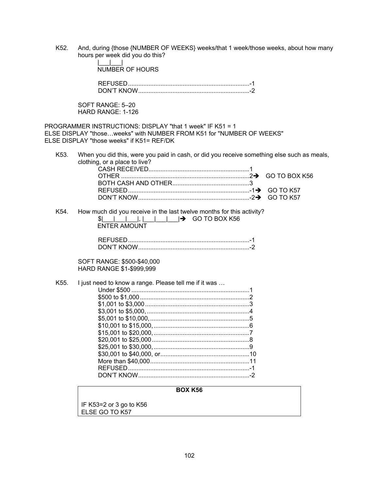K52. And, during {those {NUMBER OF WEEKS} weeks/that 1 week/those weeks, about how many hours per week did you do this?

|                   | <b>BOX K56</b>                                                                                                                                                                 |               |
|-------------------|--------------------------------------------------------------------------------------------------------------------------------------------------------------------------------|---------------|
| K <sub>55</sub> . | SOFT RANGE: \$500-\$40,000<br>HARD RANGE \$1-\$999,999<br>I just need to know a range. Please tell me if it was                                                                |               |
| K54.              | How much did you receive in the last twelve months for this activity?<br><b>ENTER AMOUNT</b>                                                                                   |               |
| K53.              | When you did this, were you paid in cash, or did you receive something else such as meals,<br>clothing, or a place to live?                                                    | GO TO BOX K56 |
|                   | PROGRAMMER INSTRUCTIONS: DISPLAY "that 1 week" IF K51 = 1<br>ELSE DISPLAY "thoseweeks" with NUMBER FROM K51 for "NUMBER OF WEEKS"<br>ELSE DISPLAY "those weeks" if K51= REF/DK |               |
|                   | SOFT RANGE: 5-20<br>HARD RANGE: 1-126                                                                                                                                          |               |
|                   |                                                                                                                                                                                |               |
|                   | <b>NUMBER OF HOURS</b>                                                                                                                                                         |               |

IF K53=2 or 3 go to K56 ELSE GO TO K57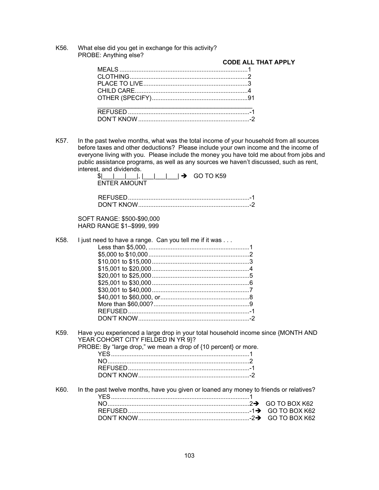K56. What else did you get in exchange for this activity? PROBE: Anything else?

## **CODE ALL THAT APPLY**

K57. In the past twelve months, what was the total income of your household from all sources before taxes and other deductions? Please include your own income and the income of everyone living with you. Please include the money you have told me about from jobs and public assistance programs, as well as any sources we haven't discussed, such as rent, interest, and dividends.

|      | illielest, and dividends.<br>\$I<br>GO TO K59<br>$\rightarrow$<br><b>ENTER AMOUNT</b> |
|------|---------------------------------------------------------------------------------------|
|      |                                                                                       |
|      | SOFT RANGE: \$500-\$90,000<br>HARD RANGE \$1-\$999, 999                               |
| K58. | I just need to have a range. Can you tell me if it was                                |

K59. Have you experienced a large drop in your total household income since {MONTH AND YEAR COHORT CITY FIELDED IN YR 9}? PROBE: By "large drop," we mean a drop of {10 percent} or more. YES ................................................................................. 1 NO ................................................................................... 2

| REFUSED    |  |
|------------|--|
| UUN'T KNUM |  |

K60. In the past twelve months, have you given or loaned any money to friends or relatives? YES ................................................................................. 1 NO ................................................................................... 2GO TO BOX K62 REFUSED ....................................................................... -1GO TO BOX K62 DON'T KNOW ................................................................. -2GO TO BOX K62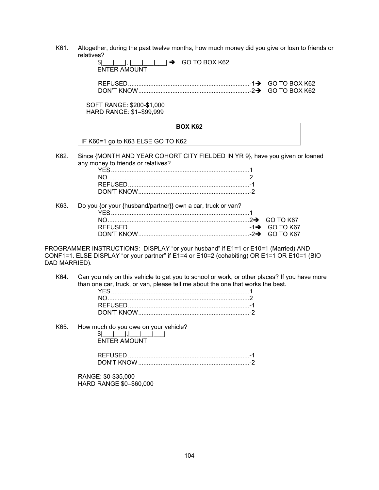K61. Altogether, during the past twelve months, how much money did you give or loan to friends or relatives?

| $\frac{1}{2}$ $\frac{1}{2}$ $\frac{1}{2}$ $\frac{1}{2}$ $\frac{1}{2}$ GO TO BOX K62 |  |
|-------------------------------------------------------------------------------------|--|
| ENTER AMOUNT                                                                        |  |

 REFUSED ....................................................................... -1GO TO BOX K62 DON'T KNOW ................................................................. -2GO TO BOX K62

SOFT RANGE: \$200-\$1,000 HARD RANGE: \$1–\$99,999

|      | <b>BOX K62</b>                                                                                                     |  |
|------|--------------------------------------------------------------------------------------------------------------------|--|
|      | IF K60=1 go to K63 ELSE GO TO K62                                                                                  |  |
| K62. | Since {MONTH AND YEAR COHORT CITY FIELDED IN YR 9}, have you given or loaned<br>any money to friends or relatives? |  |
|      |                                                                                                                    |  |
|      |                                                                                                                    |  |
|      |                                                                                                                    |  |

| K63. Do you for your {husband/partner}} own a car, truck or van? |  |
|------------------------------------------------------------------|--|
|                                                                  |  |
|                                                                  |  |
|                                                                  |  |
|                                                                  |  |

PROGRAMMER INSTRUCTIONS: DISPLAY "or your husband" if E1=1 or E10=1 (Married) AND CONF1=1. ELSE DISPLAY "or your partner" if E1=4 or E10=2 (cohabiting) OR E1=1 OR E10=1 (BIO DAD MARRIED).

K64. Can you rely on this vehicle to get you to school or work, or other places? If you have more than one car, truck, or van, please tell me about the one that works the best.

K65. How much do you owe on your vehicle?

| ENTER AMOUNT |  |
|--------------|--|

| DON'T KNOW |  |
|------------|--|

RANGE: \$0-\$35,000 HARD RANGE \$0–\$60,000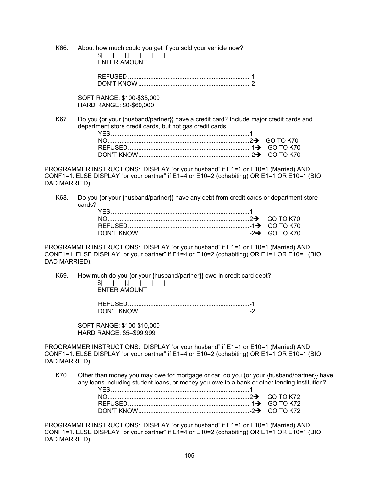K66. About how much could you get if you sold your vehicle now? \$|\_\_\_|\_\_\_|,|\_\_\_|\_\_\_|\_\_\_|

ENTER AMOUNT

SOFT RANGE: \$100-\$35,000 HARD RANGE: \$0-\$60,000

K67. Do you {or your {husband/partner}} have a credit card? Include major credit cards and department store credit cards, but not gas credit cards

| KN'I |  |
|------|--|

PROGRAMMER INSTRUCTIONS: DISPLAY "or your husband" if E1=1 or E10=1 (Married) AND CONF1=1. ELSE DISPLAY "or your partner" if E1=4 or E10=2 (cohabiting) OR E1=1 OR E10=1 (BIO DAD MARRIED).

K68. Do you {or your {husband/partner}} have any debt from credit cards or department store cards?

PROGRAMMER INSTRUCTIONS: DISPLAY "or your husband" if E1=1 or E10=1 (Married) AND CONF1=1. ELSE DISPLAY "or your partner" if E1=4 or E10=2 (cohabiting) OR E1=1 OR E10=1 (BIO DAD MARRIED).

K69. How much do you {or your {husband/partner}} owe in credit card debt?  $$|$   $|$ ,|  $|$ 

ENTER AMOUNT

| DON'T KNOW |  |
|------------|--|

SOFT RANGE: \$100-\$10,000 HARD RANGE: \$5–\$99,999

PROGRAMMER INSTRUCTIONS: DISPLAY "or your husband" if E1=1 or E10=1 (Married) AND CONF1=1. ELSE DISPLAY "or your partner" if E1=4 or E10=2 (cohabiting) OR E1=1 OR E10=1 (BIO DAD MARRIED).

K70. Other than money you may owe for mortgage or car, do you {or your {husband/partner}} have any loans including student loans, or money you owe to a bank or other lending institution?

PROGRAMMER INSTRUCTIONS: DISPLAY "or your husband" if E1=1 or E10=1 (Married) AND CONF1=1. ELSE DISPLAY "or your partner" if E1=4 or E10=2 (cohabiting) OR E1=1 OR E10=1 (BIO DAD MARRIED).